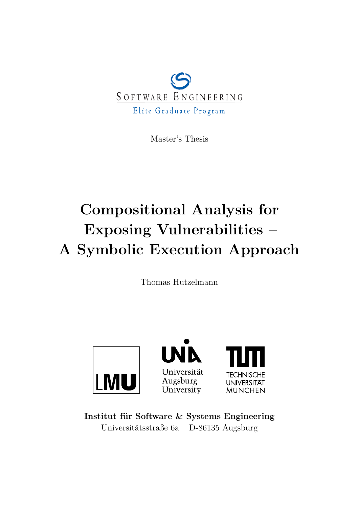

Master's Thesis

# **Compositional Analysis for Exposing Vulnerabilities – A Symbolic Execution Approach**

Thomas Hutzelmann



**Institut für Software & Systems Engineering** Universitätsstraße 6a D-86135 Augsburg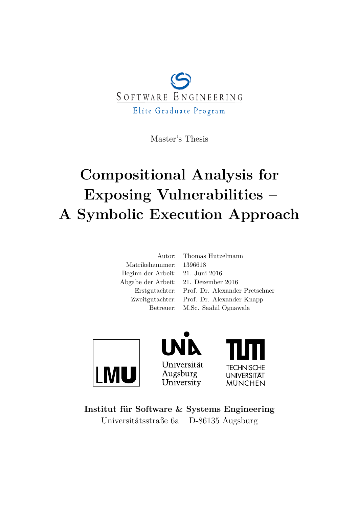

Master's Thesis

# **Compositional Analysis for Exposing Vulnerabilities – A Symbolic Execution Approach**

| Autor: Thomas Hutzelmann                      |
|-----------------------------------------------|
| Matrikelnummer: 1396618                       |
| Beginn der Arbeit: 21. Juni 2016              |
| Abgabe der Arbeit: 21. Dezember 2016          |
| Erstgutachter: Prof. Dr. Alexander Pretschner |
| Zweitgutachter: Prof. Dr. Alexander Knapp     |
| Betreuer: M.Sc. Saahil Ognawala               |
|                                               |







**Institut für Software & Systems Engineering** Universitätsstraße 6a D-86135 Augsburg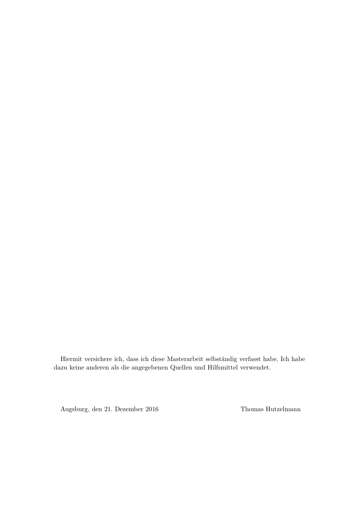Hiermit versichere ich, dass ich diese Masterarbeit selbständig verfasst habe. Ich habe dazu keine anderen als die angegebenen Quellen und Hilfsmittel verwendet.

Augsburg, den 21. Dezember 2016 Thomas Hutzelmann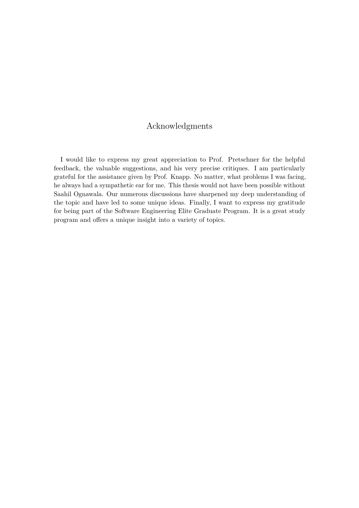## Acknowledgments

I would like to express my great appreciation to Prof. Pretschner for the helpful feedback, the valuable suggestions, and his very precise critiques. I am particularly grateful for the assistance given by Prof. Knapp. No matter, what problems I was facing, he always had a sympathetic ear for me. This thesis would not have been possible without Saahil Ognawala. Our numerous discussions have sharpened my deep understanding of the topic and have led to some unique ideas. Finally, I want to express my gratitude for being part of the Software Engineering Elite Graduate Program. It is a great study program and offers a unique insight into a variety of topics.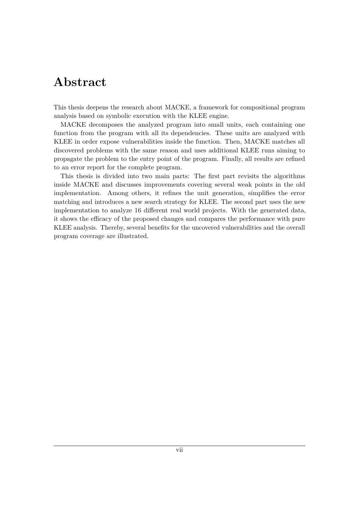## **Abstract**

This thesis deepens the research about MACKE, a framework for compositional program analysis based on symbolic execution with the KLEE engine.

MACKE decomposes the analyzed program into small units, each containing one function from the program with all its dependencies. These units are analyzed with KLEE in order expose vulnerabilities inside the function. Then, MACKE matches all discovered problems with the same reason and uses additional KLEE runs aiming to propagate the problem to the entry point of the program. Finally, all results are refined to an error report for the complete program.

This thesis is divided into two main parts: The first part revisits the algorithms inside MACKE and discusses improvements covering several weak points in the old implementation. Among others, it refines the unit generation, simplifies the error matching and introduces a new search strategy for KLEE. The second part uses the new implementation to analyze 16 different real world projects. With the generated data, it shows the efficacy of the proposed changes and compares the performance with pure KLEE analysis. Thereby, several benefits for the uncovered vulnerabilities and the overall program coverage are illustrated.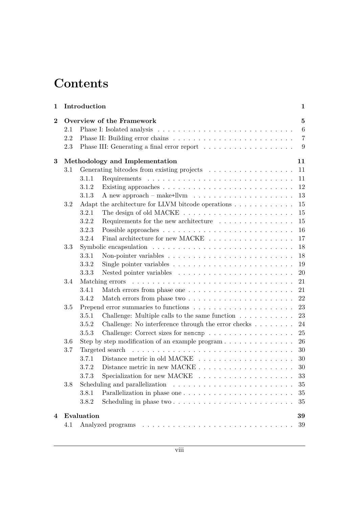## **Contents**

| 1                       |     | Introduction |                                                                                         | 1              |  |  |
|-------------------------|-----|--------------|-----------------------------------------------------------------------------------------|----------------|--|--|
| $\overline{\mathbf{2}}$ |     |              | Overview of the Framework                                                               | $\bf{5}$       |  |  |
|                         | 2.1 |              |                                                                                         | 6              |  |  |
|                         | 2.2 |              |                                                                                         | $\overline{7}$ |  |  |
|                         | 2.3 |              | Phase III: Generating a final error report $\ldots \ldots \ldots \ldots \ldots \ldots$  | 9              |  |  |
| 3                       |     |              | Methodology and Implementation                                                          | 11             |  |  |
|                         | 3.1 |              | Generating bitcodes from existing projects                                              | 11             |  |  |
|                         |     | 3.1.1        |                                                                                         | 11             |  |  |
|                         |     | 3.1.2        |                                                                                         | 12             |  |  |
|                         |     | 3.1.3        | A new approach – make+llvm $\dots \dots \dots \dots \dots \dots \dots \dots$            | 13             |  |  |
|                         | 3.2 |              | Adapt the architecture for LLVM bitcode operations                                      | 15             |  |  |
|                         |     | 3.2.1        |                                                                                         | 15             |  |  |
|                         |     | 3.2.2        | Requirements for the new architecture $\ldots \ldots \ldots \ldots$                     | 15             |  |  |
|                         |     | 3.2.3        |                                                                                         | 16             |  |  |
|                         |     | 3.2.4        | Final architecture for new MACKE $\ldots \ldots \ldots \ldots \ldots$                   | 17             |  |  |
|                         | 3.3 |              | Symbolic encapsulation $\ldots \ldots \ldots \ldots \ldots \ldots \ldots \ldots \ldots$ | 18             |  |  |
|                         |     | 3.3.1        |                                                                                         | 18             |  |  |
|                         |     | 3.3.2        | Single pointer variables $\ldots \ldots \ldots \ldots \ldots \ldots \ldots \ldots$      | 19             |  |  |
|                         |     | 3.3.3        |                                                                                         | 20             |  |  |
|                         | 3.4 |              |                                                                                         | 21             |  |  |
|                         |     | 3.4.1        |                                                                                         | 21             |  |  |
|                         |     | 3.4.2        |                                                                                         | 22             |  |  |
|                         | 3.5 | 23           |                                                                                         |                |  |  |
|                         |     | 3.5.1        | Challenge: Multiple calls to the same function $\ldots \ldots \ldots$                   | 23             |  |  |
|                         |     | 3.5.2        | Challenge: No interference through the error checks $\dots \dots$                       | 24             |  |  |
|                         |     | 3.5.3        | Challenge: Correct sizes for memomp                                                     | 25             |  |  |
|                         | 3.6 |              | Step by step modification of an example program $\dots \dots \dots \dots \dots$         | 26             |  |  |
|                         | 3.7 |              |                                                                                         | 30             |  |  |
|                         |     | 3.7.1        |                                                                                         | 30             |  |  |
|                         |     | 3.7.2        |                                                                                         | 30             |  |  |
|                         |     |              |                                                                                         | $33\,$         |  |  |
|                         | 3.8 |              |                                                                                         | 35             |  |  |
|                         |     | 3.8.1        | Parallelization in phase one $\dots \dots \dots \dots \dots \dots \dots \dots$          | 35             |  |  |
|                         |     | 3.8.2        |                                                                                         | 35             |  |  |
| 4                       |     | Evaluation   |                                                                                         | 39             |  |  |
|                         | 4.1 |              |                                                                                         | 39             |  |  |
|                         |     |              |                                                                                         |                |  |  |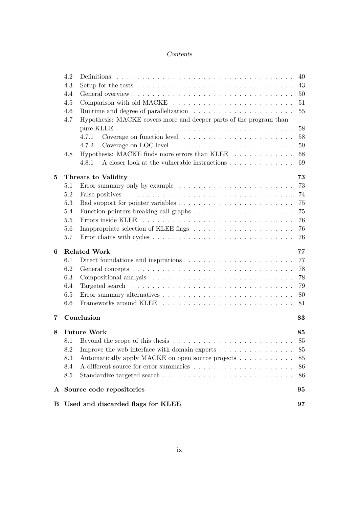### Contents

| В              |                          | Used and discarded flags for KLEE                                                                   | 97     |  |  |  |
|----------------|--------------------------|-----------------------------------------------------------------------------------------------------|--------|--|--|--|
| ${\bf A}$      |                          | Source code repositories                                                                            | 95     |  |  |  |
|                | 8.5                      |                                                                                                     | 86     |  |  |  |
|                | 8.4                      |                                                                                                     | 86     |  |  |  |
|                | 8.3                      | Automatically apply MACKE on open source projects                                                   | 85     |  |  |  |
|                | 8.2                      | Improve the web interface with domain experts                                                       | 85     |  |  |  |
|                |                          |                                                                                                     | 85     |  |  |  |
| 8              | <b>Future Work</b><br>85 |                                                                                                     |        |  |  |  |
| $\overline{7}$ |                          | Conclusion                                                                                          | 83     |  |  |  |
|                | 6.6                      |                                                                                                     | 81     |  |  |  |
|                | 6.5                      |                                                                                                     | 80     |  |  |  |
|                | 6.4                      |                                                                                                     | 79     |  |  |  |
|                | 6.3                      |                                                                                                     | 78     |  |  |  |
|                | 6.2                      |                                                                                                     | 78     |  |  |  |
|                | 6.1                      | Direct foundations and inspirations $\ldots \ldots \ldots \ldots \ldots \ldots \ldots$              | 77     |  |  |  |
| 6              |                          | <b>Related Work</b>                                                                                 | 77     |  |  |  |
|                | 5.7                      |                                                                                                     | 76     |  |  |  |
|                | 5.6                      |                                                                                                     | 76     |  |  |  |
|                | 5.5                      |                                                                                                     | 76     |  |  |  |
|                | 5.4                      |                                                                                                     | 75     |  |  |  |
|                | 5.3                      |                                                                                                     | 75     |  |  |  |
|                | 5.2                      |                                                                                                     | 74     |  |  |  |
|                | 5.1                      |                                                                                                     | 73     |  |  |  |
| 5              |                          | Threats to Validity                                                                                 | 73     |  |  |  |
|                |                          | A closer look at the vulnerable instructions $\dots \dots \dots \dots$<br>4.8.1                     | 69     |  |  |  |
|                | 4.8                      | Hypothesis: MACKE finds more errors than KLEE $\dots \dots \dots$                                   | 68     |  |  |  |
|                |                          | 4.7.2                                                                                               | 59     |  |  |  |
|                |                          | 4.7.1                                                                                               | 58     |  |  |  |
|                |                          |                                                                                                     | 58     |  |  |  |
|                | 4.7                      | Hypothesis: MACKE covers more and deeper parts of the program than                                  |        |  |  |  |
|                | 4.6                      |                                                                                                     | $55\,$ |  |  |  |
|                | 4.5                      |                                                                                                     | 51     |  |  |  |
|                | 4.4                      |                                                                                                     | 50     |  |  |  |
|                | 4.3                      | Setup for the tests $\dots \dots \dots \dots \dots \dots \dots \dots \dots \dots \dots \dots \dots$ | 43     |  |  |  |
|                | 4.2                      |                                                                                                     | 40     |  |  |  |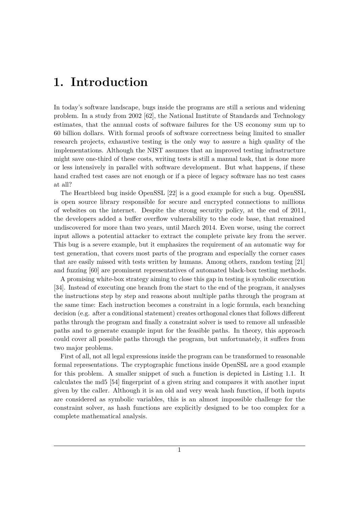## <span id="page-12-0"></span>**1. Introduction**

In today's software landscape, bugs inside the programs are still a serious and widening problem. In a study from 2002 [\[62\]](#page-105-0), the National Institute of Standards and Technology estimates, that the annual costs of software failures for the US economy sum up to 60 billion dollars. With formal proofs of software correctness being limited to smaller research projects, exhaustive testing is the only way to assure a high quality of the implementations. Although the NIST assumes that an improved testing infrastructure might save one-third of these costs, writing tests is still a manual task, that is done more or less intensively in parallel with software development. But what happens, if these hand crafted test cases are not enough or if a piece of legacy software has no test cases at all?

The Heartbleed bug inside OpenSSL [\[22\]](#page-102-0) is a good example for such a bug. OpenSSL is open source library responsible for secure and encrypted connections to millions of websites on the internet. Despite the strong security policy, at the end of 2011, the developers added a buffer overflow vulnerability to the code base, that remained undiscovered for more than two years, until March 2014. Even worse, using the correct input allows a potential attacker to extract the complete private key from the server. This bug is a severe example, but it emphasizes the requirement of an automatic way for test generation, that covers most parts of the program and especially the corner cases that are easily missed with tests written by humans. Among others, random testing [\[21\]](#page-102-1) and fuzzing [\[60\]](#page-105-1) are prominent representatives of automated black-box testing methods.

A promising white-box strategy aiming to close this gap in testing is symbolic execution [\[34\]](#page-103-0). Instead of executing one branch from the start to the end of the program, it analyses the instructions step by step and reasons about multiple paths through the program at the same time: Each instruction becomes a constraint in a logic formula, each branching decision (e.g. after a conditional statement) creates orthogonal clones that follows different paths through the program and finally a constraint solver is used to remove all unfeasible paths and to generate example input for the feasible paths. In theory, this approach could cover all possible paths through the program, but unfortunately, it suffers from two major problems.

First of all, not all legal expressions inside the program can be transformed to reasonable formal representations. The cryptographic functions inside OpenSSL are a good example for this problem. A smaller snippet of such a function is depicted in [Listing 1.1.](#page-13-0) It calculates the md5 [\[54\]](#page-105-2) fingerprint of a given string and compares it with another input given by the caller. Although it is an old and very weak hash function, if both inputs are considered as symbolic variables, this is an almost impossible challenge for the constraint solver, as hash functions are explicitly designed to be too complex for a complete mathematical analysis.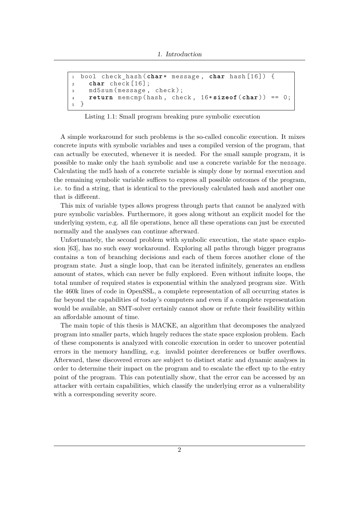```
1 bool check_hash ( char * message , char hash [16]) {
2 char check [16];
3 md5sum ( message , check );
4 return memcmp ( hash , check , 16* sizeof ( char )) == 0;
5 }
```
Listing 1.1: Small program breaking pure symbolic execution

A simple workaround for such problems is the so-called concolic execution. It mixes concrete inputs with symbolic variables and uses a compiled version of the program, that can actually be executed, whenever it is needed. For the small sample program, it is possible to make only the hash symbolic and use a concrete variable for the message. Calculating the md5 hash of a concrete variable is simply done by normal execution and the remaining symbolic variable suffices to express all possible outcomes of the program, i.e. to find a string, that is identical to the previously calculated hash and another one that is different.

This mix of variable types allows progress through parts that cannot be analyzed with pure symbolic variables. Furthermore, it goes along without an explicit model for the underlying system, e.g. all file operations, hence all these operations can just be executed normally and the analyses can continue afterward.

Unfortunately, the second problem with symbolic execution, the state space explosion [\[63\]](#page-105-3), has no such easy workaround. Exploring all paths through bigger programs contains a ton of branching decisions and each of them forces another clone of the program state. Just a single loop, that can be iterated infinitely, generates an endless amount of states, which can never be fully explored. Even without infinite loops, the total number of required states is exponential within the analyzed program size. With the 460k lines of code in OpenSSL, a complete representation of all occurring states is far beyond the capabilities of today's computers and even if a complete representation would be available, an SMT-solver certainly cannot show or refute their feasibility within an affordable amount of time.

The main topic of this thesis is MACKE, an algorithm that decomposes the analyzed program into smaller parts, which hugely reduces the state space explosion problem. Each of these components is analyzed with concolic execution in order to uncover potential errors in the memory handling, e.g. invalid pointer dereferences or buffer overflows. Afterward, these discovered errors are subject to distinct static and dynamic analyses in order to determine their impact on the program and to escalate the effect up to the entry point of the program. This can potentially show, that the error can be accessed by an attacker with certain capabilities, which classify the underlying error as a vulnerability with a corresponding severity score.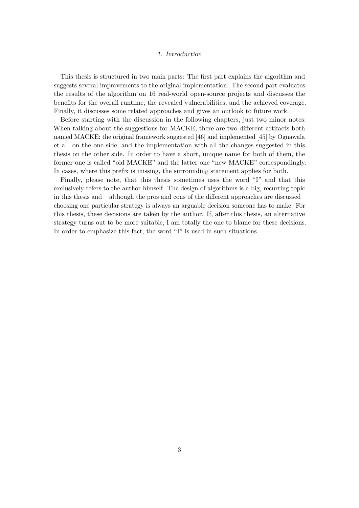This thesis is structured in two main parts: The first part explains the algorithm and suggests several improvements to the original implementation. The second part evaluates the results of the algorithm on 16 real-world open-source projects and discusses the benefits for the overall runtime, the revealed vulnerabilities, and the achieved coverage. Finally, it discusses some related approaches and gives an outlook to future work.

Before starting with the discussion in the following chapters, just two minor notes: When talking about the suggestions for MACKE, there are two different artifacts both named MACKE: the original framework suggested [\[46\]](#page-104-0) and implemented [\[45\]](#page-104-1) by Ognawala et al. on the one side, and the implementation with all the changes suggested in this thesis on the other side. In order to have a short, unique name for both of them, the former one is called "old MACKE" and the latter one "new MACKE" correspondingly. In cases, where this prefix is missing, the surrounding statement applies for both.

Finally, please note, that this thesis sometimes uses the word "I" and that this exclusively refers to the author himself. The design of algorithms is a big, recurring topic in this thesis and – although the pros and cons of the different approaches are discussed – choosing one particular strategy is always an arguable decision someone has to make. For this thesis, these decisions are taken by the author. If, after this thesis, an alternative strategy turns out to be more suitable, I am totally the one to blame for these decisions. In order to emphasize this fact, the word "I" is used in such situations.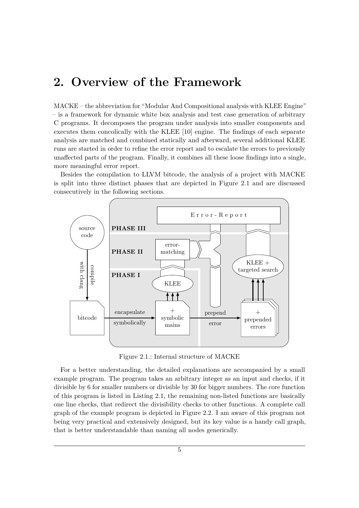## <span id="page-16-0"></span>**2. Overview of the Framework**

MACKE – the abbreviation for "Modular And Compositional analysis with KLEE Engine" – is a framework for dynamic white box analysis and test case generation of arbitrary C programs. It decomposes the program under analysis into smaller components and executes them concolically with the KLEE [\[10\]](#page-101-0) engine. The findings of each separate analysis are matched and combined statically and afterward, several additional KLEE runs are started in order to refine the error report and to escalate the errors to previously unaffected parts of the program. Finally, it combines all these loose findings into a single, more meaningful error report.

Besides the compilation to LLVM bitcode, the analysis of a project with MACKE is split into three distinct phases that are depicted in Figure [2.1](#page-16-1) and are discussed consecutively in the following sections.

<span id="page-16-1"></span>

Figure 2.1.: Internal structure of MACKE

For a better understanding, the detailed explanations are accompanied by a small example program. The program takes an arbitrary integer as an input and checks, if it divisible by 6 for smaller numbers or divisible by 30 for bigger numbers. The core function of this program is listed in [Listing 2.1,](#page-17-1) the remaining non-listed functions are basically one line checks, that redirect the divisibility checks to other functions. A complete call graph of the example program is depicted in Figure [2.2.](#page-17-2) I am aware of this program not being very practical and extensively designed, but its key value is a handy call graph, that is better understandable than naming all nodes generically.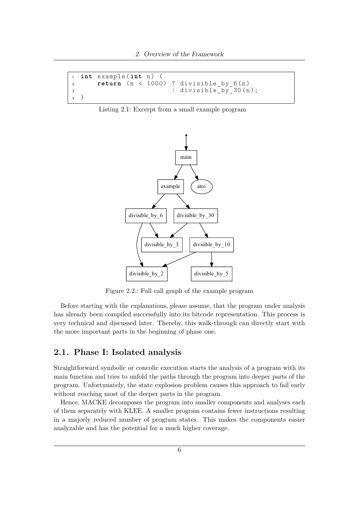```
1 int example (int n) {<br>2 return (n < 1000)
2 return (n < 1000) ? divisible_by_6(n)
\alpha : divisible by 30 ( n );
4 }
```
<span id="page-17-2"></span>Listing 2.1: Excerpt from a small example program



Figure 2.2.: Full call graph of the example program

Before starting with the explanations, please assume, that the program under analysis has already been compiled successfully into its bitcode representation. This process is very technical and discussed later. Thereby, this walk-through can directly start with the more important parts in the beginning of phase one.

## <span id="page-17-0"></span>**2.1. Phase I: Isolated analysis**

Straightforward symbolic or concolic execution starts the analysis of a program with its main function and tries to unfold the paths through the program into deeper parts of the program. Unfortunately, the state explosion problem causes this approach to fail early without reaching most of the deeper parts in the program.

Hence, MACKE decomposes the program into smaller components and analyses each of them separately with KLEE. A smaller program contains fewer instructions resulting in a majorly reduced number of program states. This makes the components easier analyzable and has the potential for a much higher coverage.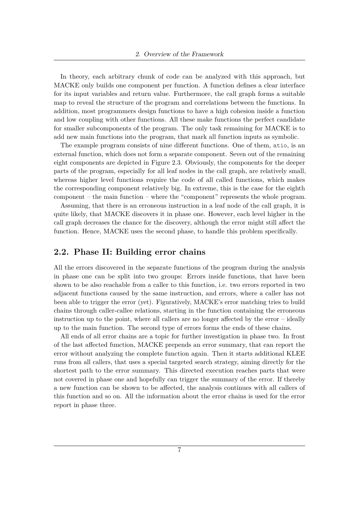In theory, each arbitrary chunk of code can be analyzed with this approach, but MACKE only builds one component per function. A function defines a clear interface for its input variables and return value. Furthermore, the call graph forms a suitable map to reveal the structure of the program and correlations between the functions. In addition, most programmers design functions to have a high cohesion inside a function and low coupling with other functions. All these make functions the perfect candidate for smaller subcomponents of the program. The only task remaining for MACKE is to add new main functions into the program, that mark all function inputs as symbolic.

The example program consists of nine different functions. One of them, atio, is an external function, which does not form a separate component. Seven out of the remaining eight components are depicted in Figure [2.3.](#page-19-0) Obviously, the components for the deeper parts of the program, especially for all leaf nodes in the call graph, are relatively small, whereas higher level functions require the code of all called functions, which makes the corresponding component relatively big. In extreme, this is the case for the eighth component – the main function – where the "component" represents the whole program.

Assuming, that there is an erroneous instruction in a leaf node of the call graph, it is quite likely, that MACKE discovers it in phase one. However, each level higher in the call graph decreases the chance for the discovery, although the error might still affect the function. Hence, MACKE uses the second phase, to handle this problem specifically.

### <span id="page-18-0"></span>**2.2. Phase II: Building error chains**

All the errors discovered in the separate functions of the program during the analysis in phase one can be split into two groups: Errors inside functions, that have been shown to be also reachable from a caller to this function, i.e. two errors reported in two adjacent functions caused by the same instruction, and errors, where a caller has not been able to trigger the error (yet). Figuratively, MACKE's error matching tries to build chains through caller-callee relations, starting in the function containing the erroneous instruction up to the point, where all callers are no longer affected by the error – ideally up to the main function. The second type of errors forms the ends of these chains.

All ends of all error chains are a topic for further investigation in phase two. In front of the last affected function, MACKE prepends an error summary, that can report the error without analyzing the complete function again. Then it starts additional KLEE runs from all callers, that uses a special targeted search strategy, aiming directly for the shortest path to the error summary. This directed execution reaches parts that were not covered in phase one and hopefully can trigger the summary of the error. If thereby a new function can be shown to be affected, the analysis continues with all callers of this function and so on. All the information about the error chains is used for the error report in phase three.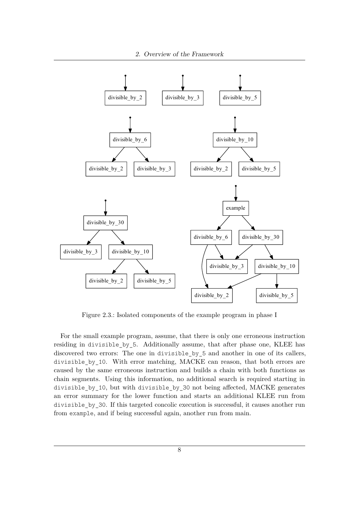<span id="page-19-0"></span>

Figure 2.3.: Isolated components of the example program in phase I

For the small example program, assume, that there is only one erroneous instruction residing in divisible\_by\_5. Additionally assume, that after phase one, KLEE has discovered two errors: The one in divisible by 5 and another in one of its callers, divisible by 10. With error matching, MACKE can reason, that both errors are caused by the same erroneous instruction and builds a chain with both functions as chain segments. Using this information, no additional search is required starting in divisible\_by\_10, but with divisible\_by\_30 not being affected, MACKE generates an error summary for the lower function and starts an additional KLEE run from divisible\_by\_30. If this targeted concolic execution is successful, it causes another run from example, and if being successful again, another run from main.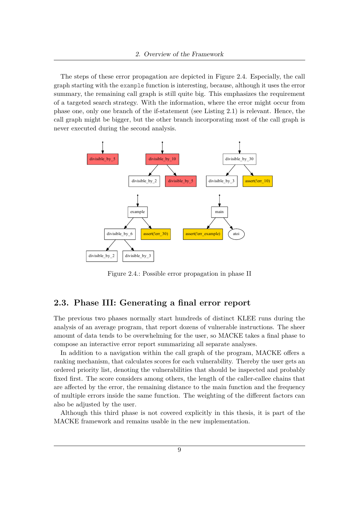The steps of these error propagation are depicted in Figure [2.4.](#page-20-1) Especially, the call graph starting with the example function is interesting, because, although it uses the error summary, the remaining call graph is still quite big. This emphasizes the requirement of a targeted search strategy. With the information, where the error might occur from phase one, only one branch of the if-statement (see [Listing 2.1\)](#page-17-1) is relevant. Hence, the call graph might be bigger, but the other branch incorporating most of the call graph is never executed during the second analysis.

<span id="page-20-1"></span>

Figure 2.4.: Possible error propagation in phase II

## <span id="page-20-0"></span>**2.3. Phase III: Generating a final error report**

The previous two phases normally start hundreds of distinct KLEE runs during the analysis of an average program, that report dozens of vulnerable instructions. The sheer amount of data tends to be overwhelming for the user, so MACKE takes a final phase to compose an interactive error report summarizing all separate analyses.

In addition to a navigation within the call graph of the program, MACKE offers a ranking mechanism, that calculates scores for each vulnerability. Thereby the user gets an ordered priority list, denoting the vulnerabilities that should be inspected and probably fixed first. The score considers among others, the length of the caller-callee chains that are affected by the error, the remaining distance to the main function and the frequency of multiple errors inside the same function. The weighting of the different factors can also be adjusted by the user.

Although this third phase is not covered explicitly in this thesis, it is part of the MACKE framework and remains usable in the new implementation.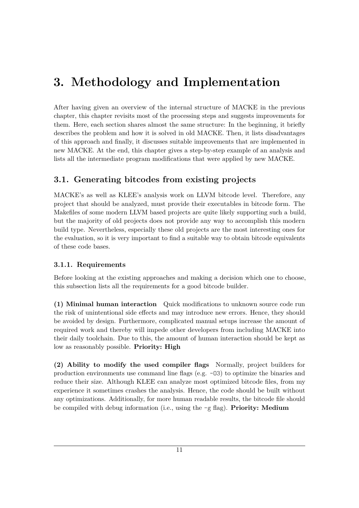## <span id="page-22-0"></span>**3. Methodology and Implementation**

After having given an overview of the internal structure of MACKE in the previous chapter, this chapter revisits most of the processing steps and suggests improvements for them. Here, each section shares almost the same structure: In the beginning, it briefly describes the problem and how it is solved in old MACKE. Then, it lists disadvantages of this approach and finally, it discusses suitable improvements that are implemented in new MACKE. At the end, this chapter gives a step-by-step example of an analysis and lists all the intermediate program modifications that were applied by new MACKE.

## <span id="page-22-1"></span>**3.1. Generating bitcodes from existing projects**

MACKE's as well as KLEE's analysis work on LLVM bitcode level. Therefore, any project that should be analyzed, must provide their executables in bitcode form. The Makefiles of some modern LLVM based projects are quite likely supporting such a build, but the majority of old projects does not provide any way to accomplish this modern build type. Nevertheless, especially these old projects are the most interesting ones for the evaluation, so it is very important to find a suitable way to obtain bitcode equivalents of these code bases.

## <span id="page-22-2"></span>**3.1.1. Requirements**

Before looking at the existing approaches and making a decision which one to choose, this subsection lists all the requirements for a good bitcode builder.

**(1) Minimal human interaction** Quick modifications to unknown source code run the risk of unintentional side effects and may introduce new errors. Hence, they should be avoided by design. Furthermore, complicated manual setups increase the amount of required work and thereby will impede other developers from including MACKE into their daily toolchain. Due to this, the amount of human interaction should be kept as low as reasonably possible. **Priority: High**

**(2) Ability to modify the used compiler flags** Normally, project builders for production environments use command line flags (e.g. -O3) to optimize the binaries and reduce their size. Although KLEE can analyze most optimized bitcode files, from my experience it sometimes crashes the analysis. Hence, the code should be built without any optimizations. Additionally, for more human readable results, the bitcode file should be compiled with debug information (i.e., using the -g flag). **Priority: Medium**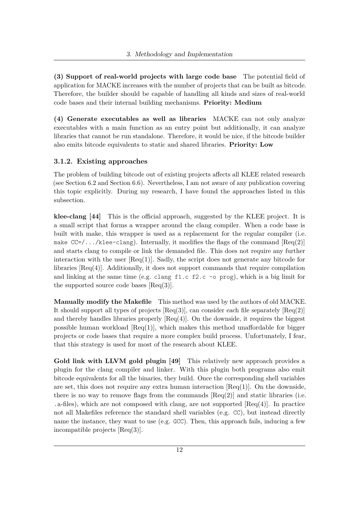**(3) Support of real-world projects with large code base** The potential field of application for MACKE increases with the number of projects that can be built as bitcode. Therefore, the builder should be capable of handling all kinds and sizes of real-world code bases and their internal building mechanisms. **Priority: Medium**

**(4) Generate executables as well as libraries** MACKE can not only analyze executables with a main function as an entry point but additionally, it can analyze libraries that cannot be run standalone. Therefore, it would be nice, if the bitcode builder also emits bitcode equivalents to static and shared libraries. **Priority: Low**

### <span id="page-23-0"></span>**3.1.2. Existing approaches**

The problem of building bitcode out of existing projects affects all KLEE related research (see Section [6.2](#page-89-0) and Section [6.6\)](#page-92-0). Nevertheless, I am not aware of any publication covering this topic explicitly. During my research, I have found the approaches listed in this subsection.

**klee-clang [\[44\]](#page-104-2)** This is the official approach, suggested by the KLEE project. It is a small script that forms a wrapper around the clang compiler. When a code base is built with make, this wrapper is used as a replacement for the regular compiler (i.e. make  $CC=/\ldots/klee-clang)$ . Internally, it modifies the flags of the command  $[Req(2)]$ and starts clang to compile or link the demanded file. This does not require any further interaction with the user  $[{\rm Req}(1)]$ . Sadly, the script does not generate any bitcode for libraries [Req(4)]. Additionally, it does not support commands that require compilation and linking at the same time (e.g. clang f1.c f2.c -o prog), which is a big limit for the supported source code bases  $[{\rm Req}(3)]$ .

**Manually modify the Makefile** This method was used by the authors of old MACKE. It should support all types of projects  $[{\rm Req}(3)]$ , can consider each file separately  $[{\rm Req}(2)]$ and thereby handles libraries properly  $[{\rm Req}(4)]$ . On the downside, it requires the biggest possible human workload  $[{\rm Req}(1)]$ , which makes this method unaffordable for bigger projects or code bases that require a more complex build process. Unfortunately, I fear, that this strategy is used for most of the research about KLEE.

**Gold link with LLVM gold plugin [\[49\]](#page-104-3)** This relatively new approach provides a plugin for the clang compiler and linker. With this plugin both programs also emit bitcode equivalents for all the binaries, they build. Once the corresponding shell variables are set, this does not require any extra human interaction  $[{\rm Req}(1)]$ . On the downside, there is no way to remove flags from the commands  $[Req(2)]$  and static libraries (i.e.  $\alpha$ -files), which are not composed with clang, are not supported [Req(4)]. In practice not all Makefiles reference the standard shell variables (e.g. CC), but instead directly name the instance, they want to use (e.g. GCC). Then, this approach fails, inducing a few incompatible projects [Req(3)].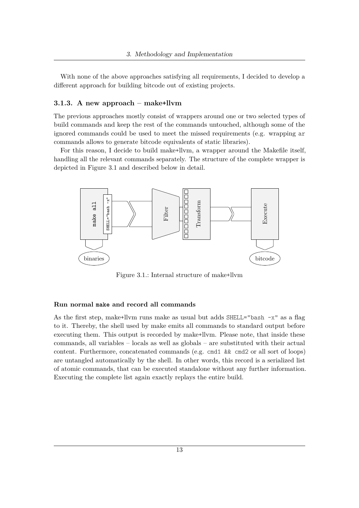With none of the above approaches satisfying all requirements, I decided to develop a different approach for building bitcode out of existing projects.

#### <span id="page-24-0"></span>**3.1.3. A new approach – make+llvm**

The previous approaches mostly consist of wrappers around one or two selected types of build commands and keep the rest of the commands untouched, although some of the ignored commands could be used to meet the missed requirements (e.g. wrapping ar commands allows to generate bitcode equivalents of static libraries).

For this reason, I decide to build make+llvm, a wrapper around the Makefile itself, handling all the relevant commands separately. The structure of the complete wrapper is depicted in Figure [3.1](#page-24-1) and described below in detail.

<span id="page-24-1"></span>

Figure 3.1.: Internal structure of make+llvm

#### **Run normal make and record all commands**

As the first step, make+llym runs make as usual but adds  $SHELL="bash -x"$  as a flag to it. Thereby, the shell used by make emits all commands to standard output before executing them. This output is recorded by make+llvm. Please note, that inside these commands, all variables – locals as well as globals – are substituted with their actual content. Furthermore, concatenated commands (e.g. cmd1 && cmd2 or all sort of loops) are untangled automatically by the shell. In other words, this record is a serialized list of atomic commands, that can be executed standalone without any further information. Executing the complete list again exactly replays the entire build.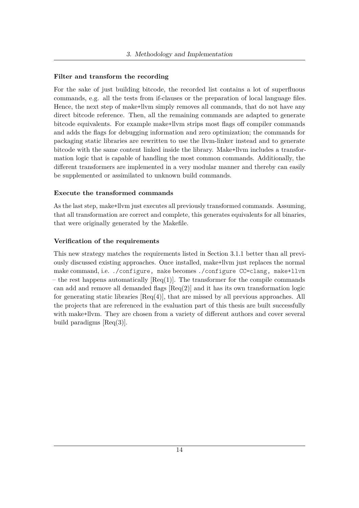#### **Filter and transform the recording**

For the sake of just building bitcode, the recorded list contains a lot of superfluous commands, e.g. all the tests from if-clauses or the preparation of local language files. Hence, the next step of make+llvm simply removes all commands, that do not have any direct bitcode reference. Then, all the remaining commands are adapted to generate bitcode equivalents. For example make+llvm strips most flags off compiler commands and adds the flags for debugging information and zero optimization; the commands for packaging static libraries are rewritten to use the llvm-linker instead and to generate bitcode with the same content linked inside the library. Make+llvm includes a transformation logic that is capable of handling the most common commands. Additionally, the different transformers are implemented in a very modular manner and thereby can easily be supplemented or assimilated to unknown build commands.

#### **Execute the transformed commands**

As the last step, make+llvm just executes all previously transformed commands. Assuming, that all transformation are correct and complete, this generates equivalents for all binaries, that were originally generated by the Makefile.

#### **Verification of the requirements**

This new strategy matches the requirements listed in Section [3.1.1](#page-22-2) better than all previously discussed existing approaches. Once installed, make+llvm just replaces the normal make command, i.e. ./configure, make becomes ./configure CC=clang, make+llvm – the rest happens automatically  $[Req(1)]$ . The transformer for the compile commands can add and remove all demanded flags  $[Req(2)]$  and it has its own transformation logic for generating static libraries  $[{\rm Req}(4)]$ , that are missed by all previous approaches. All the projects that are referenced in the evaluation part of this thesis are built successfully with make+llvm. They are chosen from a variety of different authors and cover several build paradigms [Req(3)].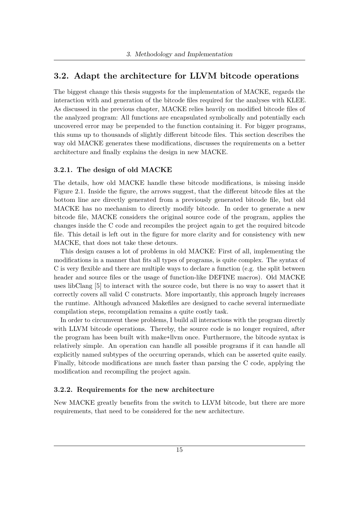## <span id="page-26-0"></span>**3.2. Adapt the architecture for LLVM bitcode operations**

The biggest change this thesis suggests for the implementation of MACKE, regards the interaction with and generation of the bitcode files required for the analyses with KLEE. As discussed in the previous chapter, MACKE relies heavily on modified bitcode files of the analyzed program: All functions are encapsulated symbolically and potentially each uncovered error may be prepended to the function containing it. For bigger programs, this sums up to thousands of slightly different bitcode files. This section describes the way old MACKE generates these modifications, discusses the requirements on a better architecture and finally explains the design in new MACKE.

#### <span id="page-26-1"></span>**3.2.1. The design of old MACKE**

The details, how old MACKE handle these bitcode modifications, is missing inside Figure [2.1.](#page-16-1) Inside the figure, the arrows suggest, that the different bitcode files at the bottom line are directly generated from a previously generated bitcode file, but old MACKE has no mechanism to directly modify bitcode. In order to generate a new bitcode file, MACKE considers the original source code of the program, applies the changes inside the C code and recompiles the project again to get the required bitcode file. This detail is left out in the figure for more clarity and for consistency with new MACKE, that does not take these detours.

This design causes a lot of problems in old MACKE: First of all, implementing the modifications in a manner that fits all types of programs, is quite complex. The syntax of C is very flexible and there are multiple ways to declare a function (e.g. the split between header and source files or the usage of function-like DEFINE macros). Old MACKE uses libClang [\[5\]](#page-101-1) to interact with the source code, but there is no way to assert that it correctly covers all valid C constructs. More importantly, this approach hugely increases the runtime. Although advanced Makefiles are designed to cache several intermediate compilation steps, recompilation remains a quite costly task.

In order to circumvent these problems, I build all interactions with the program directly with LLVM bitcode operations. Thereby, the source code is no longer required, after the program has been built with make+llvm once. Furthermore, the bitcode syntax is relatively simple. An operation can handle all possible programs if it can handle all explicitly named subtypes of the occurring operands, which can be asserted quite easily. Finally, bitcode modifications are much faster than parsing the C code, applying the modification and recompiling the project again.

#### <span id="page-26-2"></span>**3.2.2. Requirements for the new architecture**

New MACKE greatly benefits from the switch to LLVM bitcode, but there are more requirements, that need to be considered for the new architecture.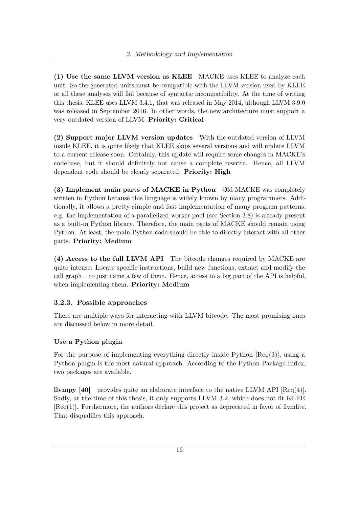**(1) Use the same LLVM version as KLEE** MACKE uses KLEE to analyze each unit. So the generated units must be compatible with the LLVM version used by KLEE or all these analyses will fail because of syntactic incompatibility. At the time of writing this thesis, KLEE uses LLVM 3.4.1, that was released in May 2014, although LLVM 3.9.0 was released in September 2016. In other words, the new architecture must support a very outdated version of LLVM. **Priority: Critical**

**(2) Support major LLVM version updates** With the outdated version of LLVM inside KLEE, it is quite likely that KLEE skips several versions and will update LLVM to a current release soon. Certainly, this update will require some changes in MACKE's codebase, but it should definitely not cause a complete rewrite. Hence, all LLVM dependent code should be clearly separated. **Priority: High**

**(3) Implement main parts of MACKE in Python** Old MACKE was completely written in Python because this language is widely known by many programmers. Additionally, it allows a pretty simple and fast implementation of many program patterns, e.g. the implementation of a parallelized worker pool (see Section [3.8\)](#page-46-0) is already present as a built-in Python library. Therefore, the main parts of MACKE should remain using Python. At least, the main Python code should be able to directly interact with all other parts. **Priority: Medium**

**(4) Access to the full LLVM API** The bitcode changes required by MACKE are quite intense: Locate specific instructions, build new functions, extract and modify the call graph – to just name a few of them. Hence, access to a big part of the API is helpful, when implementing them. **Priority: Medium**

## <span id="page-27-0"></span>**3.2.3. Possible approaches**

There are multiple ways for interacting with LLVM bitcode. The most promising ones are discussed below in more detail.

### **Use a Python plugin**

For the purpose of implementing everything directly inside Python  $[Req(3)]$ , using a Python plugin is the most natural approach. According to the Python Package Index, two packages are available.

**llvmpy [\[40\]](#page-104-4)** provides quite an elaborate interface to the native LLVM API [Req(4)]. Sadly, at the time of this thesis, it only supports LLVM 3.2, which does not fit KLEE  $[Req(1)].$  Furthermore, the authors declare this project as deprecated in favor of llvmlite. That disqualifies this approach.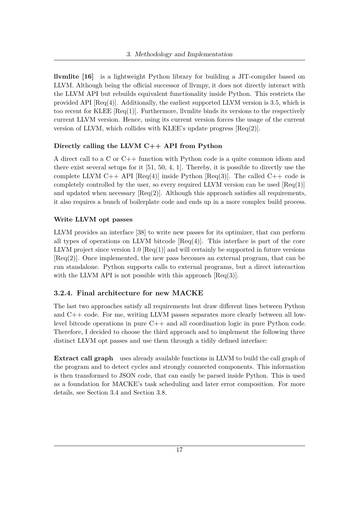**llvmlite [\[16\]](#page-102-2)** is a lightweight Python library for building a JIT-compiler based on LLVM. Although being the official successor of llympy, it does not directly interact with the LLVM API but rebuilds equivalent functionality inside Python. This restricts the provided API  $[{\rm Req}(4)]$ . Additionally, the earliest supported LLVM version is 3.5, which is too recent for KLEE [Req(1)]. Furthermore, llvmlite binds its versions to the respectively current LLVM version. Hence, using its current version forces the usage of the current version of LLVM, which collides with KLEE's update progress  $[Req(2)]$ .

#### **Directly calling the LLVM C++ API from Python**

A direct call to a C or C++ function with Python code is a quite common idiom and there exist several setups for it [\[51,](#page-104-5) [50,](#page-104-6) [4,](#page-101-2) [1\]](#page-101-3). Thereby, it is possible to directly use the complete LLVM C++ API  $[Reg(4)]$  inside Python  $[Reg(3)]$ . The called C++ code is completely controlled by the user, so every required LLVM version can be used  $[Req(1)]$ and updated when necessary  $[Reg(2)]$ . Although this approach satisfies all requirements, it also requires a bunch of boilerplate code and ends up in a more complex build process.

#### **Write LLVM opt passes**

LLVM provides an interface [\[38\]](#page-103-1) to write new passes for its optimizer, that can perform all types of operations on LLVM bitcode  $[{\rm Req}(4)]$ . This interface is part of the core LLVM project since version 1.0  $[{\rm Req}(1)]$  and will certainly be supported in future versions [Req(2)]. Once implemented, the new pass becomes an external program, that can be run standalone. Python supports calls to external programs, but a direct interaction with the LLVM API is not possible with this approach  $[{\rm Req}(3)]$ .

### <span id="page-28-0"></span>**3.2.4. Final architecture for new MACKE**

The last two approaches satisfy all requirements but draw different lines between Python and C++ code. For me, writing LLVM passes separates more clearly between all lowlevel bitcode operations in pure C++ and all coordination logic in pure Python code. Therefore, I decided to choose the third approach and to implement the following three distinct LLVM opt passes and use them through a tidily defined interface:

**Extract call graph** uses already available functions in LLVM to build the call graph of the program and to detect cycles and strongly connected components. This information is then transformed to JSON code, that can easily be parsed inside Python. This is used as a foundation for MACKE's task scheduling and later error composition. For more details, see Section [3.4](#page-32-0) and Section [3.8.](#page-46-0)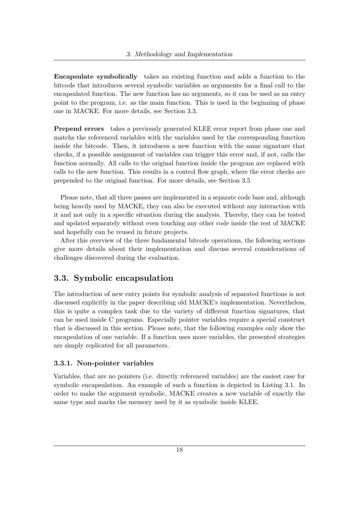**Encapsulate symbolically** takes an existing function and adds a function to the bitcode that introduces several symbolic variables as arguments for a final call to the encapsulated function. The new function has no arguments, so it can be used as an entry point to the program, i.e. as the main function. This is used in the beginning of phase one in MACKE. For more details, see Section [3.3.](#page-29-0)

**Prepend errors** takes a previously generated KLEE error report from phase one and matchs the referenced variables with the variables used by the corresponding function inside the bitcode. Then, it introduces a new function with the same signature that checks, if a possible assignment of variables can trigger this error and, if not, calls the function normally. All calls to the original function inside the program are replaced with calls to the new function. This results in a control flow graph, where the error checks are prepended to the original function. For more details, see Section [3.5](#page-34-0)

Please note, that all three passes are implemented in a separate code base and, although being heavily used by MACKE, they can also be executed without any interaction with it and not only in a specific situation during the analysis. Thereby, they can be tested and updated separately without even touching any other code inside the rest of MACKE and hopefully can be reused in future projects.

After this overview of the three fundamental bitcode operations, the following sections give more details about their implementation and discuss several considerations of challenges discovered during the evaluation.

## <span id="page-29-0"></span>**3.3. Symbolic encapsulation**

The introduction of new entry points for symbolic analysis of separated functions is not discussed explicitly in the paper describing old MACKE's implementation. Nevertheless, this is quite a complex task due to the variety of different function signatures, that can be used inside C programs. Especially pointer variables require a special construct that is discussed in this section. Please note, that the following examples only show the encapsulation of one variable. If a function uses more variables, the presented strategies are simply replicated for all parameters.

### <span id="page-29-1"></span>**3.3.1. Non-pointer variables**

Variables, that are no pointers (i.e. directly referenced variables) are the easiest case for symbolic encapsulation. An example of such a function is depicted in [Listing 3.1.](#page-30-1) In order to make the argument symbolic, MACKE creates a new variable of exactly the same type and marks the memory used by it as symbolic inside KLEE.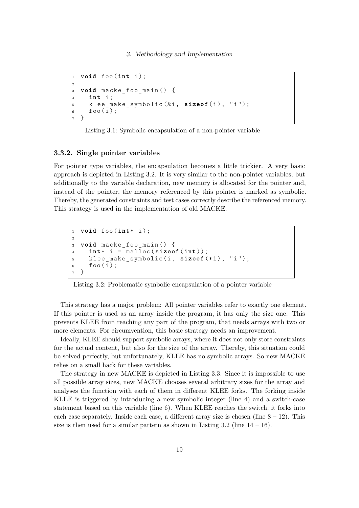```
1 void foo (int i);
2
3 void macke_foo_main () {
4 int i ;
5 klee_make_symbolic(&i, sizeof(i), "i");
6 foo(i);7 }
```
Listing 3.1: Symbolic encapsulation of a non-pointer variable

#### <span id="page-30-0"></span>**3.3.2. Single pointer variables**

For pointer type variables, the encapsulation becomes a little trickier. A very basic approach is depicted in [Listing 3.2.](#page-30-2) It is very similar to the non-pointer variables, but additionally to the variable declaration, new memory is allocated for the pointer and, instead of the pointer, the memory referenced by this pointer is marked as symbolic. Thereby, the generated constraints and test cases correctly describe the referenced memory. This strategy is used in the implementation of old MACKE.

```
1 void foo (int* i );
2
3 void macke_foo_main () {
4 int* i = malloc ( sizeof (int ));
5 klee_make_symbolic (i , sizeof (* i ) , " i " );
6 foo(i);7 }
```
Listing 3.2: Problematic symbolic encapsulation of a pointer variable

This strategy has a major problem: All pointer variables refer to exactly one element. If this pointer is used as an array inside the program, it has only the size one. This prevents KLEE from reaching any part of the program, that needs arrays with two or more elements. For circumvention, this basic strategy needs an improvement.

Ideally, KLEE should support symbolic arrays, where it does not only store constraints for the actual content, but also for the size of the array. Thereby, this situation could be solved perfectly, but unfortunately, KLEE has no symbolic arrays. So new MACKE relies on a small hack for these variables.

The strategy in new MACKE is depicted in [Listing 3.3.](#page-31-1) Since it is impossible to use all possible array sizes, new MACKE chooses several arbitrary sizes for the array and analyses the function with each of them in different KLEE forks. The forking inside KLEE is triggered by introducing a new symbolic integer (line 4) and a switch-case statement based on this variable (line 6). When KLEE reaches the switch, it forks into each case separately. Inside each case, a different array size is chosen (line  $8 - 12$ ). This size is then used for a similar pattern as shown in Listing  $3.2$  (line  $14 - 16$ ).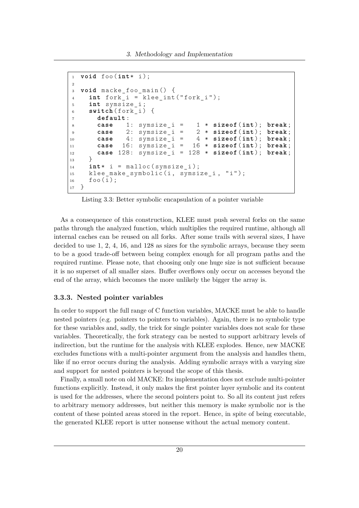3. Methodology and Implementation

```
1 void foo (int* i );
2
3 void macke_foo_main () {
4 int fork i = klee int (" fork i");
5 int symsize_i ;
6 switch (fork i) {
7 default :
8 case 1: symsize_i = 1 * sizeof (int ); break ;
9 case 2: symsize_i = 2 * sizeof (int ); break ;
10 case 4: symsize_i = 4 * sizeof (int ); break ;
11 case 16: symsize_i = 16 * sizeof (int ); break ;
12 case 128: symsize_i = 128 * sizeof (int ); break ;
13 }
14 int* i = malloc(symsize i);
15 klee_make_symbolic(i, symsize_i, "i");
16 foo(i);
17 }
```
Listing 3.3: Better symbolic encapsulation of a pointer variable

As a consequence of this construction, KLEE must push several forks on the same paths through the analyzed function, which multiplies the required runtime, although all internal caches can be reused on all forks. After some trails with several sizes, I have decided to use 1, 2, 4, 16, and 128 as sizes for the symbolic arrays, because they seem to be a good trade-off between being complex enough for all program paths and the required runtime. Please note, that choosing only one huge size is not sufficient because it is no superset of all smaller sizes. Buffer overflows only occur on accesses beyond the end of the array, which becomes the more unlikely the bigger the array is.

#### <span id="page-31-0"></span>**3.3.3. Nested pointer variables**

In order to support the full range of C function variables, MACKE must be able to handle nested pointers (e.g. pointers to pointers to variables). Again, there is no symbolic type for these variables and, sadly, the trick for single pointer variables does not scale for these variables. Theoretically, the fork strategy can be nested to support arbitrary levels of indirection, but the runtime for the analysis with KLEE explodes. Hence, new MACKE excludes functions with a multi-pointer argument from the analysis and handles them, like if no error occurs during the analysis. Adding symbolic arrays with a varying size and support for nested pointers is beyond the scope of this thesis.

Finally, a small note on old MACKE: Its implementation does not exclude multi-pointer functions explicitly. Instead, it only makes the first pointer layer symbolic and its content is used for the addresses, where the second pointers point to. So all its content just refers to arbitrary memory addresses, but neither this memory is make symbolic nor is the content of these pointed areas stored in the report. Hence, in spite of being executable, the generated KLEE report is utter nonsense without the actual memory content.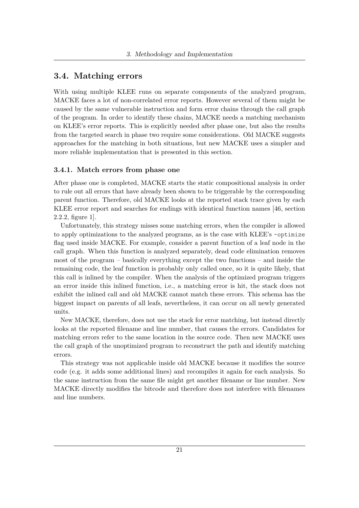## <span id="page-32-0"></span>**3.4. Matching errors**

With using multiple KLEE runs on separate components of the analyzed program, MACKE faces a lot of non-correlated error reports. However several of them might be caused by the same vulnerable instruction and form error chains through the call graph of the program. In order to identify these chains, MACKE needs a matching mechanism on KLEE's error reports. This is explicitly needed after phase one, but also the results from the targeted search in phase two require some considerations. Old MACKE suggests approaches for the matching in both situations, but new MACKE uses a simpler and more reliable implementation that is presented in this section.

#### <span id="page-32-1"></span>**3.4.1. Match errors from phase one**

After phase one is completed, MACKE starts the static compositional analysis in order to rule out all errors that have already been shown to be triggerable by the corresponding parent function. Therefore, old MACKE looks at the reported stack trace given by each KLEE error report and searches for endings with identical function names [\[46,](#page-104-0) section 2.2.2, figure 1].

Unfortunately, this strategy misses some matching errors, when the compiler is allowed to apply optimizations to the analyzed programs, as is the case with KLEE's –optimize flag used inside MACKE. For example, consider a parent function of a leaf node in the call graph. When this function is analyzed separately, dead code elimination removes most of the program – basically everything except the two functions – and inside the remaining code, the leaf function is probably only called once, so it is quite likely, that this call is inlined by the compiler. When the analysis of the optimized program triggers an error inside this inlined function, i.e., a matching error is hit, the stack does not exhibit the inlined call and old MACKE cannot match these errors. This schema has the biggest impact on parents of all leafs, nevertheless, it can occur on all newly generated units.

New MACKE, therefore, does not use the stack for error matching, but instead directly looks at the reported filename and line number, that causes the errors. Candidates for matching errors refer to the same location in the source code. Then new MACKE uses the call graph of the unoptimized program to reconstruct the path and identify matching errors.

This strategy was not applicable inside old MACKE because it modifies the source code (e.g. it adds some additional lines) and recompiles it again for each analysis. So the same instruction from the same file might get another filename or line number. New MACKE directly modifies the bitcode and therefore does not interfere with filenames and line numbers.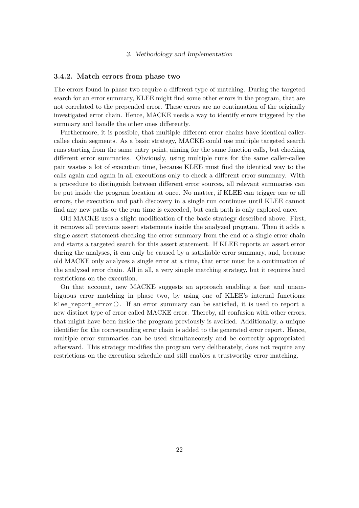#### <span id="page-33-0"></span>**3.4.2. Match errors from phase two**

The errors found in phase two require a different type of matching. During the targeted search for an error summary, KLEE might find some other errors in the program, that are not correlated to the prepended error. These errors are no continuation of the originally investigated error chain. Hence, MACKE needs a way to identify errors triggered by the summary and handle the other ones differently.

Furthermore, it is possible, that multiple different error chains have identical callercallee chain segments. As a basic strategy, MACKE could use multiple targeted search runs starting from the same entry point, aiming for the same function calls, but checking different error summaries. Obviously, using multiple runs for the same caller-callee pair wastes a lot of execution time, because KLEE must find the identical way to the calls again and again in all executions only to check a different error summary. With a procedure to distinguish between different error sources, all relevant summaries can be put inside the program location at once. No matter, if KLEE can trigger one or all errors, the execution and path discovery in a single run continues until KLEE cannot find any new paths or the run time is exceeded, but each path is only explored once.

Old MACKE uses a slight modification of the basic strategy described above. First, it removes all previous assert statements inside the analyzed program. Then it adds a single assert statement checking the error summary from the end of a single error chain and starts a targeted search for this assert statement. If KLEE reports an assert error during the analyses, it can only be caused by a satisfiable error summary, and, because old MACKE only analyzes a single error at a time, that error must be a continuation of the analyzed error chain. All in all, a very simple matching strategy, but it requires hard restrictions on the execution.

On that account, new MACKE suggests an approach enabling a fast and unambiguous error matching in phase two, by using one of KLEE's internal functions: klee report  $error()$ . If an error summary can be satisfied, it is used to report a new distinct type of error called MACKE error. Thereby, all confusion with other errors, that might have been inside the program previously is avoided. Additionally, a unique identifier for the corresponding error chain is added to the generated error report. Hence, multiple error summaries can be used simultaneously and be correctly appropriated afterward. This strategy modifies the program very deliberately, does not require any restrictions on the execution schedule and still enables a trustworthy error matching.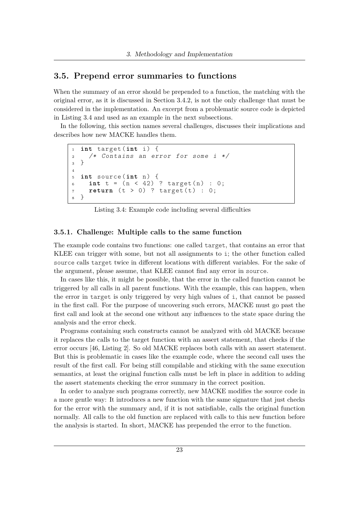## <span id="page-34-0"></span>**3.5. Prepend error summaries to functions**

When the summary of an error should be prepended to a function, the matching with the original error, as it is discussed in Section [3.4.2,](#page-33-0) is not the only challenge that must be considered in the implementation. An excerpt from a problematic source code is depicted in [Listing 3.4](#page-34-2) and used as an example in the next subsections.

In the following, this section names several challenges, discusses their implications and describes how new MACKE handles them.

```
1 int target (int i) {
2 /* Contains an error for some i */
3 }
4
5 int source (int n) {
6 int t = (n < 42) ? target (n) : 0;\tau return (t > 0) ? target (t) : 0;
8 }
```
Listing 3.4: Example code including several difficulties

#### <span id="page-34-1"></span>**3.5.1. Challenge: Multiple calls to the same function**

The example code contains two functions: one called target, that contains an error that KLEE can trigger with some, but not all assignments to i; the other function called source calls target twice in different locations with different variables. For the sake of the argument, please assume, that KLEE cannot find any error in source.

In cases like this, it might be possible, that the error in the called function cannot be triggered by all calls in all parent functions. With the example, this can happen, when the error in target is only triggered by very high values of i, that cannot be passed in the first call. For the purpose of uncovering such errors, MACKE must go past the first call and look at the second one without any influences to the state space during the analysis and the error check.

Programs containing such constructs cannot be analyzed with old MACKE because it replaces the calls to the target function with an assert statement, that checks if the error occurs [\[46,](#page-104-0) Listing 2]. So old MACKE replaces both calls with an assert statement. But this is problematic in cases like the example code, where the second call uses the result of the first call. For being still compilable and sticking with the same execution semantics, at least the original function calls must be left in place in addition to adding the assert statements checking the error summary in the correct position.

In order to analyze such programs correctly, new MACKE modifies the source code in a more gentle way: It introduces a new function with the same signature that just checks for the error with the summary and, if it is not satisfiable, calls the original function normally. All calls to the old function are replaced with calls to this new function before the analysis is started. In short, MACKE has prepended the error to the function.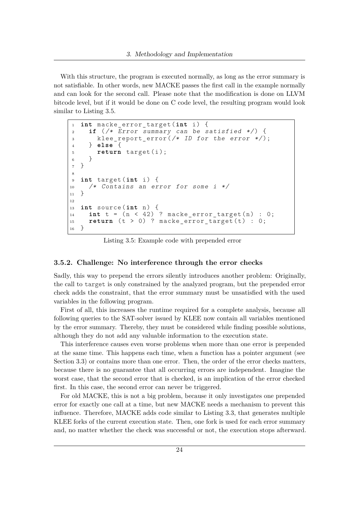With this structure, the program is executed normally, as long as the error summary is not satisfiable. In other words, new MACKE passes the first call in the example normally and can look for the second call. Please note that the modification is done on LLVM bitcode level, but if it would be done on C code level, the resulting program would look similar to [Listing 3.5.](#page-35-1)

```
1 int macke_error_target ( int i ) {
 2 if (/* Error summary can be satisfied */) {
 \begin{array}{ll}\n & \text{where} \\
 & \text{where} \\
 & \text{where} \\
 & \text{where} \\
 & \text{where} \\
 & \text{where} \\
 & \text{where} \\
 & \text{where} \\
 & \text{where} \\
 & \text{where} \\
 & \text{where} \\
 & \text{where} \\
 & \text{where} \\
 & \text{where} \\
 & \text{where} \\
 & \text{where} \\
 & \text{where} \\
 & \text{where} \\
 & \text{where} \\
 & \text{where} \\
 & \text{where} \\
 & \text{where} \\
 & \text{where} \\
 & \text{where} \\
 & \text{where} \\
 & \text{where} \\
 & \text{where} \\
 & \text{where} \\
 & \text{where} \\
 & \text{where} \\
 & \4 } else {
 5 return target (i);
 6 }
 7 }
 8
 9 int target (int i ) {
10 /* Contains an error for some i */
11 }
12
13 int source (int n) {
14 int t = (n < 42) ? macke error target (n) : 0;
15 return (t > 0) ? macke error target (t) : 0;
16 }
```
Listing 3.5: Example code with prepended error

#### <span id="page-35-0"></span>**3.5.2. Challenge: No interference through the error checks**

Sadly, this way to prepend the errors silently introduces another problem: Originally, the call to target is only constrained by the analyzed program, but the prepended error check adds the constraint, that the error summary must be unsatisfied with the used variables in the following program.

First of all, this increases the runtime required for a complete analysis, because all following queries to the SAT-solver issued by KLEE now contain all variables mentioned by the error summary. Thereby, they must be considered while finding possible solutions, although they do not add any valuable information to the execution state.

This interference causes even worse problems when more than one error is prepended at the same time. This happens each time, when a function has a pointer argument (see Section [3.3\)](#page-29-0) or contains more than one error. Then, the order of the error checks matters, because there is no guarantee that all occurring errors are independent. Imagine the worst case, that the second error that is checked, is an implication of the error checked first. In this case, the second error can never be triggered.

For old MACKE, this is not a big problem, because it only investigates one prepended error for exactly one call at a time, but new MACKE needs a mechanism to prevent this influence. Therefore, MACKE adds code similar to [Listing 3.3,](#page-31-1) that generates multiple KLEE forks of the current execution state. Then, one fork is used for each error summary and, no matter whether the check was successful or not, the execution stops afterward.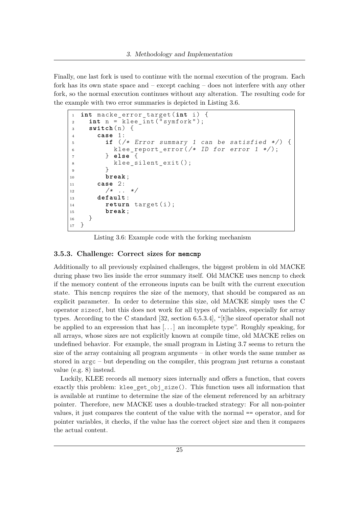Finally, one last fork is used to continue with the normal execution of the program. Each fork has its own state space and – except caching – does not interfere with any other fork, so the normal execution continues without any alteration. The resulting code for the example with two error summaries is depicted in [Listing 3.6.](#page-36-0)

```
1 int macke_error_target ( int i ) {
2 int n = klee_int ( " symfork " );
3 switch (n) {
4 case 1:
5 if (/* Error summary 1 can be satisfied */) {
6 klee_report_error (/* ID for error 1 */ );
7 } else {
8 klee_silent_exit();
9 }
10 break ;
11 case 2:
12 /* .. */
13 default :
14 return target (i);
15 break ;
16 }
17 }
```
Listing 3.6: Example code with the forking mechanism

## **3.5.3. Challenge: Correct sizes for memcmp**

Additionally to all previously explained challenges, the biggest problem in old MACKE during phase two lies inside the error summary itself. Old MACKE uses memcmp to check if the memory content of the erroneous inputs can be built with the current execution state. This memcmp requires the size of the memory, that should be compared as an explicit parameter. In order to determine this size, old MACKE simply uses the C operator sizeof, but this does not work for all types of variables, especially for array types. According to the C standard [\[32,](#page-103-0) section 6.5.3.4], "[t]he sizeof operator shall not be applied to an expression that has  $[\dots]$  an incomplete type". Roughly speaking, for all arrays, whose sizes are not explicitly known at compile time, old MACKE relies on undefined behavior. For example, the small program in [Listing 3.7](#page-37-0) seems to return the size of the array containing all program arguments – in other words the same number as stored in argc – but depending on the compiler, this program just returns a constant value (e.g. 8) instead.

Luckily, KLEE records all memory sizes internally and offers a function, that covers exactly this problem: klee get obj size(). This function uses all information that is available at runtime to determine the size of the element referenced by an arbitrary pointer. Therefore, new MACKE uses a double-tracked strategy: For all non-pointer values, it just compares the content of the value with the normal == operator, and for pointer variables, it checks, if the value has the correct object size and then it compares the actual content.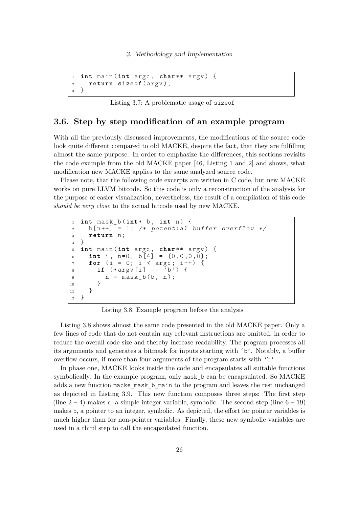```
1 int main (int argc , char ** argv ) {
2 return sizeof (argv);
3 }
```
Listing 3.7: A problematic usage of sizeof

## **3.6. Step by step modification of an example program**

With all the previously discussed improvements, the modifications of the source code look quite different compared to old MACKE, despite the fact, that they are fulfilling almost the same purpose. In order to emphasize the differences, this sections revisits the code example from the old MACKE paper [\[46,](#page-104-0) Listing 1 and 2] and shows, what modification new MACKE applies to the same analyzed source code.

Please note, that the following code excerpts are written in C code, but new MACKE works on pure LLVM bitcode. So this code is only a reconstruction of the analysis for the purpose of easier visualization, nevertheless, the result of a compilation of this code *should be very close* to the actual bitcode used by new MACKE.

```
1 int mask_b (int* b , int n ) {
2 b \lceil n + + \rceil = 1; /* potential buffer overflow */
3 return n;
4 }
5 int main (int argc , char ** argv ) {
6 int i, n=0, b[4] = \{0, 0, 0, 0\};
7 for (i = 0; i < argc; i++) {
8 if (*\text{argv}[i] == 'b') {
9 n = mask_b(b, n);<br>10 }
\begin{matrix} 10\\ 11 \end{matrix}\begin{array}{c} 11 \\ 12 \end{array}12 }
```
Listing 3.8: Example program before the analysis

[Listing 3.8](#page-37-1) shows almost the same code presented in the old MACKE paper. Only a few lines of code that do not contain any relevant instructions are omitted, in order to reduce the overall code size and thereby increase readability. The program processes all its arguments and generates a bitmask for inputs starting with 'b'. Notably, a buffer overflow occurs, if more than four arguments of the program starts with 'b'

In phase one, MACKE looks inside the code and encapsulates all suitable functions symbolically. In the example program, only mask\_b can be encapsulated. So MACKE adds a new function macke\_mask\_b\_main to the program and leaves the rest unchanged as depicted in [Listing 3.9.](#page-38-0) This new function composes three steps: The first step (line  $2 - 4$ ) makes n, a simple integer variable, symbolic. The second step (line  $6 - 19$ ) makes b, a pointer to an integer, symbolic. As depicted, the effort for pointer variables is much higher than for non-pointer variables. Finally, these new symbolic variables are used in a third step to call the encapsulated function.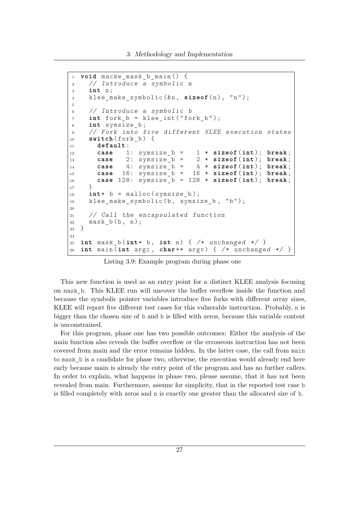```
1 void macke_mask_b_main () {
2 // Introduce a symbolic n
3 int n ;
4 klee_make_symbolic(&n, sizeof(n), "n");
5
6 // Introduce a symbolic b
7 int fork_b = klee_int ( " fork_b " );
8 int symsize_b ;
9 // Fork into five different KLEE execution states
10 switch (fork_b) {
11 default :
12 case 1: symsize_b = 1 * sizeof (int ); break ;
13 case 2: symsize_b = 2 * sizeof (int ); break ;
14 case 4: symsize_b = 4 * sizeof (int ); break ;
15 case 16: symsize_b = 16 * sizeof (int ); break ;
16 case 128: symsize_b = 128 * sizeof (int ); break ;
17 }
18 int* b = malloc(symsize b);
19 klee_make_symbolic(b, symsize_b, "b");
20
21 // Call the encapsulated function
22 mask b(b, n);
23 }
24
25 int mask_b(int* b, int n) { /* unchanged */ }
26 int main (int argc , char ** argv ) { /* unchanged */ }
```
Listing 3.9: Example program during phase one

This new function is used as an entry point for a distinct KLEE analysis focusing on mask\_b. This KLEE run will uncover the buffer overflow inside the function and because the symbolic pointer variables introduce five forks with different array sizes, KLEE will report five different test cases for this vulnerable instruction. Probably, n is bigger than the chosen size of b and b is filled with zeros, because this variable content is unconstrained.

For this program, phase one has two possible outcomes: Either the analysis of the main function also reveals the buffer overflow or the erroneous instruction has not been covered from main and the error remains hidden. In the latter case, the call from main to mask\_b is a candidate for phase two, otherwise, the execution would already end here early because main is already the entry point of the program and has no further callers. In order to explain, what happens in phase two, please assume, that it has not been revealed from main. Furthermore, assume for simplicity, that in the reported test case b is filled completely with zeros and n is exactly one greater than the allocated size of b.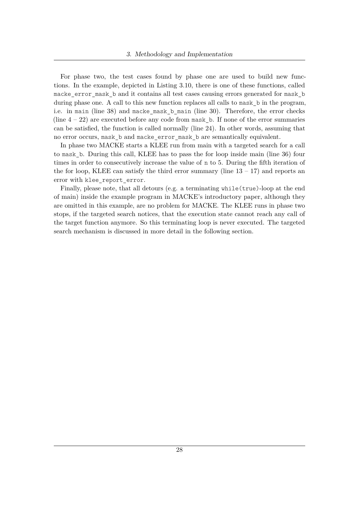For phase two, the test cases found by phase one are used to build new functions. In the example, depicted in [Listing 3.10,](#page-40-0) there is one of these functions, called macke error mask b and it contains all test cases causing errors generated for mask b during phase one. A call to this new function replaces all calls to mask\_b in the program, i.e. in main (line 38) and macke\_mask\_b\_main (line 30). Therefore, the error checks (line  $4 - 22$ ) are executed before any code from mask b. If none of the error summaries can be satisfied, the function is called normally (line 24). In other words, assuming that no error occurs, mask\_b and macke\_error\_mask\_b are semantically equivalent.

In phase two MACKE starts a KLEE run from main with a targeted search for a call to mask\_b. During this call, KLEE has to pass the for loop inside main (line 36) four times in order to consecutively increase the value of n to 5. During the fifth iteration of the for loop, KLEE can satisfy the third error summary (line  $13 - 17$ ) and reports an error with klee report error.

Finally, please note, that all detours (e.g. a terminating while(true)-loop at the end of main) inside the example program in MACKE's introductory paper, although they are omitted in this example, are no problem for MACKE. The KLEE runs in phase two stops, if the targeted search notices, that the execution state cannot reach any call of the target function anymore. So this terminating loop is never executed. The targeted search mechanism is discussed in more detail in the following section.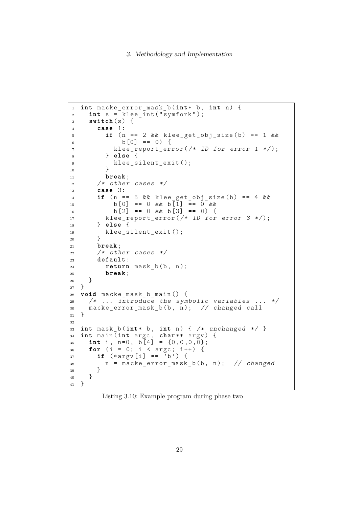```
1 int macke_error_mask_b ( int* b , int n ) {
2 int s = klee_int ( " symfork " );
3 switch (s) {
4 case 1:
5 if ( n == 2 && klee_get_obj_size ( b ) == 1 &&
6 b [0] == 0) {
7 klee_report_error (/* ID for error 1 */ );
8 } else {
9 klee_silent_exit();
10 }
11 break ;
12 /* other cases */
13 case 3:
14 if (n == 5 \&\&\text{ klee\_get\_obj\_size(b)} == 4 \&\&\text{ kto}15 b [0] == 0 && b [1] == 0 &&
16 b [2] == 0 & & b [3] == 0 {
17 klee report error (\nmid * 1D for error 3 */;
18 } else {
19 klee_silent_exit ();
20 }
21 break ;
22 /* other cases */
23 default :
24 return mask_b(b, n);
25 break ;
\begin{matrix} 26\\27\end{matrix}\quad \Big\}27 }
28 void macke_mask_b_main () {
29 /* ... introduce the symbolic variables ... */
30 macke_error_mask_b(b, n); // changed call<br>31 }
31 }
32
33 int mask_b(int* b, int n) { /* unchanged */ }
34 int main (int argc , char ** argv ) {
35 int i, n=0, b[4] = \{0,0,0,0\};36 for (i = 0; i < argc; i++) {
37 if (*\text{argv}[i] == 'b') {
38 n = \text{make\_error\_mask\_b} (b, n); // changed
39 }
40 }
41 }
```
Listing 3.10: Example program during phase two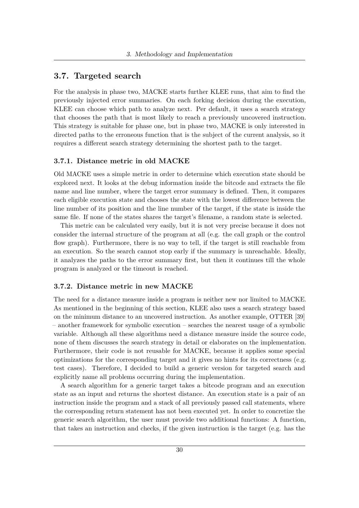## **3.7. Targeted search**

For the analysis in phase two, MACKE starts further KLEE runs, that aim to find the previously injected error summaries. On each forking decision during the execution, KLEE can choose which path to analyze next. Per default, it uses a search strategy that chooses the path that is most likely to reach a previously uncovered instruction. This strategy is suitable for phase one, but in phase two, MACKE is only interested in directed paths to the erroneous function that is the subject of the current analysis, so it requires a different search strategy determining the shortest path to the target.

## **3.7.1. Distance metric in old MACKE**

Old MACKE uses a simple metric in order to determine which execution state should be explored next. It looks at the debug information inside the bitcode and extracts the file name and line number, where the target error summary is defined. Then, it compares each eligible execution state and chooses the state with the lowest difference between the line number of its position and the line number of the target, if the state is inside the same file. If none of the states shares the target's filename, a random state is selected.

This metric can be calculated very easily, but it is not very precise because it does not consider the internal structure of the program at all (e.g. the call graph or the control flow graph). Furthermore, there is no way to tell, if the target is still reachable from an execution. So the search cannot stop early if the summary is unreachable. Ideally, it analyzes the paths to the error summary first, but then it continues till the whole program is analyzed or the timeout is reached.

#### **3.7.2. Distance metric in new MACKE**

The need for a distance measure inside a program is neither new nor limited to MACKE. As mentioned in the beginning of this section, KLEE also uses a search strategy based on the minimum distance to an uncovered instruction. As another example, OTTER [\[39\]](#page-104-1) – another framework for symbolic execution – searches the nearest usage of a symbolic variable. Although all these algorithms need a distance measure inside the source code, none of them discusses the search strategy in detail or elaborates on the implementation. Furthermore, their code is not reusable for MACKE, because it applies some special optimizations for the corresponding target and it gives no hints for its correctness (e.g. test cases). Therefore, I decided to build a generic version for targeted search and explicitly name all problems occurring during the implementation.

A search algorithm for a generic target takes a bitcode program and an execution state as an input and returns the shortest distance. An execution state is a pair of an instruction inside the program and a stack of all previously passed call statements, where the corresponding return statement has not been executed yet. In order to concretize the generic search algorithm, the user must provide two additional functions: A function, that takes an instruction and checks, if the given instruction is the target (e.g. has the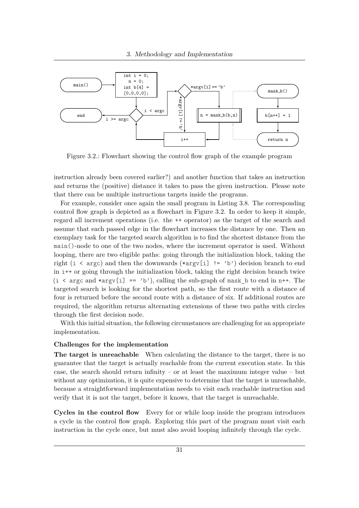<span id="page-42-0"></span>

Figure 3.2.: Flowchart showing the control flow graph of the example program

instruction already been covered earlier?) and another function that takes an instruction and returns the (positive) distance it takes to pass the given instruction. Please note that there can be multiple instructions targets inside the programs.

For example, consider once again the small program in [Listing 3.8.](#page-37-1) The corresponding control flow graph is depicted as a flowchart in [Figure 3.2.](#page-42-0) In order to keep it simple, regard all increment operations (i.e. the ++ operator) as the target of the search and assume that each passed edge in the flowchart increases the distance by one. Then an exemplary task for the targeted search algorithm is to find the shortest distance from the main()-node to one of the two nodes, where the increment operator is used. Without looping, there are two eligible paths: going through the initialization block, taking the right (i < argc) and then the downwards (\*argv[i]  $!=$  'b') decision branch to end in i++ or going through the initialization block, taking the right decision branch twice  $(i \ltq \arg c \text{ and } \arccos \lfloor i \rfloor == 'b'),$  calling the sub-graph of mask b to end in n++. The targeted search is looking for the shortest path, so the first route with a distance of four is returned before the second route with a distance of six. If additional routes are required, the algorithm returns alternating extensions of these two paths with circles through the first decision node.

With this initial situation, the following circumstances are challenging for an appropriate implementation.

#### **Challenges for the implementation**

**The target is unreachable** When calculating the distance to the target, there is no guarantee that the target is actually reachable from the current execution state. In this case, the search should return infinity – or at least the maximum integer value – but without any optimization, it is quite expensive to determine that the target is unreachable, because a straightforward implementation needs to visit each reachable instruction and verify that it is not the target, before it knows, that the target is unreachable.

**Cycles in the control flow** Every for or while loop inside the program introduces a cycle in the control flow graph. Exploring this part of the program must visit each instruction in the cycle once, but must also avoid looping infinitely through the cycle.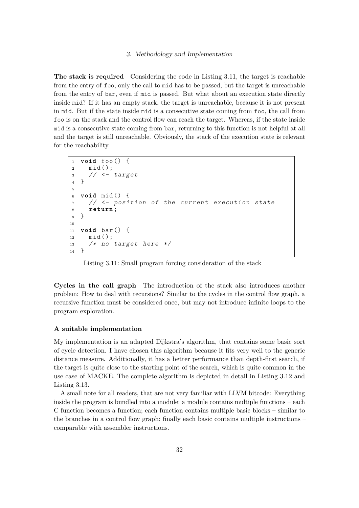**The stack is required** Considering the code in [Listing 3.11,](#page-43-0) the target is reachable from the entry of foo, only the call to mid has to be passed, but the target is unreachable from the entry of bar, even if mid is passed. But what about an execution state directly inside mid? If it has an empty stack, the target is unreachable, because it is not present in mid. But if the state inside mid is a consecutive state coming from foo, the call from foo is on the stack and the control flow can reach the target. Whereas, if the state inside mid is a consecutive state coming from bar, returning to this function is not helpful at all and the target is still unreachable. Obviously, the stack of the execution state is relevant for the reachability.

```
1 void foo () {
2 mid ();
3 // \leftarrow target
4 }
5
6 void mid () {
7 // <- position of the current execution state
8 return ;
9 }
10
11 void bar () {
12 mid ();
13 /* no target here */
14 }
```
Listing 3.11: Small program forcing consideration of the stack

**Cycles in the call graph** The introduction of the stack also introduces another problem: How to deal with recursions? Similar to the cycles in the control flow graph, a recursive function must be considered once, but may not introduce infinite loops to the program exploration.

#### **A suitable implementation**

My implementation is an adapted Dijkstra's algorithm, that contains some basic sort of cycle detection. I have chosen this algorithm because it fits very well to the generic distance measure. Additionally, it has a better performance than depth-first search, if the target is quite close to the starting point of the search, which is quite common in the use case of MACKE. The complete algorithm is depicted in detail in [Listing 3.12](#page-44-0) and [Listing 3.13.](#page-45-0)

A small note for all readers, that are not very familiar with LLVM bitcode: Everything inside the program is bundled into a module; a module contains multiple functions – each C function becomes a function; each function contains multiple basic blocks – similar to the branches in a control flow graph; finally each basic contains multiple instructions – comparable with assembler instructions.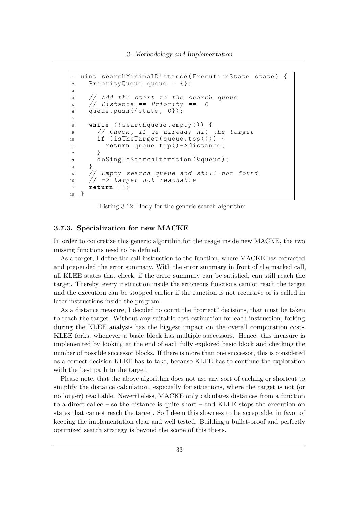```
1 uint searchMinimalDistance (ExecutionState state) {
2 PriorityQueue queue = {};
3
4 // Add the start to the search queue
5 / Distance == Priority == 0
6 queue. push ({\text{state}, 0});
7
8 while (! searchqueue . empty ()) {
9 // Check , if we already hit the target
10 if ( isTheTarget ( queue . top ())) {
11 return queue . top () ->distance;
12 }
13 doSingleSearchIteration (& queue);
14 }
15 // Empty search queue and still not found
16 // \rightarrow target not reachable
17 return -1;<br>18}
18 }
```
Listing 3.12: Body for the generic search algorithm

#### **3.7.3. Specialization for new MACKE**

In order to concretize this generic algorithm for the usage inside new MACKE, the two missing functions need to be defined.

As a target, I define the call instruction to the function, where MACKE has extracted and prepended the error summary. With the error summary in front of the marked call, all KLEE states that check, if the error summary can be satisfied, can still reach the target. Thereby, every instruction inside the erroneous functions cannot reach the target and the execution can be stopped earlier if the function is not recursive or is called in later instructions inside the program.

As a distance measure, I decided to count the "correct" decisions, that must be taken to reach the target. Without any suitable cost estimation for each instruction, forking during the KLEE analysis has the biggest impact on the overall computation costs. KLEE forks, whenever a basic block has multiple successors. Hence, this measure is implemented by looking at the end of each fully explored basic block and checking the number of possible successor blocks. If there is more than one successor, this is considered as a correct decision KLEE has to take, because KLEE has to continue the exploration with the best path to the target.

Please note, that the above algorithm does not use any sort of caching or shortcut to simplify the distance calculation, especially for situations, where the target is not (or no longer) reachable. Nevertheless, MACKE only calculates distances from a function to a direct callee – so the distance is quite short – and KLEE stops the execution on states that cannot reach the target. So I deem this slowness to be acceptable, in favor of keeping the implementation clear and well tested. Building a bullet-proof and perfectly optimized search strategy is beyond the scope of this thesis.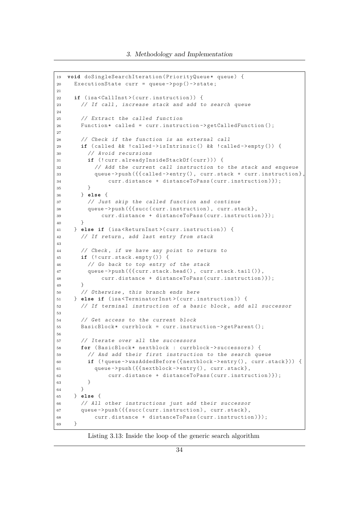```
19 void doSingleSearchIteration (PriorityQueue* queue) {
20 ExecutionState curr = queue - \gt{pop() - \gt{state}};
21
22 if ( isa < CallInst >( curr . instruction )) {
23 // If call , increase stack and add to search queue
24
25 // Extract the called function
26 Function * called = curr. instruction ->getCalledFunction ();
27
28 // Check if the function is an external call
29 if ( called && ! called - > isIntrinsic () && ! called - > empty ()) {
30 // Avoid recursions
31 if (! curr . alreadyInsideStackOf ( curr ))) {
32 // Add the current call instruction to the stack and enqueue
33 queue -> push ({{called -> entry (), curr.stack + curr.instruction},
34 curr . distance + distanceToPass ( curr . instruction )});
35 }
36 } else {
37 // Just skip the called function and continue
38 queue - > push ({{ { succ ( curr . instruction ) , curr . stack } ,
39 curr . distance + distanceToPass ( curr . instruction )});
40 }
41 } else if ( isa < ReturnInst >( curr . instruction )) {
42 // If return, add last entry from stack
43
44 // Check , if we have any point to return to
45 if (! curr . stack . empty ()) {
46 // Go back to top entry of the stack
47 queue -> push ({{ curr . stack . head (), curr . stack . tail () },
48 curr . distance + distanceToPass ( curr . instruction )});
49 }
50 // Otherwise , this branch ends here
51 } else if (isa<TerminatorInst>(curr.instruction)) {
52 // If terminal instruction of a basic block , add all successor
53
54 // Get access to the current block
55 BasicBlock* currblock = curr.instruction->getParent();
56
57 // Iterate over all the successors
58 for ( BasicBlock * nextblock : currblock - > successors ) {
59 // And add their first instruction to the search queue
60 if (! queue - > wasAddedBefore ({ nextblock - > entry () , curr . stack })) {
61 queue -> push ({{nextblock -> entry (), curr.stack},
62 curr . distance + distanceToPass ( curr . instruction ) });
63 }<br>64 }
64 }
65 } else {
66 // All other instructions just add their successor
67 queue - > push ({ { succ ( curr . instruction ), curr . stack },
68 curr . distance + distanceToPass ( curr . instruction )});
69 }
```
Listing 3.13: Inside the loop of the generic search algorithm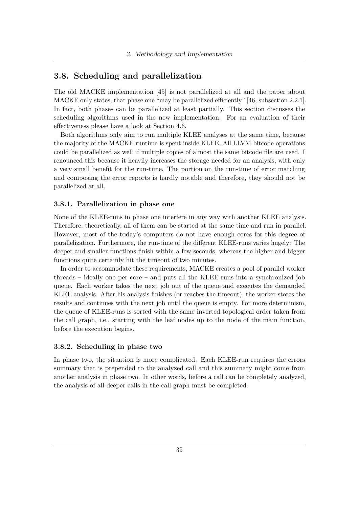## <span id="page-46-0"></span>**3.8. Scheduling and parallelization**

The old MACKE implementation [\[45\]](#page-104-2) is not parallelized at all and the paper about MACKE only states, that phase one "may be parallelized efficiently" [\[46,](#page-104-0) subsection 2.2.1]. In fact, both phases can be parallelized at least partially. This section discusses the scheduling algorithms used in the new implementation. For an evaluation of their effectiveness please have a look at Section [4.6.](#page-66-0)

Both algorithms only aim to run multiple KLEE analyses at the same time, because the majority of the MACKE runtime is spent inside KLEE. All LLVM bitcode operations could be parallelized as well if multiple copies of almost the same bitcode file are used. I renounced this because it heavily increases the storage needed for an analysis, with only a very small benefit for the run-time. The portion on the run-time of error matching and composing the error reports is hardly notable and therefore, they should not be parallelized at all.

#### **3.8.1. Parallelization in phase one**

None of the KLEE-runs in phase one interfere in any way with another KLEE analysis. Therefore, theoretically, all of them can be started at the same time and run in parallel. However, most of the today's computers do not have enough cores for this degree of parallelization. Furthermore, the run-time of the different KLEE-runs varies hugely: The deeper and smaller functions finish within a few seconds, whereas the higher and bigger functions quite certainly hit the timeout of two minutes.

In order to accommodate these requirements, MACKE creates a pool of parallel worker threads – ideally one per core – and puts all the KLEE-runs into a synchronized job queue. Each worker takes the next job out of the queue and executes the demanded KLEE analysis. After his analysis finishes (or reaches the timeout), the worker stores the results and continues with the next job until the queue is empty. For more determinism, the queue of KLEE-runs is sorted with the same inverted topological order taken from the call graph, i.e., starting with the leaf nodes up to the node of the main function, before the execution begins.

#### **3.8.2. Scheduling in phase two**

In phase two, the situation is more complicated. Each KLEE-run requires the errors summary that is prepended to the analyzed call and this summary might come from another analysis in phase two. In other words, before a call can be completely analyzed, the analysis of all deeper calls in the call graph must be completed.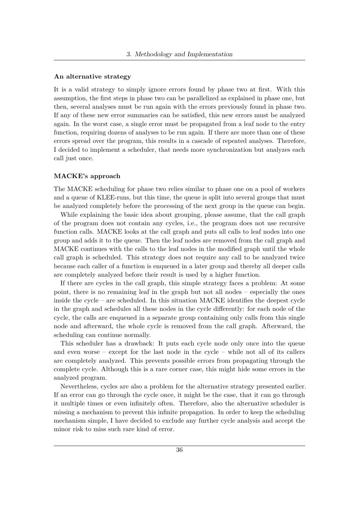#### **An alternative strategy**

It is a valid strategy to simply ignore errors found by phase two at first. With this assumption, the first steps in phase two can be parallelized as explained in phase one, but then, several analyses must be run again with the errors previously found in phase two. If any of these new error summaries can be satisfied, this new errors must be analyzed again. In the worst case, a single error must be propagated from a leaf node to the entry function, requiring dozens of analyses to be run again. If there are more than one of these errors spread over the program, this results in a cascade of repeated analyses. Therefore, I decided to implement a scheduler, that needs more synchronization but analyzes each call just once.

#### **MACKE's approach**

The MACKE scheduling for phase two relies similar to phase one on a pool of workers and a queue of KLEE-runs, but this time, the queue is split into several groups that must be analyzed completely before the processing of the next group in the queue can begin.

While explaining the basic idea about grouping, please assume, that the call graph of the program does not contain any cycles, i.e., the program does not use recursive function calls. MACKE looks at the call graph and puts all calls to leaf nodes into one group and adds it to the queue. Then the leaf nodes are removed from the call graph and MACKE continues with the calls to the leaf nodes in the modified graph until the whole call graph is scheduled. This strategy does not require any call to be analyzed twice because each caller of a function is enqueued in a later group and thereby all deeper calls are completely analyzed before their result is used by a higher function.

If there are cycles in the call graph, this simple strategy faces a problem: At some point, there is no remaining leaf in the graph but not all nodes – especially the ones inside the cycle – are scheduled. In this situation MACKE identifies the deepest cycle in the graph and schedules all these nodes in the cycle differently: for each node of the cycle, the calls are enqueued in a separate group containing only calls from this single node and afterward, the whole cycle is removed from the call graph. Afterward, the scheduling can continue normally.

This scheduler has a drawback: It puts each cycle node only once into the queue and even worse – except for the last node in the cycle – while not all of its callers are completely analyzed. This prevents possible errors from propagating through the complete cycle. Although this is a rare corner case, this might hide some errors in the analyzed program.

Nevertheless, cycles are also a problem for the alternative strategy presented earlier. If an error can go through the cycle once, it might be the case, that it can go through it multiple times or even infinitely often. Therefore, also the alternative scheduler is missing a mechanism to prevent this infinite propagation. In order to keep the scheduling mechanism simple, I have decided to exclude any further cycle analysis and accept the minor risk to miss such rare kind of error.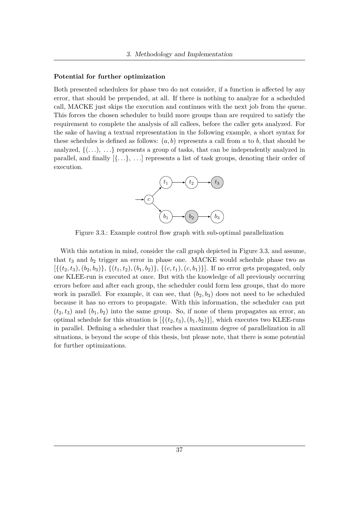#### **Potential for further optimization**

Both presented schedulers for phase two do not consider, if a function is affected by any error, that should be prepended, at all. If there is nothing to analyze for a scheduled call, MACKE just skips the execution and continues with the next job from the queue. This forces the chosen scheduler to build more groups than are required to satisfy the requirement to complete the analysis of all callees, before the caller gets analyzed. For the sake of having a textual representation in the following example, a short syntax for these schedules is defined as follows:  $(a, b)$  represents a call from  $a$  to  $b$ , that should be analyzed,  $\{(\ldots), \ldots\}$  represents a group of tasks, that can be independently analyzed in parallel, and finally [{*. . .*}, *. . .*] represents a list of task groups, denoting their order of execution.

<span id="page-48-0"></span>

Figure 3.3.: Example control flow graph with sub-optimal parallelization

With this notation in mind, consider the call graph depicted in Figure [3.3,](#page-48-0) and assume, that *t*<sup>3</sup> and *b*<sup>2</sup> trigger an error in phase one. MACKE would schedule phase two as  $[\{(t_2, t_3), (b_2, b_3)\}, \{(t_1, t_2), (b_1, b_2)\}, \{(c, t_1), (c, b_1)\}].$  If no error gets propagated, only one KLEE-run is executed at once. But with the knowledge of all previously occurring errors before and after each group, the scheduler could form less groups, that do more work in parallel. For example, it can see, that  $(b_2, b_3)$  does not need to be scheduled because it has no errors to propagate. With this information, the scheduler can put  $(t_2, t_3)$  and  $(b_1, b_2)$  into the same group. So, if none of them propagates an error, an optimal schedule for this situation is  $[\{(t_2, t_3), (b_1, b_2)\}]$ , which executes two KLEE-runs in parallel. Defining a scheduler that reaches a maximum degree of parallelization in all situations, is beyond the scope of this thesis, but please note, that there is some potential for further optimizations.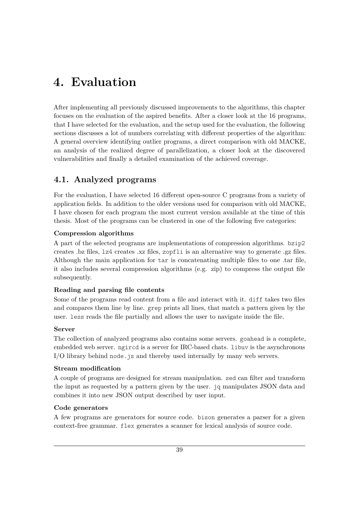# **4. Evaluation**

After implementing all previously discussed improvements to the algorithms, this chapter focuses on the evaluation of the aspired benefits. After a closer look at the 16 programs, that I have selected for the evaluation, and the setup used for the evaluation, the following sections discusses a lot of numbers correlating with different properties of the algorithm: A general overview identifying outlier programs, a direct comparison with old MACKE, an analysis of the realized degree of parallelization, a closer look at the discovered vulnerabilities and finally a detailed examination of the achieved coverage.

# **4.1. Analyzed programs**

For the evaluation, I have selected 16 different open-source C programs from a variety of application fields. In addition to the older versions used for comparison with old MACKE, I have chosen for each program the most current version available at the time of this thesis. Most of the programs can be clustered in one of the following five categories:

## **Compression algorithms**

A part of the selected programs are implementations of compression algorithms. bzip2 creates .bz files, lz4 creates .xz files, zopfli is an alternative way to generate .gz files. Although the main application for tar is concatenating multiple files to one .tar file, it also includes several compression algorithms (e.g. zip) to compress the output file subsequently.

## **Reading and parsing file contents**

Some of the programs read content from a file and interact with it. diff takes two files and compares them line by line. grep prints all lines, that match a pattern given by the user. less reads the file partially and allows the user to navigate inside the file.

## **Server**

The collection of analyzed programs also contains some servers. goahead is a complete, embedded web server. ngircd is a server for IRC-based chats. libuv is the asynchronous I/O library behind node, is and thereby used internally by many web servers.

## **Stream modification**

A couple of programs are designed for stream manipulation. sed can filter and transform the input as requested by a pattern given by the user. jq manipulates JSON data and combines it into new JSON output described by user input.

## **Code generators**

A few programs are generators for source code. bison generates a parser for a given context-free grammar. flex generates a scanner for lexical analysis of source code.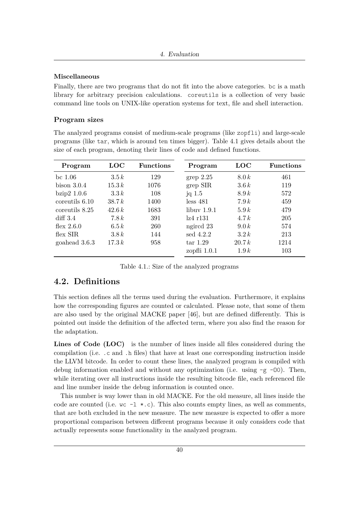## **Miscellaneous**

Finally, there are two programs that do not fit into the above categories. bc is a math library for arbitrary precision calculations. coreutils is a collection of very basic command line tools on UNIX-like operation systems for text, file and shell interaction.

## **Program sizes**

The analyzed programs consist of medium-scale programs (like zopfli) and large-scale programs (like tar, which is around ten times bigger). Table [4.1](#page-51-0) gives details about the size of each program, denoting their lines of code and defined functions.

<span id="page-51-0"></span>

| Program         | $_{\mathrm{LOC}}$ | <b>Functions</b> | Program        | $_{\mathrm{LOC}}$ | <b>Functions</b> |
|-----------------|-------------------|------------------|----------------|-------------------|------------------|
| bc $1.06$       | 3.5k              | 129              | grep 2.25      | 8.0k              | 461              |
| bison $3.0.4$   | 15.3k             | 1076             | grep SIR       | 3.6k              | 119              |
| bzip $2\,1.0.6$ | 3.3k              | 108              | jq $1.5$       | 8.9k              | 572              |
| coreutils 6.10  | 38.7k             | 1400             | less 481       | 7.9k              | 459              |
| coreutils 8.25  | 42.6k             | 1683             | libuv 1.9.1    | 5.9k              | 479              |
| $diff\,3.4$     | 7.8k              | 391              | lz4 r131       | 4.7k              | 205              |
| flex $2.6.0$    | 6.5k              | 260              | ngircd 23      | 9.0k              | 574              |
| flex SIR        | 3.8k              | 144              | sed $4.2.2$    | 3.2k              | 213              |
| goahead 3.6.3   | 17.3 k            | 958              | tar 1.29       | 20.7k             | 1214             |
|                 |                   |                  | zopfli $1.0.1$ | 1.9k              | 103              |

Table 4.1.: Size of the analyzed programs

## **4.2. Definitions**

This section defines all the terms used during the evaluation. Furthermore, it explains how the corresponding figures are counted or calculated. Please note, that some of them are also used by the original MACKE paper [\[46\]](#page-104-0), but are defined differently. This is pointed out inside the definition of the affected term, where you also find the reason for the adaptation.

Lines of Code (LOC) is the number of lines inside all files considered during the compilation (i.e. .c and .h files) that have at least one corresponding instruction inside the LLVM bitcode. In order to count these lines, the analyzed program is compiled with debug information enabled and without any optimization (i.e. using  $-g$  -00). Then, while iterating over all instructions inside the resulting bitcode file, each referenced file and line number inside the debug information is counted once.

This number is way lower than in old MACKE. For the old measure, all lines inside the code are counted (i.e.  $\kappa c -1$  \*.c). This also counts empty lines, as well as comments, that are both excluded in the new measure. The new measure is expected to offer a more proportional comparison between different programs because it only considers code that actually represents some functionality in the analyzed program.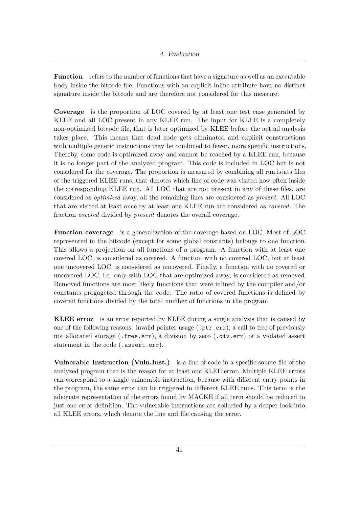**Function** refers to the number of functions that have a signature as well as an executable body inside the bitcode file. Functions with an explicit inline attribute have no distinct signature inside the bitcode and are therefore not considered for this measure.

**Coverage** is the proportion of LOC covered by at least one test case generated by KLEE and all LOC present in any KLEE run. The input for KLEE is a completely non-optimized bitcode file, that is later optimized by KLEE before the actual analysis takes place. This means that dead code gets eliminated and explicit constructions with multiple generic instructions may be combined to fewer, more specific instructions. Thereby, some code is optimized away and cannot be reached by a KLEE run, because it is no longer part of the analyzed program. This code is included in LOC but is not considered for the coverage. The proportion is measured by combining all run.istats files of the triggered KLEE runs, that denotes which line of code was visited how often inside the corresponding KLEE run. All LOC that are not present in any of these files, are considered as *optimized* away, all the remaining lines are considered as *present*. All LOC that are visited at least once by at least one KLEE run are considered as *covered*. The fraction *covered* divided by *present* denotes the overall coverage.

**Function coverage** is a generalization of the coverage based on LOC. Most of LOC represented in the bitcode (except for some global constants) belongs to one function. This allows a projection on all functions of a program. A function with at least one covered LOC, is considered as covered. A function with no covered LOC, but at least one uncovered LOC, is considered as uncovered. Finally, a function with no covered or uncovered LOC, i.e. only with LOC that are optimized away, is considered as removed. Removed functions are most likely functions that were inlined by the compiler and/or constants progageted through the code. The ratio of covered functions is defined by covered functions divided by the total number of functions in the program.

**KLEE error** is an error reported by KLEE during a single analysis that is caused by one of the following reasons: invalid pointer usage (.ptr.err), a call to free of previously not allocated storage (.free.err), a division by zero (.div.err) or a violated assert statement in the code (.assert.err).

**Vulnerable Instruction (Vuln.Inst.)** is a line of code in a specific source file of the analyzed program that is the reason for at least one KLEE error. Multiple KLEE errors can correspond to a single vulnerable instruction, because with different entry points in the program, the same error can be triggered in different KLEE runs. This term is the adequate representation of the errors found by MACKE if all term should be reduced to just one error definition. The vulnerable instructions are collected by a deeper look into all KLEE errors, which denote the line and file causing the error.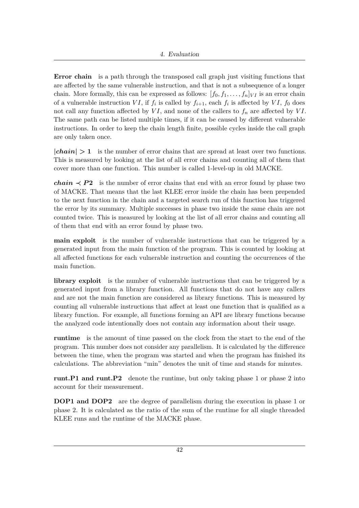**Error chain** is a path through the transposed call graph just visiting functions that are affected by the same vulnerable instruction, and that is not a subsequence of a longer chain. More formally, this can be expressed as follows:  $[f_0, f_1, \ldots, f_n]_{VI}$  is an error chain of a vulnerable instruction *VI*, if  $f_i$  is called by  $f_{i+1}$ , each  $f_i$  is affected by *VI*,  $f_0$  does not call any function affected by  $VI$ , and none of the callers to  $f_n$  are affected by  $VI$ . The same path can be listed multiple times, if it can be caused by different vulnerable instructions. In order to keep the chain length finite, possible cycles inside the call graph are only taken once.

**|***chain***|** *>* **1** is the number of error chains that are spread at least over two functions. This is measured by looking at the list of all error chains and counting all of them that cover more than one function. This number is called 1-level-up in old MACKE.

*chain*  $\leq P2$  is the number of error chains that end with an error found by phase two of MACKE. That means that the last KLEE error inside the chain has been prepended to the next function in the chain and a targeted search run of this function has triggered the error by its summary. Multiple successes in phase two inside the same chain are not counted twice. This is measured by looking at the list of all error chains and counting all of them that end with an error found by phase two.

**main exploit** is the number of vulnerable instructions that can be triggered by a generated input from the main function of the program. This is counted by looking at all affected functions for each vulnerable instruction and counting the occurrences of the main function.

**library exploit** is the number of vulnerable instructions that can be triggered by a generated input from a library function. All functions that do not have any callers and are not the main function are considered as library functions. This is measured by counting all vulnerable instructions that affect at least one function that is qualified as a library function. For example, all functions forming an API are library functions because the analyzed code intentionally does not contain any information about their usage.

**runtime** is the amount of time passed on the clock from the start to the end of the program. This number does not consider any parallelism. It is calculated by the difference between the time, when the program was started and when the program has finished its calculations. The abbreviation "min" denotes the unit of time and stands for minutes.

**runt.P1 and runt.P2** denote the runtime, but only taking phase 1 or phase 2 into account for their measurement.

**DOP1** and **DOP2** are the degree of parallelism during the execution in phase 1 or phase 2. It is calculated as the ratio of the sum of the runtime for all single threaded KLEE runs and the runtime of the MACKE phase.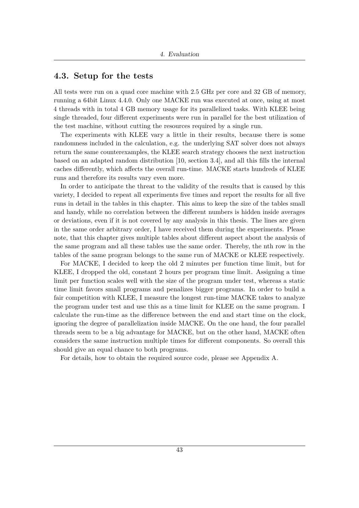## **4.3. Setup for the tests**

All tests were run on a quad core machine with 2.5 GHz per core and 32 GB of memory, running a 64bit Linux 4.4.0. Only one MACKE run was executed at once, using at most 4 threads with in total 4 GB memory usage for its parallelized tasks. With KLEE being single threaded, four different experiments were run in parallel for the best utilization of the test machine, without cutting the resources required by a single run.

The experiments with KLEE vary a little in their results, because there is some randomness included in the calculation, e.g. the underlying SAT solver does not always return the same counterexamples, the KLEE search strategy chooses the next instruction based on an adapted random distribution [\[10,](#page-101-0) section 3.4], and all this fills the internal caches differently, which affects the overall run-time. MACKE starts hundreds of KLEE runs and therefore its results vary even more.

In order to anticipate the threat to the validity of the results that is caused by this variety, I decided to repeat all experiments five times and report the results for all five runs in detail in the tables in this chapter. This aims to keep the size of the tables small and handy, while no correlation between the different numbers is hidden inside averages or deviations, even if it is not covered by any analysis in this thesis. The lines are given in the same order arbitrary order, I have received them during the experiments. Please note, that this chapter gives multiple tables about different aspect about the analysis of the same program and all these tables use the same order. Thereby, the nth row in the tables of the same program belongs to the same run of MACKE or KLEE respectively.

For MACKE, I decided to keep the old 2 minutes per function time limit, but for KLEE, I dropped the old, constant 2 hours per program time limit. Assigning a time limit per function scales well with the size of the program under test, whereas a static time limit favors small programs and penalizes bigger programs. In order to build a fair competition with KLEE, I measure the longest run-time MACKE takes to analyze the program under test and use this as a time limit for KLEE on the same program. I calculate the run-time as the difference between the end and start time on the clock, ignoring the degree of parallelization inside MACKE. On the one hand, the four parallel threads seem to be a big advantage for MACKE, but on the other hand, MACKE often considers the same instruction multiple times for different components. So overall this should give an equal chance to both programs.

For details, how to obtain the required source code, please see Appendix [A.](#page-106-0)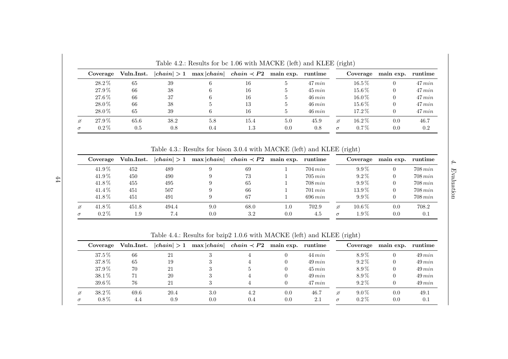| Coverage   | Vuln.Inst. | chain  > 1 | $\max  chain $ | $chain \prec P2$ | main exp. runtime |           |          | Coverage   | main exp. | runtime   |
|------------|------------|------------|----------------|------------------|-------------------|-----------|----------|------------|-----------|-----------|
| $28.2\%$   | 65         | 39         |                | 16               | $\mathfrak{d}$    | $47\,min$ |          | $16.5\,\%$ |           | 47 min    |
| 27.9%      | 66         | 38         |                | 16               | 5                 | $45\,min$ |          | $15.6\,\%$ |           | $47\,min$ |
| $27.6\,\%$ | 66         | 37         | 6              | 16               | 5                 | $46\,min$ |          | $16.0\,\%$ |           | $47\,min$ |
| 28.0%      | 66         | 38         |                | 13               |                   | $46\,min$ |          | $15.6\,\%$ |           | $47\,min$ |
| $28.0\%$   | 65         | 39         | 6              | 16               | 5                 | $46\,min$ |          | $17.2\%$   |           | $47\,min$ |
| 27.9%      | 65.6       | 38.2       | 5.8            | 15.4             | 5.0               | 45.9      | ø        | $16.2\%$   | 0.0       | 46.7      |
| $0.2\%$    | 0.5        | 0.8        | 0.4            | $1.3\,$          | 0.0               | 0.8       | $\sigma$ | $0.7\%$    | 0.0       | 0.2       |

Table 4.2.: Results for bc 1.06 with MACKE (left) and KLEE (right)

Table 4.3.: Results for bison 3.0.4 with MACKE (left) and KLEE (right)

| Coverage   | Vuln.Inst. | chain  > 1 | $\max  chain $ | $chain \prec P2$ | main exp. | runtime      |          | Coverage   | main exp. | runtime      |
|------------|------------|------------|----------------|------------------|-----------|--------------|----------|------------|-----------|--------------|
| $41.9\%$   | 452        | 489        |                | 69               |           | $704 \, min$ |          | $9.9\%$    |           | $708 \, min$ |
| $41.9\,\%$ | 450        | 490        |                | 73               |           | $705 \, min$ |          | $9.2\%$    |           | $708 \, min$ |
| 41.8%      | 455        | 495        |                | 65               |           | $708 \, min$ |          | $9.9\%$    |           | $708 \, min$ |
| 41.4%      | 451        | 507        |                | 66               |           | $701 \, min$ |          | $13.9\%$   |           | $708 \, min$ |
| 41.8%      | 451        | 491        |                | 67               |           | $696 \, min$ |          | $9.9\%$    |           | $708 \, min$ |
| 41.8%      | 451.8      | 494.4      | 9.0            | 68.0             | 1.0       | 702.9        | ø        | $10.6\,\%$ | 0.0       | 708.2        |
| $0.2\%$    | 1.9        | 7.4        | 0.0            | 3.2              | 0.0       | 4.5          | $\sigma$ | $1.9\%$    | 0.0       | 0.1          |

Table 4.4.: Results for bzip2 1.0.6 with MACKE (left) and KLEE (right)

<span id="page-55-0"></span>

|   | Coverage   | Vuln.Inst. | chain  > 1 |     | $\max  chain $ <i>chain</i> $\prec P2$ main exp. runtime |     |           |          | Coverage | main exp. runtime |           |
|---|------------|------------|------------|-----|----------------------------------------------------------|-----|-----------|----------|----------|-------------------|-----------|
|   | $37.5\%$   | 66         | 21         |     |                                                          |     | $44\,min$ |          | 8.9%     |                   | $49\,min$ |
|   | 37.8%      | 65         | 19         |     |                                                          |     | $49\,min$ |          | $9.2\%$  |                   | $49\,min$ |
|   | 37.9%      | 70         | 21         | 9.  |                                                          |     | $45\,min$ |          | 8.9%     |                   | $49\,min$ |
|   | $38.1\%$   | 71         | 20         | 3   |                                                          |     | $49\,min$ |          | 8.9%     |                   | $49\,min$ |
|   | $39.6\,\%$ | 76         | 21         | 2   |                                                          |     | 47 min    |          | $9.2\%$  |                   | $49\,min$ |
| ø | $38.2\%$   | 69.6       | 20.4       | 3.0 | 4.2                                                      | 0.0 | 46.7      | ø        | $9.0\%$  | 0.0               | 49.1      |
|   | $0.8\%$    | 4.4        | 0.9        | 0.0 | 0.4                                                      | 0.0 | 2.1       | $\sigma$ | $0.2\%$  | 0.0               | 0.1       |

44

4. Evaluation  $\label{ex1} Evaluate \[ \rho_{\rm F} \sim \rho_{\rm F} \]$ 

 $\ddot{4}$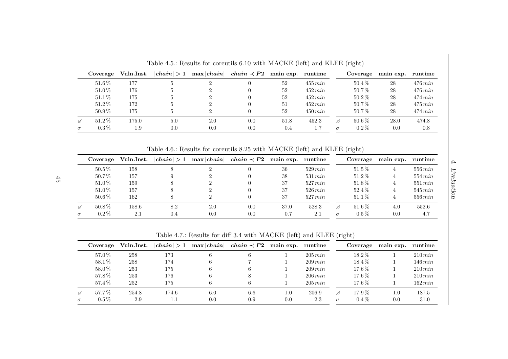| Coverage  | Vuln.Inst. | chain  > 1 | max  chain | $chain \prec P2$ | main exp. runtime |            |          | Coverage | main exp. | runtime      |
|-----------|------------|------------|------------|------------------|-------------------|------------|----------|----------|-----------|--------------|
| $51.6\%$  | 177        |            |            |                  | 52                | $455\,min$ |          | $50.4\%$ | 28        | $476$ $min$  |
| $51.0\%$  | 176        |            |            |                  | 52                | $452\,min$ |          | $50.7\%$ | 28        | $476\,min$   |
| $51.1\%$  | 175        |            |            |                  | 52                | $452\,min$ |          | $50.2\%$ | 28        | $474 \, min$ |
| $51.2\%$  | 172        |            |            |                  | 51                | $452\,min$ |          | $50.7\%$ | 28        | $475$ $min$  |
| $50.9\%$  | 175        |            |            |                  | 52                | $450\,min$ |          | $50.7\%$ | 28        | $474\,min$   |
| $51.2\%$  | 175.0      | 5.0        | 2.0        | 0.0              | 51.8              | 452.3      | ø        | $50.6\%$ | 28.0      | 474.8        |
| $0.3\,\%$ | $1.9\,$    | 0.0        | 0.0        | 0.0              | 0.4               | 1.7        | $\sigma$ | $0.2\%$  | 0.0       | 0.8          |

Table 4.5.: Results for coreutils 6.10 with MACKE (left) and KLEE (right)

Table 4.6.: Results for coreutils 8.25 with MACKE (left) and KLEE (right)

| Coverage   | Vuln.Inst. | chain  > 1 | $\max  chain $ | $chain \prec P2$ | main exp. | runtime      |          | Coverage | main exp. | runtime    |
|------------|------------|------------|----------------|------------------|-----------|--------------|----------|----------|-----------|------------|
| $50.5\,\%$ | 158        |            |                |                  | 36        | $529 \, min$ |          | $51.5\%$ |           | $556\,min$ |
| 50.7%      | 157        |            |                |                  | 38        | $531 \, min$ |          | $51.2\%$ |           | $554\,min$ |
| 51.0%      | 159        |            |                |                  | 37        | $527 \, min$ |          | $51.8\%$ |           | $551\,min$ |
| $51.0\,\%$ | 157        |            |                |                  | 37        | $526 \, min$ |          | 52.4%    |           | $545\,min$ |
| $50.6\,\%$ | 162        |            |                |                  | 37        | $527 \, min$ |          | $51.1\%$ |           | $556\,min$ |
| $50.8\%$   | 158.6      | 8.2        | 2.0            | 0.0              | 37.0      | 528.3        | ø        | 51.6%    | 4.0       | 552.6      |
| $0.2\%$    | 2.1        | 0.4        | 0.0            | 0.0              | 0.7       | 2.1          | $\sigma$ | $0.5\%$  | 0.0       | 4.7        |

4. Evaluation  $\label{ex1} Evaluate \[ \rho_{\rm F} \sim \rho_{\rm F} \]$ 

 $\ddot{4}$ 

Table 4.7.: Results for diff 3.4 with MACKE (left) and KLEE (right)

| Coverage  | Vuln.Inst. | chain  > 1 | $\max  chain $ | $chain \prec P2$ | main exp. runtime |              |          | Coverage   | main exp. | runtime      |
|-----------|------------|------------|----------------|------------------|-------------------|--------------|----------|------------|-----------|--------------|
| 57.0%     | 258        | 173        |                | 6                |                   | $205\,min$   |          | $18.2\,\%$ |           | $210\,min$   |
| 58.1%     | 258        | 174        | 6              |                  |                   | $209 \, min$ |          | $18.4\,\%$ |           | $146\,min$   |
| 58.0%     | 253        | 175        | 6              | 6                |                   | $209 \, min$ |          | $17.6\,\%$ |           | $210 \, min$ |
| 57.8%     | 253        | 176        | 6              | 8                |                   | 206 min      |          | $17.6\%$   |           | $210 \, min$ |
| 57.4%     | 252        | 175        | 6              | 6                |                   | 205 min      |          | $17.6\,\%$ |           | $162 \, min$ |
| 57.7%     | 254.8      | 174.6      | 6.0            | 6.6              | 1.0               | 206.9        | ø        | $17.9\%$   | $1.0\,$   | 187.5        |
| $0.5\,\%$ | 2.9        | $1.1\,$    | 0.0            | 0.9              | 0.0               | 2.3          | $\sigma$ | $0.4\%$    | 0.0       | 31.0         |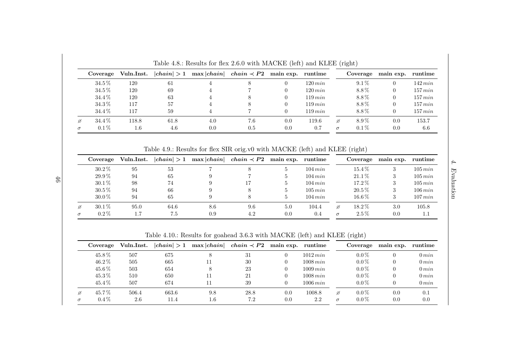|   | Coverage   | Vuln.Inst. | chain  > 1 | $\max  chain $ | $chain \prec P2$ | main exp. runtime |              |          | Coverage | main exp. runtime |              |
|---|------------|------------|------------|----------------|------------------|-------------------|--------------|----------|----------|-------------------|--------------|
|   | $34.5\,\%$ | 120        | 61         |                |                  |                   | $120\,min$   |          | $9.1\%$  |                   | $142 \, min$ |
|   | $34.5\,\%$ | 120        | 69         |                |                  |                   | $120 \, min$ |          | 8.8%     |                   | $157\,min$   |
|   | $34.4\,\%$ | 120        | 63         |                |                  |                   | $119\,min$   |          | 8.8%     |                   | $157\,min$   |
|   | $34.3\,\%$ | 117        | 57         |                |                  |                   | 119 min      |          | 8.8%     |                   | $157\,min$   |
|   | 34.4 %     | 117        | 59         |                |                  |                   | $119 \, min$ |          | 8.8%     |                   | $157\,min$   |
| ø | 34.4 %     | 118.8      | 61.8       | 4.0            | 7.6              | 0.0               | 119.6        | ø        | 8.9%     | 0.0               | 153.7        |
|   | $0.1\%$    | $1.6\,$    | 4.6        | 0.0            | 0.5              | 0.0               | 0.7          | $\sigma$ | $0.1\%$  | 0.0               | 6.6          |

Table 4.8.: Results for flex 2.6.0 with MACKE (left) and KLEE (right)

Table 4.9.: Results for flex SIR orig.v0 with MACKE (left) and KLEE (right)

| Coverage   | Vuln.Inst. | chain  > 1 | $\max  chain $ | $chain \prec P2$ | main exp. | runtime      |          | Coverage   | main exp. | runtime      |
|------------|------------|------------|----------------|------------------|-----------|--------------|----------|------------|-----------|--------------|
| $30.2\%$   | 95         | 53         |                |                  |           | $104 \, min$ |          | $15.4\,\%$ |           | $105\,min$   |
| $29.9\,\%$ | 94         | 65         |                |                  |           | $104 \, min$ |          | $21.1\%$   |           | $105\,min$   |
| $30.1\%$   | 98         | 74         |                |                  |           | $104 \, min$ |          | $17.2\%$   |           | $105\,min$   |
| $30.5\,\%$ | 94         | 66         |                |                  |           | $105\,min$   |          | $20.5\%$   |           | $106 \, min$ |
| $30.0\,\%$ | 94         | 65         |                |                  |           | $104 \, min$ |          | $16.6\,\%$ |           | $107 \, min$ |
| $30.1\,\%$ | 95.0       | 64.6       | 8.6            | 9.6              | 5.0       | 104.4        | ø        | $18.2\%$   | 3.0       | 105.8        |
| $0.2\%$    | 1.7        | 7.5        | 0.9            | 4.2              | 0.0       | 0.4          | $\sigma$ | $2.5\%$    | 0.0       | 1.1          |

Table 4.10.: Results for goahead 3.6.3 with MACKE (left) and KLEE (right)

|   | Coverage   | Vuln.Inst. | chain  > 1 | $\max  chain $ | $chain \prec P2$ | main exp. runtime |             |          | Coverage | main exp. | runtime    |
|---|------------|------------|------------|----------------|------------------|-------------------|-------------|----------|----------|-----------|------------|
|   | 45.8%      | 507        | 675        |                | 31               |                   | $1012\,min$ |          | $0.0\%$  |           | $0 \, min$ |
|   | $46.2\%$   | 505        | 665        |                | 30               |                   | 1008 min    |          | $0.0\%$  | $\theta$  | $0 \, min$ |
|   | 45.6%      | 503        | 654        | 8              | 23               |                   | $1009\,min$ |          | $0.0\%$  | $\theta$  | 0 min      |
|   | $45.3\,\%$ | 510        | 650        |                | 21               |                   | 1008 min    |          | $0.0\%$  | $\Omega$  | 0 min      |
|   | $45.4\%$   | 507        | 674        |                | 39               |                   | 1006 min    |          | $0.0\%$  | $\theta$  | 0 min      |
| ø | 45.7%      | 506.4      | 663.6      | 9.8            | 28.8             | 0.0               | 1008.8      | ø        | $0.0\%$  | 0.0       | 0.1        |
|   | $0.4\%$    | 2.6        | 11.4       | $1.6\,$        | 7.2              | 0.0               | 2.2         | $\sigma$ | $0.0\%$  | 0.0       | 0.0        |

46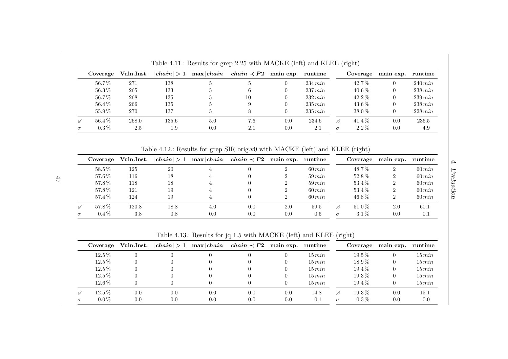|   | Coverage   | Vuln.Inst. | chain  > 1 | $\max  chain $ | $chain \prec P2$ | main exp. | runtime      |          | Coverage   | main exp. | runtime    |
|---|------------|------------|------------|----------------|------------------|-----------|--------------|----------|------------|-----------|------------|
|   | $56.7\,\%$ | 271        | 138        | 5.             | Ð.               |           | $234 \, min$ |          | 42.7%      |           | $240\,min$ |
|   | $56.3\,\%$ | 265        | 133        |                |                  |           | $237 \, min$ |          | $40.6\,\%$ |           | $238\,min$ |
|   | 56.7%      | 268        | 135        | 5.             | 10               |           | $232\,min$   |          | $42.2\%$   |           | $239\,min$ |
|   | $56.4\,\%$ | 266        | 135        | 5.             | 9                |           | $235\,min$   |          | $43.6\,\%$ |           | $238\,min$ |
|   | $55.9\,\%$ | 270        | 137        | 5.             |                  |           | $235\,min$   |          | 38.0%      |           | 228 min    |
| ø | 56.4%      | 268.0      | 135.6      | 5.0            | 7.6              | 0.0       | 234.6        | ø        | $41.4\%$   | 0.0       | 236.5      |
|   | $0.3\,\%$  | 2.5        | $1.9\,$    | 0.0            | 2.1              | 0.0       | 2.1          | $\sigma$ | $2.2\%$    | 0.0       | 4.9        |

Table 4.11.: Results for grep 2.25 with MACKE (left) and KLEE (right)

Table 4.12.: Results for grep SIR orig.v0 with MACKE (left) and KLEE (right)

| Coverage   | Vuln.Inst. | chain  > 1 | $\max  chain $ | $chain \prec P2$ | main exp. | runtime     |          | Coverage | main exp. | runtime     |
|------------|------------|------------|----------------|------------------|-----------|-------------|----------|----------|-----------|-------------|
| $58.5\%$   | 125        | 20         |                |                  |           | $60 \, min$ |          | 48.7%    | റ         | $60 \, min$ |
| $57.6\,\%$ | 116        | 18         |                |                  |           | $59\,min$   |          | $52.8\%$ |           | $60\,min$   |
| 57.8%      | 118        | 18         |                |                  |           | $59\,min$   |          | $53.4\%$ |           | $60\,min$   |
| $57.8\,\%$ | 121        | 19         |                |                  |           | $60 \, min$ |          | $53.4\%$ |           | $60\,min$   |
| $57.4\,\%$ | 124        | 19         |                |                  |           | $60 \, min$ |          | $46.8\%$ |           | $60\,min$   |
| $57.8\,\%$ | 120.8      | 18.8       | 4.0            | 0.0              | 2.0       | 59.5        | ø        | 51.0%    | 2.0       | 60.1        |
| $0.4\%$    | 3.8        | 0.8        | 0.0            | 0.0              | 0.0       | 0.5         | $\sigma$ | $3.1\%$  | 0.0       | 0.1         |

 $4.$   $\it Evaluation$ 4. Evaluation

Table 4.13.: Results for jq 1.5 with MACKE (left) and KLEE (right)

| Coverage   | Vuln.Inst. |     | $ chain  > 1$ max $ chain $ | $chain \prec P2$ | main exp. runtime |           |          | Coverage   | main exp. runtime |           |
|------------|------------|-----|-----------------------------|------------------|-------------------|-----------|----------|------------|-------------------|-----------|
| $12.5\,\%$ |            |     |                             |                  |                   | $15\,min$ |          | $19.5\,\%$ |                   | $15\,min$ |
| $12.5\,\%$ |            |     |                             |                  |                   | 15 min    |          | $18.9\,\%$ |                   | $15\,min$ |
| $12.5\,\%$ |            |     |                             |                  |                   | 15 min    |          | $19.4\,\%$ |                   | $15\,min$ |
| $12.5\%$   |            |     |                             |                  |                   | 15 min    |          | $19.3\,\%$ |                   | $15\,min$ |
| $12.6\,\%$ |            |     |                             |                  |                   | 15 min    |          | $19.4\,\%$ |                   | $15\,min$ |
| $12.5\%$   | 0.0        | 0.0 | 0.0                         | 0.0              | 0.0               | 14.8      | ø        | $19.3\,\%$ | 0.0               | $15.1\,$  |
| $0.0\%$    | 0.0        | 0.0 | 0.0                         | 0.0              | 0.0               | 0.1       | $\sigma$ | $0.3\%$    | 0.0               | 0.0       |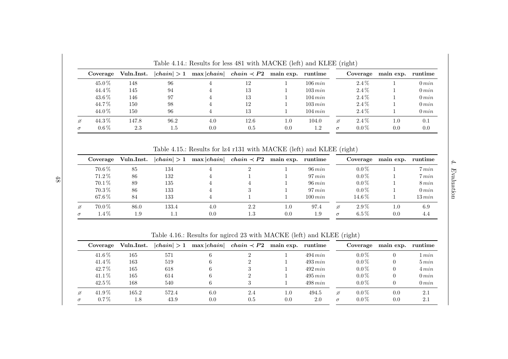|   |           |            |            | <b>Lable 1.11</b> Itestins for its 101 with MITORIC (Itit) and REED (H&IIt) |                  |                   |              |          |          |           |            |
|---|-----------|------------|------------|-----------------------------------------------------------------------------|------------------|-------------------|--------------|----------|----------|-----------|------------|
|   | Coverage  | Vuln.Inst. | chain  > 1 | max chain                                                                   | $chain \prec P2$ | main exp. runtime |              |          | Coverage | main exp. | runtime    |
|   | 45.0%     | 148        | 96         |                                                                             | 12               |                   | $106\,min$   |          | $2.4\%$  |           | 0 min      |
|   | 44.4%     | 145        | 94         |                                                                             | 13               |                   | $103\,min$   |          | $2.4\%$  |           | $0 \, min$ |
|   | 43.6%     | 146        | 97         |                                                                             | 13               |                   | $104 \, min$ |          | $2.4\%$  |           | $0 \, min$ |
|   | 44.7%     | 150        | 98         |                                                                             | 12               |                   | $103 \, min$ |          | $2.4\%$  |           | $0 \, min$ |
|   | 44.0%     | 150        | 96         |                                                                             | 13               |                   | $104 \, min$ |          | $2.4\%$  |           | $0 \, min$ |
| ø | 44.3%     | 147.8      | 96.2       | 4.0                                                                         | 12.6             | $1.0\,$           | 104.0        | ø        | $2.4\%$  | $1.0\,$   | 0.1        |
|   | $0.6\,\%$ | 2.3        | $1.5\,$    | 0.0                                                                         | 0.5              | 0.0               | $1.2\,$      | $\sigma$ | $0.0\%$  | 0.0       | 0.0        |

Table 4.14.: Results for less <sup>481</sup> with MACKE (left) and KLEE (right)

Table 4.15.: Results for lz4 r131 with MACKE (left) and KLEE (right)

|          | Coverage   | Vuln.Inst. | chain  > 1 | $\max  chain $ | $chain \prec P2$ | main exp. | runtime      |          | Coverage   | main exp. | runtime    |
|----------|------------|------------|------------|----------------|------------------|-----------|--------------|----------|------------|-----------|------------|
|          | 70.6%      | 85         | 134        |                |                  |           | $96 \, min$  |          | $0.0\%$    |           | 7 min      |
|          | 71.2%      | 86         | 132        |                |                  |           | $97\,min$    |          | $0.0\%$    |           | 7 min      |
|          | 70.1%      | 89         | 135        |                |                  |           | $96 \, min$  |          | $0.0\%$    |           | $8\,min$   |
|          | $70.3\,\%$ | 86         | 133        |                |                  |           | $97\,min$    |          | $0.0\%$    |           | $0 \, min$ |
|          | $67.6\,\%$ | 84         | 133        |                |                  |           | $100 \, min$ |          | $14.6\,\%$ |           | $13\,min$  |
| Ø        | 70.0%      | 86.0       | 133.4      | 4.0            | 2.2              | 1.0       | 97.4         | ø        | $2.9\%$    | $1.0\,$   | 6.9        |
| $\sigma$ | $1.4\%$    | 1.9        | 1.1        | 0.0            | $1.3\,$          | 0.0       | 1.9          | $\sigma$ | $6.5\%$    | 0.0       | 4.4        |

Table 4.16.: Results for ngircd <sup>23</sup> with MACKE (left) and KLEE (right)

|   | Coverage   | Vuln.Inst. | chain  > 1 | $\max  chain $ | $chain \prec P2$ | main exp. | runtime      |          | Coverage | main exp. | runtime    |
|---|------------|------------|------------|----------------|------------------|-----------|--------------|----------|----------|-----------|------------|
|   | $41.6\,\%$ | 165        | 571        | h              | $\Omega$         |           | $494 \, min$ |          | $0.0\%$  |           | 1 min      |
|   | 41.4%      | 163        | 519        |                | റ                |           | 493 min      |          | $0.0\%$  |           | $5\,min$   |
|   | 42.7%      | 165        | 618        | 6              | 3                |           | 492 min      |          | $0.0\%$  |           | 4 min      |
|   | $41.1\%$   | 165        | 614        | 6              | റ                |           | 495 min      |          | $0.0\%$  |           | 0 min      |
|   | 42.5%      | 168        | 540        | 6              | 3                |           | $498$ min    |          | $0.0\%$  |           | $0 \, min$ |
| ø | $41.9\,\%$ | 165.2      | 572.4      | 6.0            | 2.4              | $1.0\,$   | 494.5        | ø        | $0.0\%$  | 0.0       | 2.1        |
|   | $0.7\%$    | 1.8        | 43.9       | 0.0            | 0.5              | 0.0       | 2.0          | $\sigma$ | $0.0\%$  | 0.0       | 2.1        |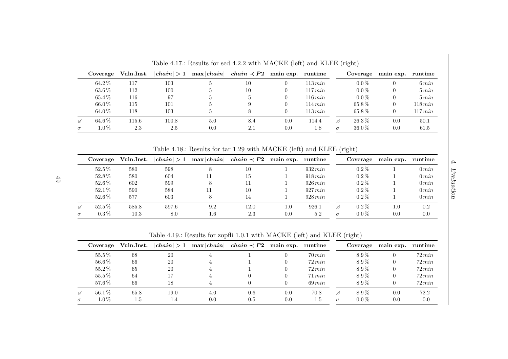| Coverage   | Vuln.Inst. | chain  > 1 | $\max  chain $ | $chain \prec P2$ | main exp. runtime |            |          | Coverage   | main exp. | runtime    |
|------------|------------|------------|----------------|------------------|-------------------|------------|----------|------------|-----------|------------|
| 64.2%      | 117        | 103        | Ð.             | 10               |                   | $113\,min$ |          | $0.0\%$    |           | $6\,min$   |
| $63.6\,\%$ | 112        | 100        |                | 10               |                   | $117\,min$ |          | $0.0\%$    |           | $5 \, min$ |
| 65.4%      | 116        | 97         | 5              |                  |                   | $116\,min$ |          | $0.0\%$    |           | $5\,min$   |
| 66.0%      | 115        | 101        |                |                  |                   | $114\,min$ |          | $65.8\%$   |           | $118\,min$ |
| 64.0%      | 118        | 103        | 5.             |                  |                   | $113\,min$ |          | $65.8\%$   |           | 117 min    |
| $64.6\,\%$ | 115.6      | 100.8      | 5.0            | 8.4              | 0.0               | 114.4      | ø        | $26.3\,\%$ | 0.0       | 50.1       |
| $1.0\%$    | 2.3        | 2.5        | 0.0            | 2.1              | 0.0               | 1.8        | $\sigma$ | $36.0\%$   | 0.0       | 61.5       |

Table 4.17.: Results for sed 4.2.2 with MACKE (left) and KLEE (right)

Table 4.18.: Results for tar 1.29 with MACKE (left) and KLEE (right)

| Coverage   | Vuln.Inst. | chain  > 1 | $\max  chain $ | $chain \prec P2$ | main exp. | runtime      |          | Coverage | main exp. | runtime    |
|------------|------------|------------|----------------|------------------|-----------|--------------|----------|----------|-----------|------------|
| $52.5\%$   | 580        | 598        |                | 10               |           | $932 \, min$ |          | $0.2\%$  |           | $0 \, min$ |
| 52.8%      | 580        | 604        |                | 15               |           | 918 min      |          | $0.2\%$  |           | $0 \, min$ |
| $52.6\,\%$ | 602        | 599        |                |                  |           | 926 min      |          | $0.2\%$  |           | $0 \, min$ |
| $52.1\%$   | 590        | 584        | 11             | 10               |           | 927 min      |          | $0.2\%$  |           | $0\,min$   |
| $52.6\,\%$ | 577        | 603        |                | 14               |           | 928 min      |          | $0.2\%$  |           | $0 \, min$ |
| $52.5\,\%$ | 585.8      | 597.6      | 9.2            | 12.0             | 1.0       | 926.1        | ø        | $0.2\%$  | $1.0\,$   | 0.2        |
| $0.3\%$    | 10.3       | 8.0        | 1.6            | 2.3              | 0.0       | 5.2          | $\sigma$ | $0.0\%$  | 0.0       | 0.0        |

4. Evaluation  $\label{ex1} Evaluate \[ \rho_{\rm F} \sim \rho_{\rm F} \]$ 

 $\ddot{4}$ .

Table 4.19.: Results for zopfli 1.0.1 with MACKE (left) and KLEE (right)

|   | Coverage   | Vuln.Inst. | chain  > 1 |     | $\max  chain $ <i>chain</i> $\prec P2$ main exp. runtime |     |             |          | Coverage | main exp. runtime |             |
|---|------------|------------|------------|-----|----------------------------------------------------------|-----|-------------|----------|----------|-------------------|-------------|
|   | $55.5\%$   | 68         | 20         |     |                                                          |     | $70 \, min$ |          | $8.9\%$  |                   | $72\,min$   |
|   | $56.6\,\%$ | 66         | 20         |     |                                                          |     | $72 \, min$ |          | $8.9\%$  |                   | $72 \, min$ |
|   | $55.2\%$   | 65         | 20         |     |                                                          |     | $72 \, min$ |          | $8.9\%$  |                   | $72 \, min$ |
|   | $55.5\%$   | 64         | 7          |     |                                                          |     | $71 \, min$ |          | $8.9\%$  |                   | $72 \, min$ |
|   | 57.6%      | 66         | 18         |     |                                                          |     | $69\,min$   |          | $8.9\%$  |                   | $72 \, min$ |
| Ø | $56.1\%$   | 65.8       | 19.0       | 4.0 | 0.6                                                      | 0.0 | 70.8        | ø        | $8.9\%$  | 0.0               | 72.2        |
|   | $1.0\%$    | 1.5        | 1.4        | 0.0 | 0.5                                                      | 0.0 | $1.5\,$     | $\sigma$ | $0.0\%$  | 0.0               | 0.0         |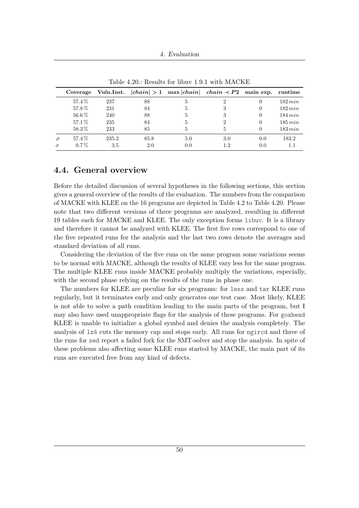4. Evaluation

<span id="page-61-0"></span>

|          | Coverage |       |      |              | Vuln.Inst. $ chain  > 1$ max $ chain $ chain $\prec P2$ main exp. runtime |          |              |
|----------|----------|-------|------|--------------|---------------------------------------------------------------------------|----------|--------------|
|          | 57.4%    | 237   | 88   | $\mathbf{5}$ | 2                                                                         |          | $182 \, min$ |
|          | 57.8%    | 231   | 84   | 5            | З                                                                         | $\Omega$ | $182 \, min$ |
|          | 56.6%    | 240   | 88   | 5            |                                                                           | $\Omega$ | $184 \, min$ |
|          | 57.1%    | 235   | 84   | 5            | 2                                                                         | $\Omega$ | $185\,min$   |
|          | 58.3%    | 233   | 85   | 5            | 5                                                                         |          | $183 \, min$ |
| ø        | 57.4%    | 235.2 | 85.8 | 5.0          | 3.0                                                                       | 0.0      | 183.2        |
| $\sigma$ | $0.7\%$  | 3.5   | 2.0  | 0.0          | 1.2                                                                       | 0.0      |              |

Table 4.20.: Results for libuv 1.9.1 with MACKE

## <span id="page-61-1"></span>**4.4. General overview**

Before the detailed discussion of several hypotheses in the following sections, this section gives a general overview of the results of the evaluation. The numbers from the comparison of MACKE with KLEE on the 16 programs are depicted in Table [4.2](#page-55-0) to Table [4.20.](#page-61-0) Please note that two different versions of three programs are analyzed, resulting in different 19 tables each for MACKE and KLEE. The only exception forms libuv. It is a library and therefore it cannot be analyzed with KLEE. The first five rows correspond to one of the five repeated runs for the analysis and the last two rows denote the averages and standard deviation of all runs.

Considering the deviation of the five runs on the same program some variations seems to be normal with MACKE, although the results of KLEE vary less for the same program. The multiple KLEE runs inside MACKE probably multiply the variations, especially, with the second phase relying on the results of the runs in phase one.

The numbers for KLEE are peculiar for six programs: for less and tar KLEE runs regularly, but it terminates early and only generates one test case. Most likely, KLEE is not able to solve a path condition leading to the main parts of the program, but I may also have used unappropriate flags for the analysis of these programs. For goahead KLEE is unable to initialize a global symbol and denies the analysis completely. The analysis of lz4 cuts the memory cap and stops early. All runs for ngircd and three of the runs for sed report a failed fork for the SMT-solver and stop the analysis. In spite of these problems also affecting some KLEE runs started by MACKE, the main part of its runs are executed free from any kind of defects.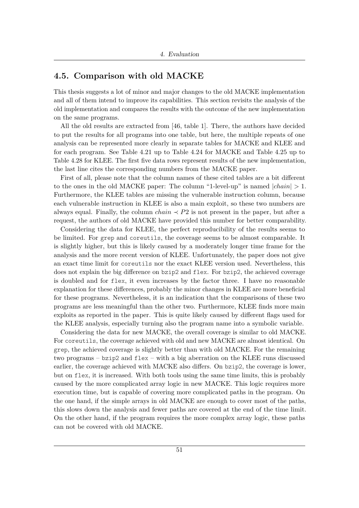## **4.5. Comparison with old MACKE**

This thesis suggests a lot of minor and major changes to the old MACKE implementation and all of them intend to improve its capabilities. This section revisits the analysis of the old implementation and compares the results with the outcome of the new implementation on the same programs.

All the old results are extracted from [\[46,](#page-104-0) table 1]. There, the authors have decided to put the results for all programs into one table, but here, the multiple repeats of one analysis can be represented more clearly in separate tables for MACKE and KLEE and for each program. See Table [4.21](#page-63-0) up to Table [4.24](#page-63-1) for MACKE and Table [4.25](#page-64-0) up to Table [4.28](#page-64-1) for KLEE. The first five data rows represent results of the new implementation, the last line cites the corresponding numbers from the MACKE paper.

First of all, please note that the column names of these cited tables are a bit different to the ones in the old MACKE paper: The column "1-level-up" is named |*chain*| *>* 1. Furthermore, the KLEE tables are missing the vulnerable instruction column, because each vulnerable instruction in KLEE is also a main exploit, so these two numbers are always equal. Finally, the column  $chain \leq P2$  is not present in the paper, but after a request, the authors of old MACKE have provided this number for better comparability.

Considering the data for KLEE, the perfect reproducibility of the results seems to be limited. For grep and coreutils, the coverage seems to be almost comparable. It is slightly higher, but this is likely caused by a moderately longer time frame for the analysis and the more recent version of KLEE. Unfortunately, the paper does not give an exact time limit for coreutils nor the exact KLEE version used. Nevertheless, this does not explain the big difference on bzip2 and flex. For bzip2, the achieved coverage is doubled and for flex, it even increases by the factor three. I have no reasonable explanation for these differences, probably the minor changes in KLEE are more beneficial for these programs. Nevertheless, it is an indication that the comparisons of these two programs are less meaningful than the other two. Furthermore, KLEE finds more main exploits as reported in the paper. This is quite likely caused by different flags used for the KLEE analysis, especially turning also the program name into a symbolic variable.

Considering the data for new MACKE, the overall coverage is similar to old MACKE. For coreutils, the coverage achieved with old and new MACKE are almost identical. On grep, the achieved coverage is slightly better than with old MACKE. For the remaining two programs – bzip2 and flex – with a big aberration on the KLEE runs discussed earlier, the coverage achieved with MACKE also differs. On bzip2, the coverage is lower, but on flex, it is increased. With both tools using the same time limits, this is probably caused by the more complicated array logic in new MACKE. This logic requires more execution time, but is capable of covering more complicated paths in the program. On the one hand, if the simple arrays in old MACKE are enough to cover most of the paths, this slows down the analysis and fewer paths are covered at the end of the time limit. On the other hand, if the program requires the more complex array logic, these paths can not be covered with old MACKE.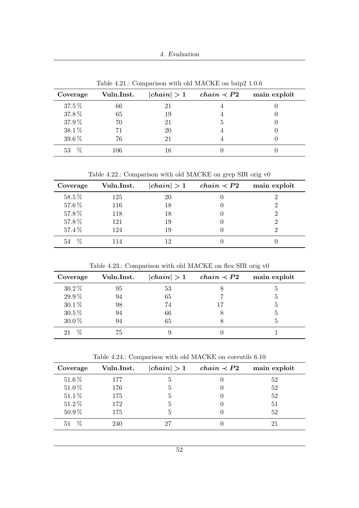4. Evaluation

<span id="page-63-0"></span>

| Coverage   | Vuln.Inst. | chain  > 1 | $chain \prec P2$ | main exploit |
|------------|------------|------------|------------------|--------------|
| $37.5\,\%$ | 66         | 21         |                  |              |
| 37.8%      | 65         | 19         |                  |              |
| 37.9%      | 70         | 21         | 5                |              |
| $38.1\,\%$ |            | 20         |                  |              |
| 39.6%      | 76         | 21         |                  |              |
| 53         | 106        |            |                  |              |

Table 4.21.: Comparison with old MACKE on bzip2 1.0.6

Table 4.22.: Comparison with old MACKE on grep SIR orig v0

| Coverage   | Vuln.Inst. | chain  > 1 | $chain \prec P2$ | main exploit |
|------------|------------|------------|------------------|--------------|
| 58.5%      | 125        | 20         |                  |              |
| 57.6%      | 116        | 18         |                  |              |
| 57.8%      | 118        | 18         |                  |              |
| 57.8%      | 121        | 19         |                  |              |
| 57.4%      | 124        | 19         |                  |              |
| $\%$<br>54 | 114        | 19         |                  |              |

Table 4.23.: Comparison with old MACKE on flex SIR orig v0

| Coverage   | Vuln.Inst. | chain  > 1 | $chain \prec P2$ | main exploit |
|------------|------------|------------|------------------|--------------|
| $30.2\%$   | 95         | 53         | ð                |              |
| $29.9\,\%$ | 94         | 65         |                  |              |
| $30.1\,\%$ | 98         | 74         | 17               |              |
| $30.5\,\%$ | 94         | 66         | 8                |              |
| $30.0\,\%$ | 94         | 65         | 8                |              |
| $\%$<br>21 | 75         |            |                  |              |

Table 4.24.: Comparison with old MACKE on coreutils 6.10

<span id="page-63-1"></span>

| Coverage   | Vuln.Inst. | chain  > 1   | $chain \prec P2$ | main exploit |
|------------|------------|--------------|------------------|--------------|
| 51.6%      | 177        | <sub>6</sub> |                  | 52           |
| 51.0%      | 176        | 5            |                  | 52           |
| $51.1\%$   | 175        | b,           |                  | 52           |
| 51.2%      | 172        | 5            |                  | 51           |
| $50.9\,\%$ | 175        | 5            |                  | 52           |
| $\%$<br>51 | 240        | די           |                  |              |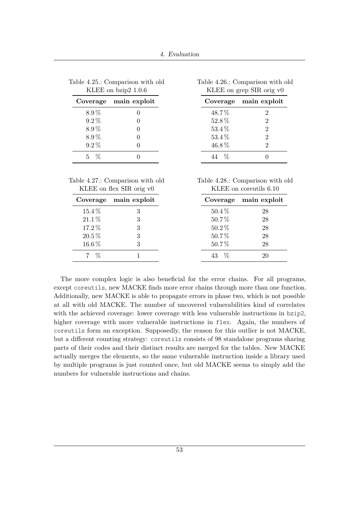| KLEE on $bzip2$ 1.0.6 |              |          | KLEE on grep SIR orig v0 |
|-----------------------|--------------|----------|--------------------------|
| Coverage              | main exploit | Coverage | main exploit             |
| $8.9\%$               |              | 48.7%    |                          |
| $9.2\%$               |              | 52.8%    |                          |
| 8.9%                  |              | 53.4%    |                          |
| 8.9%                  |              | 53.4%    |                          |
| $9.2\%$               |              | 46.8%    |                          |
| 5.                    |              | $\%$     |                          |

<span id="page-64-0"></span>

|  | Table 4.25.: Comparison with old   |  |
|--|------------------------------------|--|
|  | KLEE on $\frac{\text{h}}{2}$ 1.0.6 |  |

<span id="page-64-1"></span>

| Table 4.27.: Comparison with old |  |
|----------------------------------|--|
| KLEE on flex SIR orig v0         |  |

| Table 4.28.: Comparison with old |  |
|----------------------------------|--|
| KLEE on coreutils 6.10           |  |

Table 4.26.: Comparison with old

|            | Coverage main exploit |          | Coverage main exploit |
|------------|-----------------------|----------|-----------------------|
| 15.4%      |                       | $50.4\%$ | 28                    |
| 21.1%      |                       | 50.7%    | 28                    |
| 17.2%      |                       | $50.2\%$ | 28                    |
| $20.5\,\%$ |                       | 50.7%    | 28                    |
| 16.6%      |                       | 50.7%    | 28                    |
|            |                       | $\%$     |                       |

The more complex logic is also beneficial for the error chains. For all programs, except coreutils, new MACKE finds more error chains through more than one function. Additionally, new MACKE is able to propagate errors in phase two, which is not possible at all with old MACKE. The number of uncovered vulnerabilities kind of correlates with the achieved coverage: lower coverage with less vulnerable instructions in bzip2, higher coverage with more vulnerable instructions in flex. Again, the numbers of coreutils form an exception. Supposedly, the reason for this outlier is not MACKE, but a different counting strategy: coreutils consists of 98 standalone programs sharing parts of their codes and their distinct results are merged for the tables. New MACKE actually merges the elements, so the same vulnerable instruction inside a library used by multiple programs is just counted once, but old MACKE seems to simply add the numbers for vulnerable instructions and chains.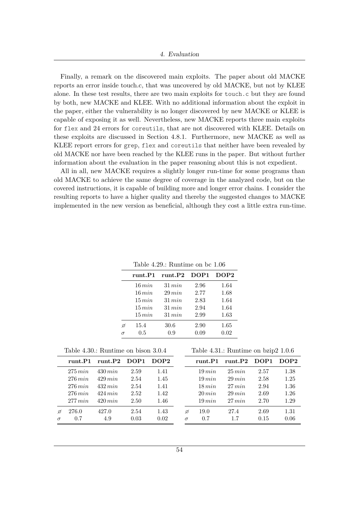Finally, a remark on the discovered main exploits. The paper about old MACKE reports an error inside touch.c, that was uncovered by old MACKE, but not by KLEE alone. In these test results, there are two main exploits for touch.c but they are found by both, new MACKE and KLEE. With no additional information about the exploit in the paper, either the vulnerability is no longer discovered by new MACKE or KLEE is capable of exposing it as well. Nevertheless, new MACKE reports three main exploits for flex and 24 errors for coreutils, that are not discovered with KLEE. Details on these exploits are discussed in Section [4.8.1.](#page-80-0) Furthermore, new MACKE as well as KLEE report errors for grep, flex and coreutils that neither have been revealed by old MACKE nor have been reached by the KLEE runs in the paper. But without further information about the evaluation in the paper reasoning about this is not expedient.

All in all, new MACKE requires a slightly longer run-time for some programs than old MACKE to achieve the same degree of coverage in the analyzed code, but on the covered instructions, it is capable of building more and longer error chains. I consider the resulting reports to have a higher quality and thereby the suggested changes to MACKE implemented in the new version as beneficial, although they cost a little extra run-time.

|  | Table 4.29.: Runtime on bc $1.06$ |  |  |
|--|-----------------------------------|--|--|
|  |                                   |  |  |

<span id="page-65-0"></span>

|          | runt.P1   | runt.P2     | DOP <sub>1</sub> | DOP2 |
|----------|-----------|-------------|------------------|------|
|          | 16 min    | 31 min      | 2.96             | 1.64 |
|          | 16 min    | $29 \, min$ | 2.77             | 1.68 |
|          | 15 min    | 31 min      | 2.83             | 1.64 |
|          | 15 min    | 31 min      | 2.94             | 1.64 |
|          | $15\,min$ | 31 min      | 2.99             | 1.63 |
| Ø        | 15.4      | 30.6        | 2.90             | 1.65 |
| $\sigma$ | $0.5\,$   | 0.9         | 0.09             | 0.02 |

Table 4.30.: Runtime on bison 3.0.4

| runt.P1      | runt.P2      | DOP1 | DOP2 |
|--------------|--------------|------|------|
| 275 min      | $430 \, min$ | 2.59 | 1.41 |
| $276 \, min$ | $429$ min    | 2.54 | 1.45 |
| $276 \, min$ | $432\,min$   | 2.54 | 1.41 |
| $276 \, min$ | 424 min      | 2.52 | 1.42 |
| 277 min      | $420 \, min$ | 2.50 | 1.46 |
| 276.0        | 427.0        | 2.54 | 1.43 |
| 0.7          | 4.9          | 0.03 | 0.02 |
|              |              |      |      |

Table 4.31.: Runtime on bzip2 1.0.6

| runt.P1     | runt.P2     | DOP <sub>1</sub> | DOP2 |
|-------------|-------------|------------------|------|
| 19 min      | $25\,min$   | 2.57             | 1.38 |
| 19 min      | $29 \, min$ | 2.58             | 1.25 |
| $18\,min$   | $27 \, min$ | 2.94             | 1.36 |
| $20 \, min$ | $29 \, min$ | 2.69             | 1.26 |
| $19\,min$   | $27 \, min$ | 2.70             | 1.29 |
| 19.0        | 27.4        | 2.69             | 1.31 |
| 0.7         | $1.7\,$     | 0.15             | 0.06 |
|             |             |                  |      |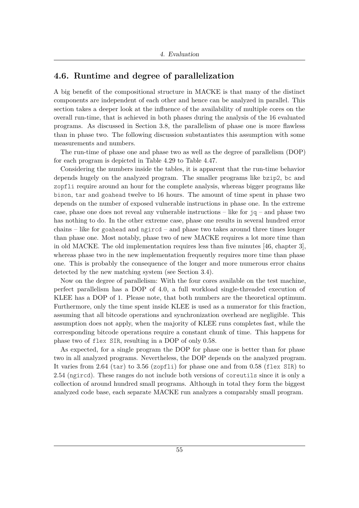## <span id="page-66-0"></span>**4.6. Runtime and degree of parallelization**

A big benefit of the compositional structure in MACKE is that many of the distinct components are independent of each other and hence can be analyzed in parallel. This section takes a deeper look at the influence of the availability of multiple cores on the overall run-time, that is achieved in both phases during the analysis of the 16 evaluated programs. As discussed in Section [3.8,](#page-46-0) the parallelism of phase one is more flawless than in phase two. The following discussion substantiates this assumption with some measurements and numbers.

The run-time of phase one and phase two as well as the degree of parallelism (DOP) for each program is depicted in Table [4.29](#page-65-0) to Table [4.47.](#page-68-0)

Considering the numbers inside the tables, it is apparent that the run-time behavior depends hugely on the analyzed program. The smaller programs like bzip2, bc and zopfli require around an hour for the complete analysis, whereas bigger programs like bison, tar and goahead twelve to 16 hours. The amount of time spent in phase two depends on the number of exposed vulnerable instructions in phase one. In the extreme case, phase one does not reveal any vulnerable instructions – like for  $jq$  – and phase two has nothing to do. In the other extreme case, phase one results in several hundred error chains – like for goahead and ngircd – and phase two takes around three times longer than phase one. Most notably, phase two of new MACKE requires a lot more time than in old MACKE. The old implementation requires less than five minutes [\[46,](#page-104-0) chapter 3], whereas phase two in the new implementation frequently requires more time than phase one. This is probably the consequence of the longer and more numerous error chains detected by the new matching system (see Section [3.4\)](#page-32-0).

Now on the degree of parallelism: With the four cores available on the test machine, perfect parallelism has a DOP of 4.0, a full workload single-threaded execution of KLEE has a DOP of 1. Please note, that both numbers are the theoretical optimum. Furthermore, only the time spent inside KLEE is used as a numerator for this fraction, assuming that all bitcode operations and synchronization overhead are negligible. This assumption does not apply, when the majority of KLEE runs completes fast, while the corresponding bitcode operations require a constant chunk of time. This happens for phase two of flex SIR, resulting in a DOP of only 0.58.

As expected, for a single program the DOP for phase one is better than for phase two in all analyzed programs. Nevertheless, the DOP depends on the analyzed program. It varies from 2.64 (tar) to 3.56 (zopfli) for phase one and from 0.58 (flex SIR) to 2.54 (ngircd). These ranges do not include both versions of coreutils since it is only a collection of around hundred small programs. Although in total they form the biggest analyzed code base, each separate MACKE run analyzes a comparably small program.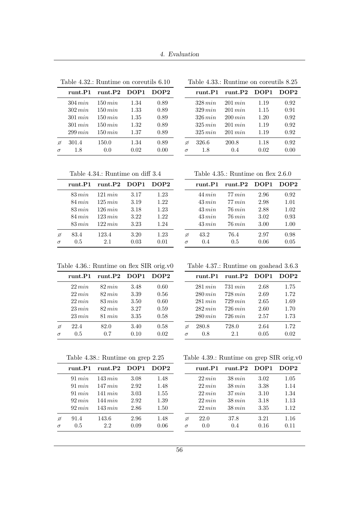|          | runt.P1      | runt.P2      | DOP1 | DOP2 |
|----------|--------------|--------------|------|------|
|          | $304 \, min$ | $150 \, min$ | 1.34 | 0.89 |
|          | $302 \, min$ | $150 \, min$ | 1.33 | 0.89 |
|          | $301\,min$   | $150 \, min$ | 1.35 | 0.89 |
|          | $301 \, min$ | $150 \, min$ | 1.32 | 0.89 |
|          | $299\,min$   | $150 \, min$ | 1.37 | 0.89 |
| Ø        | 301.4        | 150.0        | 1.34 | 0.89 |
| $\sigma$ | 1.8          | 0.0          | 0.02 | 0.00 |

Table 4.32.: Runtime on coreutils 6.10

| Table 4.33.: Runtime on coreutils 8.25 |  |  |  |
|----------------------------------------|--|--|--|
|----------------------------------------|--|--|--|

|          | runt.P1      | runt.P2      | DOP1 | DOP2 |
|----------|--------------|--------------|------|------|
|          | $328\,min$   | $201 \, min$ | 1.19 | 0.92 |
|          | $329 \, min$ | $201 \, min$ | 1.15 | 0.91 |
|          | 326 min      | $200 \, min$ | 1.20 | 0.92 |
|          | 325 min      | $201 \, min$ | 1.19 | 0.92 |
|          | 325 min      | $201 \, min$ | 1.19 | 0.92 |
| Ø        | 326.6        | 200.8        | 1.18 | 0.92 |
| $\sigma$ | 1.8          | 0.4          | 0.02 | 0.00 |

Table 4.34.: Runtime on diff 3.4

|          | runt.P1     | runt.P2      | DOP <sub>1</sub> | DOP <sub>2</sub> |
|----------|-------------|--------------|------------------|------------------|
|          | $83\,min$   | $121 \, min$ | 3.17             | 1.23             |
|          | $84 \, min$ | 125 min      | 3.19             | 1.22             |
|          | $83 \, min$ | 126 min      | 3.18             | 1.23             |
|          | $84 \, min$ | $123 \, min$ | 3.22             | 1.22             |
|          | $83 \, min$ | $122 \, min$ | 3.23             | 1.24             |
| ø        | 83.4        | 123.4        | 3.20             | 1.23             |
| $\sigma$ | $0.5\,$     | 2.1          | 0.03             | 0.01             |

Table 4.35.: Runtime on flex 2.6.0

|          | runt.P1                    | $r$ unt. $P2$       | DOP <sub>1</sub> | DOP2         |
|----------|----------------------------|---------------------|------------------|--------------|
|          | 44 min                     | 77 min              | 2.96             | 0.92         |
|          | $43 \, min$<br>$43 \, min$ | 77 min<br>$76\,min$ | 2.98<br>2.88     | 1.01<br>1.02 |
|          | $43 \, min$                | $76 \, min$         | 3.02             | 0.93         |
| Ø        | $43\,min$<br>43.2          | $76\,min$<br>76.4   | 3.00<br>2.97     | 1.00<br>0.98 |
| $\sigma$ | 0.4                        | 0.5                 | 0.06             | 0.05         |

Table 4.36.: Runtime on flex SIR orig.v0

|          | runt.P1     | runt.P2     | DOP1 | DOP2 |
|----------|-------------|-------------|------|------|
|          | $22\,min$   | $82\,min$   | 3.48 | 0.60 |
|          | $22 \, min$ | $82\,min$   | 3.39 | 0.56 |
|          | $22 \, min$ | $83 \, min$ | 3.50 | 0.60 |
|          | 23 min      | $82 \, min$ | 3.27 | 0.59 |
|          | $23\,min$   | $81 \, min$ | 3.35 | 0.58 |
| ø        | 22.4        | 82.0        | 3.40 | 0.58 |
| $\sigma$ | $0.5\,$     | 0.7         | 0.10 | 0.02 |

Table 4.37.: Runtime on goahead 3.6.3

|   | runt.P1      | runt.P2      | DOP1 | DOP2 |
|---|--------------|--------------|------|------|
|   | $281 \, min$ | $731 \, min$ | 2.68 | 1.75 |
|   | $280\,min$   | $728 \, min$ | 2.69 | 1.72 |
|   | $281\,min$   | $729\,min$   | 2.65 | 1.69 |
|   | $282\,min$   | $726\,min$   | 2.60 | 1.70 |
|   | $280\,min$   | $726$ $min$  | 2.57 | 1.73 |
| Ø | 280.8        | 728.0        | 2.64 | 1.72 |
| σ | 0.8          | 2.1          | 0.05 | 0.02 |

Table 4.38.: Runtime on grep 2.25

|          | runt.P1   | runt.P2    | DOP1 | DOP <sub>2</sub> |
|----------|-----------|------------|------|------------------|
|          | 91 min    | $143\,min$ | 3.08 | 1.48             |
|          | 91 min    | 147 min    | 2.92 | 1.48             |
|          | 91 min    | 141 min    | 3.03 | 1.55             |
|          | 92 min    | 144 min    | 2.92 | 1.39             |
|          | $92\,min$ | $143\,min$ | 2.86 | 1.50             |
|          | 91.4      | 143.6      | 2.96 | 1.48             |
| $\sigma$ | $0.5\,$   | 2.2        | 0.09 | 0.06             |

Table 4.39.: Runtime on grep SIR orig.v0

|   | runt.P1   | $r$ unt. $P2$ | DOP1 | DOP <sub>2</sub> |
|---|-----------|---------------|------|------------------|
|   | 22 min    | $38\,min$     | 3.02 | 1.05             |
|   | $22\,min$ | $38\,min$     | 3.38 | 1.14             |
|   | 22 min    | $37 \, min$   | 3.10 | 1.34             |
|   | 22 min    | $38 \, min$   | 3.18 | 1.13             |
|   | 22 min    | $38 \, min$   | 3.35 | 1.12             |
| Ø | 22.0      | 37.8          | 3.21 | 1.16             |
|   | 0.0       | 0.4           | 0.16 | 0.11             |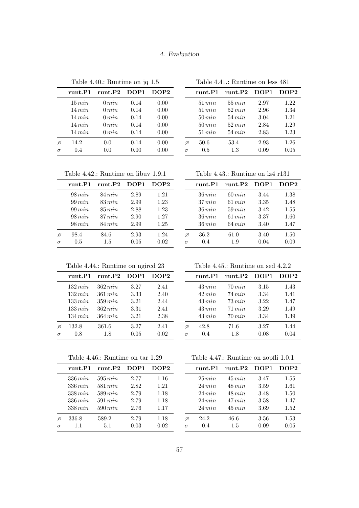|          | 1 radie 4.40.: Rumunie on journ |            |      |      |  |
|----------|---------------------------------|------------|------|------|--|
|          | $_{\rm runt.P1}$                | runt.P2    | DOP1 | DOP2 |  |
|          | $15\,min$                       | $0 \, min$ | 0.14 | 0.00 |  |
|          | $14\,min$                       | $0 \, min$ | 0.14 | 0.00 |  |
|          | 14 min                          | $0 \, min$ | 0.14 | 0.00 |  |
|          | 14 min                          | $0 \, min$ | 0.14 | 0.00 |  |
|          | $14\,min$                       | $0 \, min$ | 0.14 | 0.00 |  |
| Ø        | 14.2                            | 0.0        | 0.14 | 0.00 |  |
| $\sigma$ | $0.4\,$                         | 0.0        | 0.00 | 0.00 |  |

Table  $4.40 \cdot$  Runtime on ig 1.5

| Table 4.42.: Runtime on libuv 1.9.1 |  |  |  |
|-------------------------------------|--|--|--|
|-------------------------------------|--|--|--|

|          | runt.P1     | runt.P2     | DOP1 | DOP2 |
|----------|-------------|-------------|------|------|
|          | $98 \, min$ | $84 \, min$ | 2.89 | 1.21 |
|          | $99 \, min$ | $83 \, min$ | 2.99 | 1.23 |
|          | $99 \, min$ | $85 \, min$ | 2.88 | 1.23 |
|          | 98 min      | $87 \, min$ | 2.90 | 1.27 |
|          | $98\,min$   | $84 \, min$ | 2.99 | 1.25 |
| Ø        | 98.4        | 84.6        | 2.93 | 1.24 |
| $\sigma$ | $0.5\,$     | $1.5\,$     | 0.05 | 0.02 |
|          |             |             |      |      |

#### Table 4.41.: Runtime on less 481

|          | runt.P1     | runt.P2     | DOP <sub>1</sub> | DOP2 |
|----------|-------------|-------------|------------------|------|
|          | $51 \, min$ | $55 \, min$ | 2.97             | 1.22 |
|          | $51 \, min$ | $52 \, min$ | 2.96             | 1.34 |
|          | $50 \, min$ | $54 \, min$ | 3.04             | 1.21 |
|          | $50 \, min$ | $52 \, min$ | 2.84             | 1.29 |
|          | $51 \, min$ | $54 \, min$ | 2.83             | 1.23 |
|          | 50.6        | 53.4        | 2.93             | 1.26 |
| $\sigma$ | $0.5\,$     | 1.3         | 0.09             | 0.05 |

Table 4.43.: Runtime on lz4 r131

|          | runt.P1     | runt.P2     | DOP1 | DOP2 |
|----------|-------------|-------------|------|------|
|          | $36 \, min$ | $60 \, min$ | 3.44 | 1.38 |
|          | $37 \, min$ | 61 min      | 3.35 | 1.48 |
|          | $36 \, min$ | $59 \, min$ | 3.42 | 1.55 |
|          | $36\,min$   | 61 min      | 3.37 | 1.60 |
|          | $36\,min$   | $64 \, min$ | 3.40 | 1.47 |
| Ø        | 36.2        | 61.0        | 3.40 | 1.50 |
| $\sigma$ | 0.4         | 1.9         | 0.04 | 0.09 |

## Table 4.44.: Runtime on ngircd 23

|          | runt.P1      | runt.P2      | DOP <sub>1</sub> | DOP2 |
|----------|--------------|--------------|------------------|------|
|          | $132\,min$   | $362 \, min$ | 3.27             | 2.41 |
|          | $132 \, min$ | 361 min      | 3.33             | 2.40 |
|          | $133 \, min$ | $359 \, min$ | 3.21             | 2.44 |
|          | $133 \, min$ | $362 \, min$ | 3.31             | 2.41 |
|          | $134\,min$   | $364 \, min$ | 3.21             | 2.38 |
| Ø        | 132.8        | 361.6        | 3.27             | 2.41 |
| $\sigma$ | 0.8          | 1.8          | 0.05             | 0.02 |

#### <span id="page-68-0"></span>Table 4.46.: Runtime on tar 1.29

|          | runt.P1      | runt.P2      | DOP1 | DOP <sub>2</sub> |
|----------|--------------|--------------|------|------------------|
|          | $336 \, min$ | $595 \, min$ | 2.77 | 1.16             |
|          | $336 \, min$ | $581 \, min$ | 2.82 | 1.21             |
|          | 338 min      | $589 \, min$ | 2.79 | 1.18             |
|          | $336 \, min$ | $591 \, min$ | 2.79 | 1.18             |
|          | $338\,min$   | $590 \, min$ | 2.76 | 1.17             |
| Ø        | 336.8        | 589.2        | 2.79 | 1.18             |
| $\sigma$ | 1.1          | 5.1          | 0.03 | 0.02             |

Table 4.45.: Runtime on sed 4.2.2

|          | runt.P1     | runt.P2     | DOP1 | DOP2 |
|----------|-------------|-------------|------|------|
|          | $43 \, min$ | $70 \, min$ | 3.15 | 1.43 |
|          | 42 min      | $74 \, min$ | 3.34 | 1.41 |
|          | $43 \, min$ | $73 \, min$ | 3.22 | 1.47 |
|          | $43 \, min$ | 71 min      | 3.29 | 1.49 |
|          | $43\,min$   | $70\,min$   | 3.34 | 1.39 |
| ø        | 42.8        | 71.6        | 3.27 | 1.44 |
| $\sigma$ | 0.4         | 1.8         | 0.08 | 0.04 |

Table 4.47.: Runtime on zopfli 1.0.1

|   | runt.P1     | runt.P2     | DOP1 | DOP2 |
|---|-------------|-------------|------|------|
|   | 25 min      | $45 \, min$ | 3.47 | 1.55 |
|   | 24 min      | $48\,min$   | 3.59 | 1.61 |
|   | $24 \, min$ | $48\,min$   | 3.48 | 1.50 |
|   | 24 min      | 47 min      | 3.58 | 1.47 |
|   | 24 min      | $45 \, min$ | 3.69 | 1.52 |
| Ø | 24.2        | 46.6        | 3.56 | 1.53 |
| σ | 0.4         | 1.5         | 0.09 | 0.05 |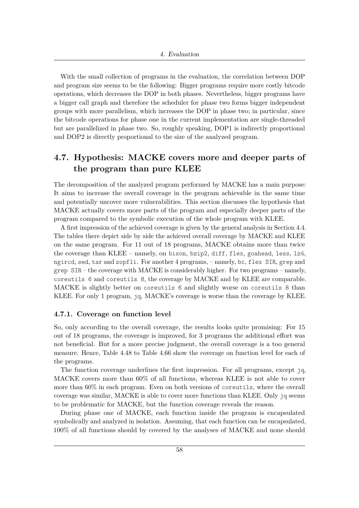With the small collection of programs in the evaluation, the correlation between DOP and program size seems to be the following: Bigger programs require more costly bitcode operations, which decreases the DOP in both phases. Nevertheless, bigger programs have a bigger call graph and therefore the scheduler for phase two forms bigger independent groups with more parallelism, which increases the DOP in phase two; in particular, since the bitcode operations for phase one in the current implementation are single-threaded but are parallelized in phase two. So, roughly speaking, DOP1 is indirectly proportional and DOP2 is directly proportional to the size of the analyzed program.

## **4.7. Hypothesis: MACKE covers more and deeper parts of the program than pure KLEE**

The decomposition of the analyzed program performed by MACKE has a main purpose: It aims to increase the overall coverage in the program achievable in the same time and potentially uncover more vulnerabilities. This section discusses the hypothesis that MACKE actually covers more parts of the program and especially deeper parts of the program compared to the symbolic execution of the whole program with KLEE.

A first impression of the achieved coverage is given by the general analysis in Section [4.4.](#page-61-1) The tables there depict side by side the achieved overall coverage by MACKE and KLEE on the same program. For 11 out of 18 programs, MACKE obtains more than twice the coverage than KLEE – namely, on bison, bzip2, diff, flex, goahead, less, lz4, ngircd, sed, tar and zopfli. For another 4 programs, – namely, bc, flex SIR, grep and grep SIR – the coverage with MACKE is considerably higher. For two programs – namely, coreutils 6 and coreutils 8, the coverage by MACKE and by KLEE are comparable. MACKE is slightly better on coreutils 6 and slightly worse on coreutils 8 than KLEE. For only 1 program, jq, MACKE's coverage is worse than the coverage by KLEE.

## **4.7.1. Coverage on function level**

So, only according to the overall coverage, the results looks quite promising: For 15 out of 18 programs, the coverage is improved, for 3 programs the additional effort was not beneficial. But for a more precise judgment, the overall coverage is a too general measure. Hence, Table [4.48](#page-71-0) to Table [4.66](#page-74-0) show the coverage on function level for each of the programs.

The function coverage underlines the first impression. For all programs, except jq, MACKE covers more than 60% of all functions, whereas KLEE is not able to cover more than 60% in each program. Even on both versions of coreutils, where the overall coverage was similar, MACKE is able to cover more functions than KLEE. Only jq seems to be problematic for MACKE, but the function coverage reveals the reason.

During phase one of MACKE, each function inside the program is encapsulated symbolically and analyzed in isolation. Assuming, that each function can be encapsulated, 100% of all functions should by covered by the analyses of MACKE and none should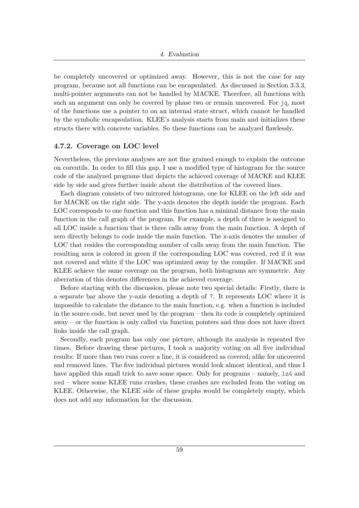be completely uncovered or optimized away. However, this is not the case for any program, because not all functions can be encapsulated. As discussed in Section [3.3.3,](#page-31-0) multi-pointer arguments can not be handled by MACKE. Therefore, all functions with such an argument can only be covered by phase two or remain uncovered. For jq, most of the functions use a pointer to on an internal state struct, which cannot be handled by the symbolic encapsulation. KLEE's analysis starts from main and initializes these structs there with concrete variables. So these functions can be analyzed flawlessly.

#### **4.7.2. Coverage on LOC level**

Nevertheless, the previous analyses are not fine grained enough to explain the outcome on coreutils. In order to fill this gap, I use a modified type of histogram for the source code of the analyzed programs that depicts the achieved coverage of MACKE and KLEE side by side and gives further inside about the distribution of the covered lines.

Each diagram consists of two mirrored histograms, one for KLEE on the left side and for MACKE on the right side. The y-axis denotes the depth inside the program. Each LOC corresponds to one function and this function has a minimal distance from the main function in the call graph of the program. For example, a depth of three is assigned to all LOC inside a function that is three calls away from the main function. A depth of zero directly belongs to code inside the main function. The x-axis denotes the number of LOC that resides the corresponding number of calls away from the main function. The resulting area is colored in green if the corresponding LOC was covered, red if it was not covered and white if the LOC was optimized away by the compiler. If MACKE and KLEE achieve the same coverage on the program, both histograms are symmetric. Any aberration of this denotes differences in the achieved coverage.

Before starting with the discussion, please note two special details: Firstly, there is a separate bar above the y-axis denoting a depth of ?. It represents LOC where it is impossible to calculate the distance to the main function, e.g. when a function is included in the source code, but never used by the program – then its code is completely optimized away – or the function is only called via function pointers and thus does not have direct links inside the call graph.

Secondly, each program has only one picture, although its analysis is repeated five times. Before drawing these pictures, I took a majority voting on all five individual results: If more than two runs cover a line, it is considered as covered; alike for uncovered and removed lines. The five individual pictures would look almost identical, and thus I have applied this small trick to save some space. Only for programs – namely, 1z4 and sed – where some KLEE runs crashes, these crashes are excluded from the voting on KLEE. Otherwise, the KLEE side of these graphs would be completely empty, which does not add any information for the discussion.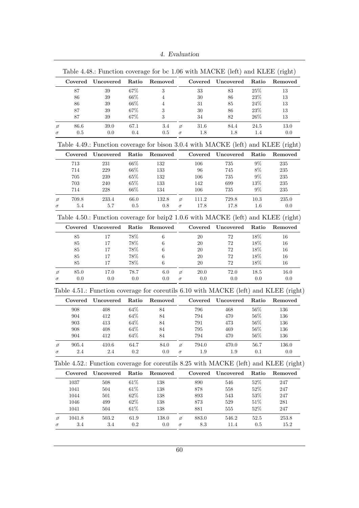4. Evaluation

<span id="page-71-0"></span>

|               | Covered  | Uncovered                                                                                       | Ratio     | Removed    |          | Covered  | Uncovered | Ratio    | Removed          |
|---------------|----------|-------------------------------------------------------------------------------------------------|-----------|------------|----------|----------|-----------|----------|------------------|
|               |          |                                                                                                 |           |            |          |          |           |          |                  |
|               | 87       | 39                                                                                              | $67\%$    | $\sqrt{3}$ |          | 33       | 83        | $25\%$   | 13               |
|               | 86       | 39                                                                                              | $66\%$    | 4          |          | $30\,$   | 86        | $23\%$   | 13               |
|               | 86       | 39                                                                                              | $66\%$    | 4          |          | 31       | 85        | $24\%$   | 13               |
|               | 87       | 39                                                                                              | $67\%$    | 3          |          | 30       | 86        | $23\%$   | 13               |
|               | 87       | 39                                                                                              | $67\%$    | 3          |          | 34       | $82\,$    | $26\%$   | 13               |
| ø             | 86.6     | 39.0                                                                                            | 67.1      | 3.4        | ø        | $31.6\,$ | 84.4      | $24.5\,$ | 13.0             |
| $\sigma$      | $0.5\,$  | $0.0\,$                                                                                         | $0.4\,$   | $0.5\,$    | $\sigma$ | $1.8\,$  | $1.8\,$   | $1.4\,$  | 0.0              |
|               |          | Table 4.49.: Function coverage for bison 3.0.4 with MACKE (left) and KLEE (right)               |           |            |          |          |           |          |                  |
|               | Covered  | Uncovered                                                                                       | Ratio     | Removed    |          | Covered  | Uncovered | Ratio    | Removed          |
|               | 713      | 231                                                                                             | $66\%$    | 132        |          | 106      | 735       | $9\%$    | $235\,$          |
|               | 714      | $229\,$                                                                                         | $66\%$    | 133        |          | 96       | 745       | $8\%$    | $235\,$          |
|               | 705      | 239                                                                                             | 65%       | 132        |          | 106      | 735       | $9\%$    | $235\,$          |
|               | $703\,$  | 240                                                                                             | $65\%$    | 133        |          | 142      | 699       | $13\%$   | $235\,$          |
|               | 714      | 228                                                                                             | $66\%$    | 134        |          | 106      | 735       | $9\%$    | $235\,$          |
|               |          |                                                                                                 |           |            |          |          |           |          |                  |
| ø             | 709.8    | 233.4                                                                                           | 66.0      | 132.8      | ø        | 111.2    | 729.8     | $10.3\,$ | $235.0\,$        |
| $\sigma$      | 5.4      | 5.7                                                                                             | 0.5       | 0.8        | $\sigma$ | 17.8     | 17.8      | 1.6      | 0.0              |
|               |          | Table 4.50.: Function coverage for bzip2 1.0.6 with MACKE (left) and KLEE (right)               |           |            |          |          |           |          |                  |
|               | Covered  | Uncovered                                                                                       | Ratio     | Removed    |          | Covered  | Uncovered | Ratio    | Removed          |
|               | 85       | 17                                                                                              | $78\%$    | $\,6$      |          | 20       | 72        | $18\%$   | 16               |
|               | 85       | 17                                                                                              | $78\%$    | 6          |          | 20       | 72        | 18%      | 16               |
|               | 85       | 17                                                                                              | $78\%$    | 6          |          | $20\,$   | 72        | 18%      | 16               |
|               | 85       | 17                                                                                              | $78\%$    | 6          |          | $20\,$   | $72\,$    | $18\%$   | 16               |
|               | 85       | 17                                                                                              | $78\%$    | 6          |          | $20\,$   | $72\,$    | $18\%$   | 16               |
| ø             | $85.0\,$ | 17.0                                                                                            | 78.7      | $6.0\,$    | ø        | 20.0     | 72.0      | 18.5     | 16.0             |
| $\sigma$      | 0.0      | 0.0                                                                                             | 0.0       | $0.0\,$    | $\sigma$ | 0.0      | 0.0       | 0.0      | 0.0              |
|               |          | Table 4.51.: Function coverage for coreutils 6.10 with MACKE (left) and KLEE (right)            |           |            |          |          |           |          |                  |
|               |          |                                                                                                 | Ratio     | Removed    |          | Covered  | Uncovered | Ratio    | Removed          |
|               |          |                                                                                                 |           |            |          |          |           |          |                  |
|               | Covered  | Uncovered                                                                                       |           |            |          |          |           |          |                  |
|               | 908      | 408                                                                                             | $64\%$    | $84\,$     |          | 796      | 468       | $56\%$   | 136              |
|               | 904      | 412                                                                                             | $64\%$    | 84         |          | 794      | 470       | $56\%$   | 136              |
|               | 903      | 413                                                                                             | 64%       | 84         |          | 791      | 473       | 56%      | 136              |
|               | 908      | 408                                                                                             | 64%       | 84         |          | 795      | 469       | $56\%$   | 136              |
|               | 904      | 412                                                                                             | $64\%$    | 84         |          | 794      | 470       | $56\%$   | 136              |
|               |          |                                                                                                 |           |            |          |          |           |          |                  |
|               | 905.4    | 410.6                                                                                           | 64.7      | 84.0       | ø        | 794.0    | 470.0     | 56.7     | 136.0            |
| ø<br>$\sigma$ | $2.4\,$  | $2.4\,$<br>Table 4.52.: Function coverage for coreutils 8.25 with MACKE (left) and KLEE (right) | $\rm 0.2$ | $0.0\,$    | $\sigma$ | 1.9      | 1.9       | $0.1\,$  | $0.0\,$          |
|               | Covered  | Uncovered                                                                                       | Ratio     | Removed    |          | Covered  | Uncovered | Ratio    |                  |
|               |          |                                                                                                 |           |            |          |          |           |          |                  |
|               | 1037     | 508                                                                                             | $61\%$    | 138        |          | 890      | 546       | 52%      | 247              |
|               | 1041     | $504\,$                                                                                         | $61\%$    | 138        |          | 878      | 558       | $52\%$   | 247              |
|               | 1044     | 501                                                                                             | $62\%$    | 138        |          | 893      | 543       | $53\%$   | 247              |
|               | 1046     | 499                                                                                             | $62\%$    | 138        |          | 873      | 529       | $51\%$   | 281              |
|               | 1041     | 504                                                                                             | $61\%$    | 138        |          | 881      | 555       | 52%      | 247              |
| ø             | 1041.8   | 503.2                                                                                           | $61.9\,$  | 138.0      | ø        | 883.0    | 546.2     | 52.5     | Removed<br>253.8 |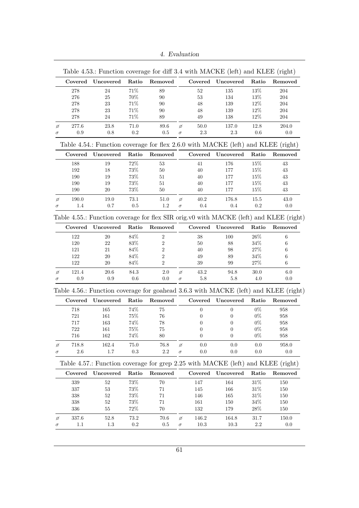4. Evaluation

<span id="page-72-4"></span><span id="page-72-3"></span><span id="page-72-2"></span><span id="page-72-1"></span><span id="page-72-0"></span>

|                           | Covered | Uncovered                                                                              | Ratio     | Removed                 |          |                  | Covered Uncovered | Ratio     | Removed |
|---------------------------|---------|----------------------------------------------------------------------------------------|-----------|-------------------------|----------|------------------|-------------------|-----------|---------|
|                           | 278     | 24                                                                                     | $71\%$    | 89                      |          | 52               | 135               | $13\%$    | $\,204$ |
|                           | 276     | 25                                                                                     | $70\%$    | 90                      |          | $53\,$           | 134               | $13\%$    | 204     |
|                           | $278\,$ | 23                                                                                     | $71\%$    | 90                      |          | $48\,$           | 139               | 12%       | $\,204$ |
|                           | $278\,$ | 23                                                                                     | $71\%$    | 90                      |          | 48               | 139               | $12\%$    | 204     |
|                           | 278     | 24                                                                                     | $71\%$    | 89                      |          | 49               | 138               | $12\%$    | 204     |
| ø                         | 277.6   | 23.8                                                                                   | 71.0      | $89.6\,$                | ø        | $50.0\,$         | 137.0             | 12.8      | 204.0   |
| $\sigma$                  | 0.9     | 0.8                                                                                    | $\rm 0.2$ | $0.5\,$                 | $\sigma$ | $2.3\,$          | 2.3               | $0.6\,$   | $0.0\,$ |
|                           |         | Table 4.54.: Function coverage for flex 2.6.0 with MACKE (left) and KLEE (right)       |           |                         |          |                  |                   |           |         |
|                           | Covered | Uncovered                                                                              | Ratio     | Removed                 |          |                  | Covered Uncovered | Ratio     | Removed |
|                           | 188     | 19                                                                                     | $72\%$    | 53                      |          | 41               | 176               | 15%       | 43      |
|                           | 192     | 18                                                                                     | $73\%$    | $50\,$                  |          | $40\,$           | 177               | $15\%$    | 43      |
|                           | 190     | 19                                                                                     | $73\%$    | 51                      |          | 40               | 177               | 15%       | 43      |
|                           | 190     | 19                                                                                     | $73\%$    | 51                      |          | 40               | 177               | 15%       | 43      |
|                           | 190     | 20                                                                                     | $73\%$    | 50                      |          | 40               | 177               | $15\%$    | 43      |
| ø                         | 190.0   | 19.0                                                                                   | 73.1      | $51.0\,$                | ø        | 40.2             | 176.8             | 15.5      | 43.0    |
| $\sigma$                  | 1.4     | 0.7                                                                                    | 0.5       | $1.2\,$                 | $\sigma$ | $0.4\,$          | 0.4               | $\rm 0.2$ | 0.0     |
|                           |         | Table 4.55.: Function coverage for flex SIR orig.v0 with MACKE (left) and KLEE (right) |           |                         |          |                  |                   |           |         |
|                           | Covered | Uncovered                                                                              | Ratio     | Removed                 |          | Covered          | Uncovered         | Ratio     | Removed |
|                           | 122     | 20                                                                                     | $84\%$    | $\,2$                   |          | $38\,$           | 100               | $26\%$    | $\,6$   |
|                           | 120     | $22\,$                                                                                 | $83\%$    | $\,2$                   |          | $50\,$           | 88                | $34\%$    | 6       |
|                           | 121     | 21                                                                                     | 84%       | $\overline{\mathbf{2}}$ |          | 40               | 98                | 27%       | 6       |
|                           | 122     | 20                                                                                     | $84\%$    | $\overline{2}$          |          | 49               | 89                | 34\%      | 6       |
|                           | 122     | 20                                                                                     | $84\%$    | $\sqrt{2}$              |          | 39               | 99                | $27\%$    | 6       |
| ø                         | 121.4   | $20.6\,$                                                                               | 84.3      | $2.0\,$                 | ø        | $43.2\,$         | $94.8\,$          | $30.0\,$  | $6.0\,$ |
|                           |         |                                                                                        |           |                         |          | $5.8\,$          | 5.8               | $4.0\,$   | 0.0     |
|                           | 0.9     | $\rm 0.9$                                                                              | $0.6\,$   | $0.0\,$                 | $\sigma$ |                  |                   |           |         |
|                           |         | Table 4.56.: Function coverage for goahead 3.6.3 with MACKE (left) and KLEE (right)    |           |                         |          |                  |                   |           |         |
|                           | Covered | Uncovered                                                                              | Ratio     | Removed                 |          | Covered          | Uncovered         | Ratio     | Removed |
|                           | 718     | 165                                                                                    | $74\%$    | 75                      |          | $\boldsymbol{0}$ | $\boldsymbol{0}$  | $0\%$     | 958     |
|                           | 721     | 161                                                                                    | $75\%$    | 76                      |          | $\theta$         | 0                 | $0\%$     | 958     |
|                           | 717     | 163                                                                                    | 74%       | 78                      |          | $\boldsymbol{0}$ | 0                 | $0\%$     | 958     |
|                           | 722     | 161                                                                                    | 75%       | 75                      |          | 0                | 0                 | $0\%$     | 958     |
|                           | 716     | 162                                                                                    | 74%       | 80                      |          | 0                | $\boldsymbol{0}$  | $0\%$     | 958     |
|                           | 718.8   | 162.4                                                                                  | 75.0      | 76.8                    | ø        | 0.0              | 0.0               | 0.0       | 958.0   |
|                           | $2.6\,$ | 1.7                                                                                    | $\rm 0.3$ | 2.2                     | $\sigma$ | 0.0              | 0.0               | $0.0\,$   | 0.0     |
|                           |         | Table 4.57.: Function coverage for grep 2.25 with MACKE (left) and KLEE (right)        |           |                         |          |                  |                   |           |         |
|                           | Covered | Uncovered                                                                              | Ratio     | Removed                 |          | Covered          | Uncovered         | Ratio     | Removed |
|                           | 339     | $52\,$                                                                                 | $73\%$    | 70                      |          | 147              | 164               | $31\%$    | 150     |
|                           | 337     | $53\,$                                                                                 | 73%       | 71                      |          | 145              | 166               | $31\%$    | 150     |
|                           | 338     | 52                                                                                     | $73\%$    | 71                      |          | $146\,$          | 165               | $31\%$    | 150     |
|                           | 338     | $52\,$                                                                                 | $73\%$    | 71                      |          | 161              | 150               | $34\%$    | 150     |
| $\sigma$<br>ø<br>$\sigma$ | 336     | 55                                                                                     | $72\%$    | 70                      |          | 132              | 179               | $28\%$    | 150     |
| ø                         | 337.6   | $52.8\,$                                                                               | 73.2      | 70.6                    | ø        | 146.2            | 164.8             | 31.7      | 150.0   |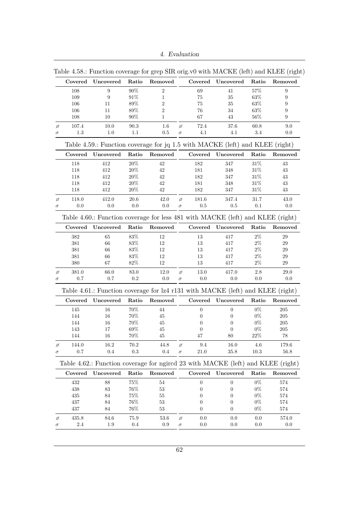4. Evaluation

<span id="page-73-4"></span><span id="page-73-3"></span><span id="page-73-2"></span><span id="page-73-1"></span>

|                    | Covered    | Uncovered                                                                       | Ratio            | Removed      |          | Covered        | Uncovered            | Ratio           | Removed          |
|--------------------|------------|---------------------------------------------------------------------------------|------------------|--------------|----------|----------------|----------------------|-----------------|------------------|
|                    | 108        | 9                                                                               | $90\%$           | $\sqrt{2}$   |          | 69             | 41                   | $57\%$          | 9                |
|                    | 109        | 9                                                                               | $91\%$           | 1            |          | $75\,$         | 35                   | $63\%$          | 9                |
|                    | 106        | 11                                                                              | 89%              | $\sqrt{2}$   |          | 75             | 35                   | 63%             | $\boldsymbol{9}$ |
|                    | 106        | 11                                                                              | 89%              | $\sqrt{2}$   |          | 76             | 34                   | $63\%$          | $\boldsymbol{9}$ |
|                    | 108        | 10                                                                              | $90\%$           | $\mathbf{1}$ |          | 67             | 43                   | $56\%$          | 9                |
|                    |            |                                                                                 |                  |              |          |                |                      |                 |                  |
| ø                  | 107.4      | 10.0                                                                            | $90.3\,$         | 1.6          | ø        | 72.4           | 37.6                 | 60.8            | 9.0              |
| $\sigma$           | 1.3        | $1.0\,$                                                                         | 1.1              | $0.5\,$      | $\sigma$ | $4.1\,$        | 4.1                  | $3.4\,$         | 0.0              |
|                    |            | Table 4.59.: Function coverage for jq 1.5 with MACKE (left) and KLEE (right)    |                  |              |          |                |                      |                 |                  |
|                    | Covered    | Uncovered                                                                       | Ratio            | Removed      |          |                | Covered Uncovered    | Ratio           | Removed          |
|                    | 118        | 412                                                                             | $20\%$           | 42           |          | 182            | 347                  | $31\%$          | 43               |
|                    | 118        | 412                                                                             | $20\%$           | 42           |          | 181            | 348                  | $31\%$          | 43               |
|                    | 118        | 412                                                                             | $20\%$           | 42           |          | 182            | 347                  | $31\%$          | 43               |
|                    | 118        | 412                                                                             | 20%              | 42           |          | 181            | 348                  | 31\%            | 43               |
|                    | 118        | 412                                                                             | $20\%$           | 42           |          | 182            | 347                  | $31\%$          | 43               |
| ø                  | 118.0      | 412.0                                                                           | $20.6\,$         | 42.0         | ø        | 181.6          | 347.4                | 31.7            | 43.0             |
| σ                  | 0.0        | 0.0                                                                             | 0.0              | $0.0\,$      | $\sigma$ | $0.5\,$        | 0.5                  | 0.1             | 0.0              |
|                    |            | Table 4.60.: Function coverage for less 481 with MACKE (left) and KLEE (right)  |                  |              |          |                |                      |                 |                  |
|                    | Covered    | Uncovered                                                                       | Ratio            | Removed      |          |                | Covered Uncovered    | Ratio           | Removed          |
|                    | 382        | 65                                                                              | $83\%$           | 12           |          | 13             | 417                  | $2\%$           | 29               |
|                    | 381        | 66                                                                              | $83\%$           | 12           |          | 13             | 417                  | $2\%$           | 29               |
|                    | 381        |                                                                                 | 83%              | 12           |          | 13             | 417                  | $2\%$           | 29               |
|                    |            | 66                                                                              |                  |              |          |                |                      |                 |                  |
|                    | 381        | 66                                                                              | $83\%$           | 12           |          | 13             | 417                  | $2\%$           | $\,29$           |
|                    | 380        | 67                                                                              | 82%              | 12           |          | 13             | 417                  | $2\%$           | 29               |
|                    |            |                                                                                 |                  |              |          |                |                      |                 |                  |
|                    | 381.0      | $66.0\,$                                                                        | $83.0\,$         | 12.0         | ø        | 13.0           | 417.0                | $2.8\,$         | 29.0             |
|                    | 0.7        | 0.7                                                                             | 0.2              | 0.0          | $\sigma$ | 0.0            | 0.0                  | 0.0             | 0.0              |
|                    |            | Table 4.61.: Function coverage for lz4 r131 with MACKE (left) and KLEE (right)  |                  |              |          |                |                      |                 |                  |
|                    | Covered    | Uncovered                                                                       | Ratio            | Removed      |          |                | Covered Uncovered    | Ratio           | Removed          |
|                    | 145        | 16                                                                              | $70\%$           | 44           |          | $\overline{0}$ | $\theta$             | $0\%$           | $205\,$          |
|                    |            | 16                                                                              |                  | 45           |          | 0              | $\theta$             | $0\%$           | 205              |
|                    | 144        |                                                                                 | $70\%$           |              |          |                |                      |                 |                  |
|                    | 144        | 16                                                                              | $70\%$           | 45           |          | $\overline{0}$ | $\theta$             | $0\%$           | $205\,$          |
|                    | 143<br>144 | 17<br>16                                                                        | $69\%$<br>$70\%$ | 45<br>45     |          | $\theta$<br>47 | $\overline{0}$<br>80 | $0\%$<br>$22\%$ | 205<br>78        |
|                    |            |                                                                                 |                  |              |          |                |                      |                 |                  |
|                    | 144.0      | 16.2                                                                            | 70.2             | 44.8         | ø        | 9.4            | $16.0\,$             | $4.6\,$         | $179.6\,$        |
| ø<br>σ<br>$\sigma$ | 0.7        | 0.4                                                                             | 0.3              | 0.4          | $\sigma$ | 21.0           | 35.8                 | 10.3            | 56.8             |
|                    |            | Table 4.62.: Function coverage for ngired 23 with MACKE (left) and KLEE (right) |                  |              |          |                |                      |                 |                  |
|                    | Covered    | Uncovered                                                                       | Ratio            | Removed      |          | Covered        | Uncovered            | Ratio           |                  |
|                    | 432        | 88                                                                              | $75\%$           | 54           |          | $\overline{0}$ | $\theta$             | $0\%$           | 574              |
|                    | 438        | $83\,$                                                                          | $76\%$           | $53\,$       |          | 0              | 0                    | $0\%$           | $574\,$          |
|                    | 435        | $84\,$                                                                          | $75\%$           | $55\,$       |          | $\overline{0}$ | $\boldsymbol{0}$     | $0\%$           | 574              |
|                    | 437        | $84\,$                                                                          | $76\%$           | $53\,$       |          | 0              | $\theta$             | $0\%$           | 574              |
|                    | 437        | 84                                                                              | 76%              | $53\,$       |          | 0              | $\overline{0}$       | $0\%$           | 574              |
| ø                  | 435.8      | 84.6                                                                            | 75.9             | 53.6         | ø        | 0.0            | 0.0                  | 0.0             | Removed<br>574.0 |

<span id="page-73-0"></span>Table 4.58.: Function coverage for grep SIR orig.v0 with MACKE (left) and KLEE (right)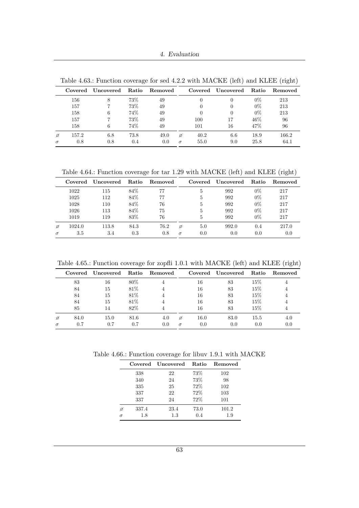4. Evaluation

| Removed |
|---------|
| 213     |
| 213     |
| 213     |
| 96      |
| 96      |
| 166.2   |
| 64.1    |
|         |

<span id="page-74-0"></span>Table 4.63.: Function coverage for sed 4.2.2 with MACKE (left) and KLEE (right)

<span id="page-74-1"></span>Table 4.64.: Function coverage for tar 1.29 with MACKE (left) and KLEE (right)

|          | Covered | Uncovered | Ratio | Removed |          | Covered | Uncovered | <b>Ratio</b> | Removed |
|----------|---------|-----------|-------|---------|----------|---------|-----------|--------------|---------|
|          | 1022    | 115       | 84%   | 77      |          | 5       | 992       | $0\%$        | 217     |
|          | 1025    | 112       | 84%   | 77      |          | 5       | 992       | $0\%$        | 217     |
|          | 1028    | 110       | 84%   | 76      |          | 5       | 992       | $0\%$        | 217     |
|          | 1026    | 113       | 84%   | 75      |          | 5       | 992       | $0\%$        | 217     |
|          | 1019    | 119       | 83%   | 76      |          | 5       | 992       | $0\%$        | 217     |
| ø        | 1024.0  | 113.8     | 84.3  | 76.2    | ø        | 5.0     | 992.0     | 0.4          | 217.0   |
| $\sigma$ | 3.5     | 3.4       | 0.3   | 0.8     | $\sigma$ | 0.0     | 0.0       | 0.0          | 0.0     |

<span id="page-74-2"></span>Table 4.65.: Function coverage for zopfli 1.0.1 with MACKE (left) and KLEE (right)

|          | Covered | Uncovered Ratio |      | Removed |          |      | Covered Uncovered | Ratio | Removed |
|----------|---------|-----------------|------|---------|----------|------|-------------------|-------|---------|
|          | 83      | 16              | 80%  |         |          | 16   | 83                | 15%   |         |
|          | 84      | 15              | 81\% |         |          | 16   | 83                | 15%   |         |
|          | 84      | 15              | 81\% |         |          | 16   | 83                | 15%   |         |
|          | 84      | 15              | 81\% |         |          | 16   | 83                | 15%   |         |
|          | 85      | 14              | 82%  |         |          | 16   | 83                | 15%   |         |
| ø        | 84.0    | 15.0            | 81.6 | 4.0     | ø        | 16.0 | 83.0              | 15.5  | 4.U     |
| $\sigma$ | 0.7     | 0.7             | 0.7  | 0.0     | $\sigma$ | 0.0  | 0.0               | 0.0   |         |

<span id="page-74-3"></span>Table 4.66.: Function coverage for libuv 1.9.1 with MACKE

|          |       | Covered Uncovered | <b>Ratio</b> | Removed |
|----------|-------|-------------------|--------------|---------|
|          | 338   | 22                | 73%          | 102     |
|          | 340   | 24                | 73%          | 98      |
|          | 335   | 25                | 72%          | 102     |
|          | 337   | 22                | 72%          | 103     |
|          | 337   | 24                | 72%          | 101     |
| ø        | 337.4 | 23.4              | 73.0         | 101.2   |
| $\sigma$ | 1.8   | 1.3               | 0.4          | 1.9     |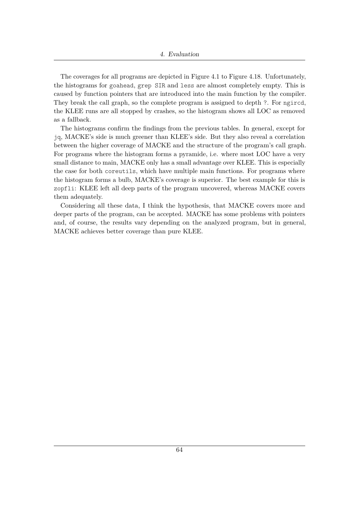The coverages for all programs are depicted in Figure [4.1](#page-76-0) to Figure [4.18.](#page-78-0) Unfortunately, the histograms for goahead, grep SIR and less are almost completely empty. This is caused by function pointers that are introduced into the main function by the compiler. They break the call graph, so the complete program is assigned to depth ?. For ngircd, the KLEE runs are all stopped by crashes, so the histogram shows all LOC as removed as a fallback.

The histograms confirm the findings from the previous tables. In general, except for jq, MACKE's side is much greener than KLEE's side. But they also reveal a correlation between the higher coverage of MACKE and the structure of the program's call graph. For programs where the histogram forms a pyramide, i.e. where most LOC have a very small distance to main, MACKE only has a small advantage over KLEE. This is especially the case for both coreutils, which have multiple main functions. For programs where the histogram forms a bulb, MACKE's coverage is superior. The best example for this is zopfli: KLEE left all deep parts of the program uncovered, whereas MACKE covers them adequately.

Considering all these data, I think the hypothesis, that MACKE covers more and deeper parts of the program, can be accepted. MACKE has some problems with pointers and, of course, the results vary depending on the analyzed program, but in general, MACKE achieves better coverage than pure KLEE.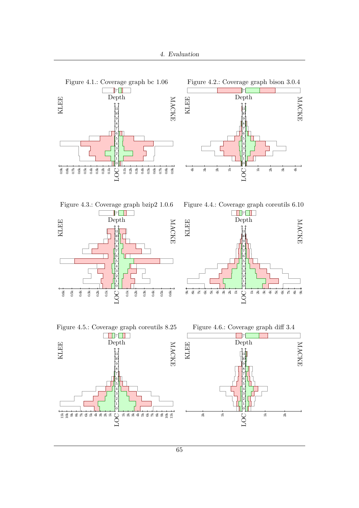<span id="page-76-2"></span><span id="page-76-1"></span><span id="page-76-0"></span>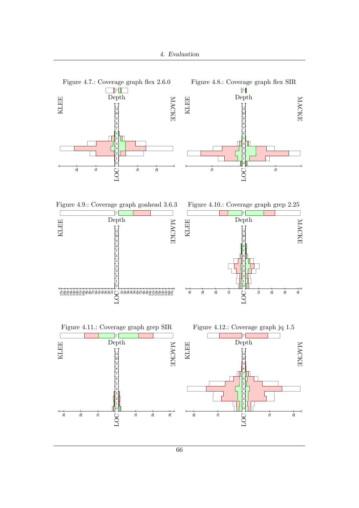<span id="page-77-2"></span><span id="page-77-1"></span><span id="page-77-0"></span>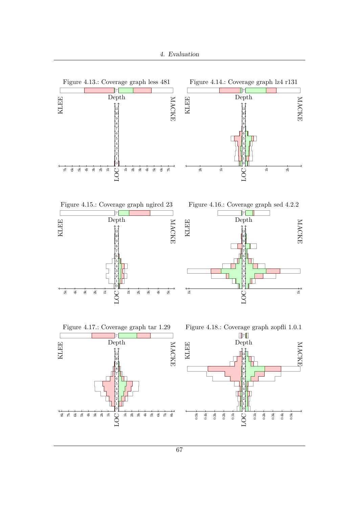<span id="page-78-2"></span><span id="page-78-1"></span><span id="page-78-0"></span>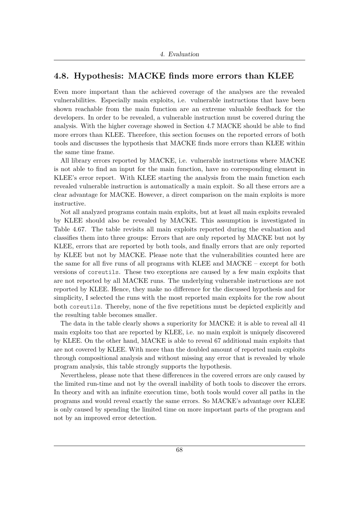### **4.8. Hypothesis: MACKE finds more errors than KLEE**

Even more important than the achieved coverage of the analyses are the revealed vulnerabilities. Especially main exploits, i.e. vulnerable instructions that have been shown reachable from the main function are an extreme valuable feedback for the developers. In order to be revealed, a vulnerable instruction must be covered during the analysis. With the higher coverage showed in Section [4.7](#page-69-0) MACKE should be able to find more errors than KLEE. Therefore, this section focuses on the reported errors of both tools and discusses the hypothesis that MACKE finds more errors than KLEE within the same time frame.

All library errors reported by MACKE, i.e. vulnerable instructions where MACKE is not able to find an input for the main function, have no corresponding element in KLEE's error report. With KLEE starting the analysis from the main function each revealed vulnerable instruction is automatically a main exploit. So all these errors are a clear advantage for MACKE. However, a direct comparison on the main exploits is more instructive.

Not all analyzed programs contain main exploits, but at least all main exploits revealed by KLEE should also be revealed by MACKE. This assumption is investigated in Table [4.67.](#page-80-0) The table revisits all main exploits reported during the evaluation and classifies them into three groups: Errors that are only reported by MACKE but not by KLEE, errors that are reported by both tools, and finally errors that are only reported by KLEE but not by MACKE. Please note that the vulnerabilities counted here are the same for all five runs of all programs with KLEE and MACKE – except for both versions of coreutils. These two exceptions are caused by a few main exploits that are not reported by all MACKE runs. The underlying vulnerable instructions are not reported by KLEE. Hence, they make no difference for the discussed hypothesis and for simplicity, I selected the runs with the most reported main exploits for the row about both coreutils. Thereby, none of the five repetitions must be depicted explicitly and the resulting table becomes smaller.

The data in the table clearly shows a superiority for MACKE: it is able to reveal all 41 main exploits too that are reported by KLEE, i.e. no main exploit is uniquely discovered by KLEE. On the other hand, MACKE is able to reveal 67 additional main exploits that are not covered by KLEE. With more than the doubled amount of reported main exploits through compositional analysis and without missing any error that is revealed by whole program analysis, this table strongly supports the hypothesis.

Nevertheless, please note that these differences in the covered errors are only caused by the limited run-time and not by the overall inability of both tools to discover the errors. In theory and with an infinite execution time, both tools would cover all paths in the programs and would reveal exactly the same errors. So MACKE's advantage over KLEE is only caused by spending the limited time on more important parts of the program and not by an improved error detection.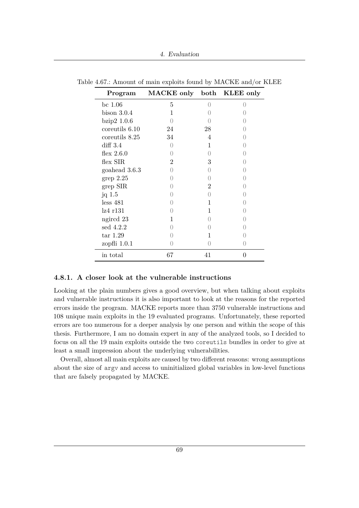| Program        | MACKE only both KLEE only |    |                  |
|----------------|---------------------------|----|------------------|
| bc $1.06$      | 5                         |    |                  |
| $bison$ 3.0.4  | 1                         |    |                  |
| bzip2 1.0.6    |                           |    |                  |
| coreutils 6.10 | 24                        | 28 |                  |
| coreutils 8.25 | 34                        | 4  |                  |
| diff 3.4       | $\left( \right)$          |    |                  |
| flex $2.6.0$   | $\left( \right)$          |    |                  |
| flex SIR       | $\overline{2}$            | 3  |                  |
| goahead 3.6.3  | $\left( \right)$          |    |                  |
| grep 2.25      | $\left( \right)$          |    |                  |
| $grep$ SIR     | $\left( \right)$          | 2  |                  |
| jq $1.5$       |                           |    |                  |
| less 481       |                           | 1  |                  |
| 1z4r131        |                           |    |                  |
| ngired 23      |                           |    |                  |
| sed $4.2.2$    |                           |    |                  |
| $\ar{1.29}$    |                           |    |                  |
| zopfli $1.0.1$ |                           |    | $\left( \right)$ |
| in total       | 67                        | 41 | 0                |

<span id="page-80-0"></span>Table 4.67.: Amount of main exploits found by MACKE and/or KLEE

#### **4.8.1. A closer look at the vulnerable instructions**

Looking at the plain numbers gives a good overview, but when talking about exploits and vulnerable instructions it is also important to look at the reasons for the reported errors inside the program. MACKE reports more than 3750 vulnerable instructions and 108 unique main exploits in the 19 evaluated programs. Unfortunately, these reported errors are too numerous for a deeper analysis by one person and within the scope of this thesis. Furthermore, I am no domain expert in any of the analyzed tools, so I decided to focus on all the 19 main exploits outside the two coreutils bundles in order to give at least a small impression about the underlying vulnerabilities.

Overall, almost all main exploits are caused by two different reasons: wrong assumptions about the size of argv and access to uninitialized global variables in low-level functions that are falsely propagated by MACKE.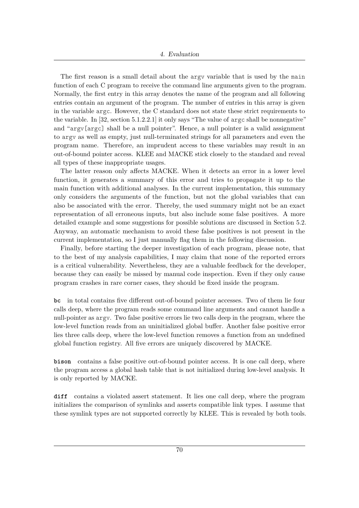The first reason is a small detail about the argv variable that is used by the main function of each C program to receive the command line arguments given to the program. Normally, the first entry in this array denotes the name of the program and all following entries contain an argument of the program. The number of entries in this array is given in the variable argc. However, the C standard does not state these strict requirements to the variable. In  $[32, \text{section } 5.1.2.2.1]$  $[32, \text{section } 5.1.2.2.1]$  it only says "The value of argc shall be nonnegative" and "argv[argc] shall be a null pointer". Hence, a null pointer is a valid assignment to argv as well as empty, just null-terminated strings for all parameters and even the program name. Therefore, an imprudent access to these variables may result in an out-of-bound pointer access. KLEE and MACKE stick closely to the standard and reveal all types of these inappropriate usages.

The latter reason only affects MACKE. When it detects an error in a lower level function, it generates a summary of this error and tries to propagate it up to the main function with additional analyses. In the current implementation, this summary only considers the arguments of the function, but not the global variables that can also be associated with the error. Thereby, the used summary might not be an exact representation of all erroneous inputs, but also include some false positives. A more detailed example and some suggestions for possible solutions are discussed in Section [5.2.](#page-85-0) Anyway, an automatic mechanism to avoid these false positives is not present in the current implementation, so I just manually flag them in the following discussion.

Finally, before starting the deeper investigation of each program, please note, that to the best of my analysis capabilities, I may claim that none of the reported errors is a critical vulnerability. Nevertheless, they are a valuable feedback for the developer, because they can easily be missed by manual code inspection. Even if they only cause program crashes in rare corner cases, they should be fixed inside the program.

**bc** in total contains five different out-of-bound pointer accesses. Two of them lie four calls deep, where the program reads some command line arguments and cannot handle a null-pointer as argv. Two false positive errors lie two calls deep in the program, where the low-level function reads from an uninitialized global buffer. Another false positive error lies three calls deep, where the low-level function removes a function from an undefined global function registry. All five errors are uniquely discovered by MACKE.

**bison** contains a false positive out-of-bound pointer access. It is one call deep, where the program access a global hash table that is not initialized during low-level analysis. It is only reported by MACKE.

**diff** contains a violated assert statement. It lies one call deep, where the program initializes the comparison of symlinks and asserts compatible link types. I assume that these symlink types are not supported correctly by KLEE. This is revealed by both tools.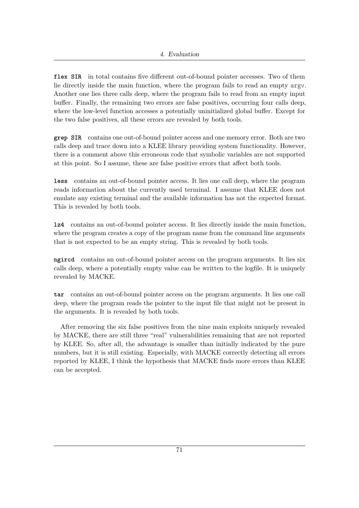**flex SIR** in total contains five different out-of-bound pointer accesses. Two of them lie directly inside the main function, where the program fails to read an empty argv. Another one lies three calls deep, where the program fails to read from an empty input buffer. Finally, the remaining two errors are false positives, occurring four calls deep, where the low-level function accesses a potentially uninitialized global buffer. Except for the two false positives, all these errors are revealed by both tools.

**grep SIR** contains one out-of-bound pointer access and one memory error. Both are two calls deep and trace down into a KLEE library providing system functionality. However, there is a comment above this erroneous code that symbolic variables are not supported at this point. So I assume, these are false positive errors that affect both tools.

**less** contains an out-of-bound pointer access. It lies one call deep, where the program reads information about the currently used terminal. I assume that KLEE does not emulate any existing terminal and the available information has not the expected format. This is revealed by both tools.

**lz4** contains an out-of-bound pointer access. It lies directly inside the main function, where the program creates a copy of the program name from the command line arguments that is not expected to be an empty string. This is revealed by both tools.

**ngircd** contains an out-of-bound pointer access on the program arguments. It lies six calls deep, where a potentially empty value can be written to the logfile. It is uniquely revealed by MACKE.

**tar** contains an out-of-bound pointer access on the program arguments. It lies one call deep, where the program reads the pointer to the input file that might not be present in the arguments. It is revealed by both tools.

After removing the six false positives from the nine main exploits uniquely revealed by MACKE, there are still three "real" vulnerabilities remaining that are not reported by KLEE. So, after all, the advantage is smaller than initially indicated by the pure numbers, but it is still existing. Especially, with MACKE correctly detecting all errors reported by KLEE, I think the hypothesis that MACKE finds more errors than KLEE can be accepted.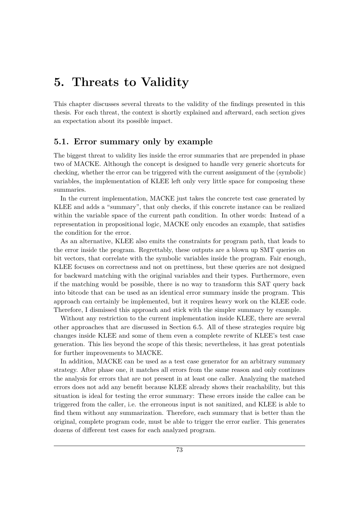### **5. Threats to Validity**

This chapter discusses several threats to the validity of the findings presented in this thesis. For each threat, the context is shortly explained and afterward, each section gives an expectation about its possible impact.

### <span id="page-84-0"></span>**5.1. Error summary only by example**

The biggest threat to validity lies inside the error summaries that are prepended in phase two of MACKE. Although the concept is designed to handle very generic shortcuts for checking, whether the error can be triggered with the current assignment of the (symbolic) variables, the implementation of KLEE left only very little space for composing these summaries.

In the current implementation, MACKE just takes the concrete test case generated by KLEE and adds a "summary", that only checks, if this concrete instance can be realized within the variable space of the current path condition. In other words: Instead of a representation in propositional logic, MACKE only encodes an example, that satisfies the condition for the error.

As an alternative, KLEE also emits the constraints for program path, that leads to the error inside the program. Regrettably, these outputs are a blown up SMT queries on bit vectors, that correlate with the symbolic variables inside the program. Fair enough, KLEE focuses on correctness and not on prettiness, but these queries are not designed for backward matching with the original variables and their types. Furthermore, even if the matching would be possible, there is no way to transform this SAT query back into bitcode that can be used as an identical error summary inside the program. This approach can certainly be implemented, but it requires heavy work on the KLEE code. Therefore, I dismissed this approach and stick with the simpler summary by example.

Without any restriction to the current implementation inside KLEE, there are several other approaches that are discussed in Section [6.5.](#page-91-0) All of these strategies require big changes inside KLEE and some of them even a complete rewrite of KLEE's test case generation. This lies beyond the scope of this thesis; nevertheless, it has great potentials for further improvements to MACKE.

In addition, MACKE can be used as a test case generator for an arbitrary summary strategy. After phase one, it matches all errors from the same reason and only continues the analysis for errors that are not present in at least one caller. Analyzing the matched errors does not add any benefit because KLEE already shows their reachability, but this situation is ideal for testing the error summary: These errors inside the callee can be triggered from the caller, i.e. the erroneous input is not sanitized, and KLEE is able to find them without any summarization. Therefore, each summary that is better than the original, complete program code, must be able to trigger the error earlier. This generates dozens of different test cases for each analyzed program.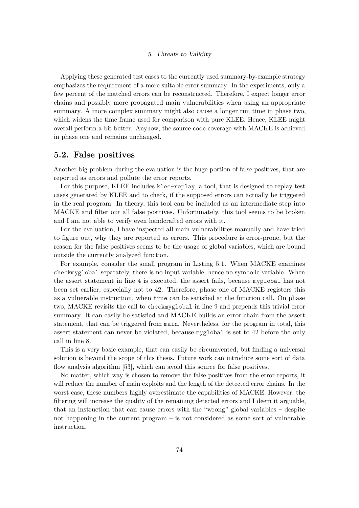Applying these generated test cases to the currently used summary-by-example strategy emphasizes the requirement of a more suitable error summary: In the experiments, only a few percent of the matched errors can be reconstructed. Therefore, I expect longer error chains and possibly more propagated main vulnerabilities when using an appropriate summary. A more complex summary might also cause a longer run time in phase two, which widens the time frame used for comparison with pure KLEE. Hence, KLEE might overall perform a bit better. Anyhow, the source code coverage with MACKE is achieved in phase one and remains unchanged.

### <span id="page-85-0"></span>**5.2. False positives**

Another big problem during the evaluation is the huge portion of false positives, that are reported as errors and pollute the error reports.

For this purpose, KLEE includes klee-replay, a tool, that is designed to replay test cases generated by KLEE and to check, if the supposed errors can actually be triggered in the real program. In theory, this tool can be included as an intermediate step into MACKE and filter out all false positives. Unfortunately, this tool seems to be broken and I am not able to verify even handcrafted errors with it.

For the evaluation, I have inspected all main vulnerabilities manually and have tried to figure out, why they are reported as errors. This procedure is error-prone, but the reason for the false positives seems to be the usage of global variables, which are bound outside the currently analyzed function.

For example, consider the small program in [Listing 5.1.](#page-86-0) When MACKE examines checkmyglobal separately, there is no input variable, hence no symbolic variable. When the assert statement in line 4 is executed, the assert fails, because myglobal has not been set earlier, especially not to 42. Therefore, phase one of MACKE registers this as a vulnerable instruction, when true can be satisfied at the function call. On phase two, MACKE revisits the call to checkmyglobal in line 9 and prepends this trivial error summary. It can easily be satisfied and MACKE builds an error chain from the assert statement, that can be triggered from main. Nevertheless, for the program in total, this assert statement can never be violated, because myglobal is set to 42 before the only call in line 8.

This is a very basic example, that can easily be circumvented, but finding a universal solution is beyond the scope of this thesis. Future work can introduce some sort of data flow analysis algorithm [\[53\]](#page-105-0), which can avoid this source for false positives.

No matter, which way is chosen to remove the false positives from the error reports, it will reduce the number of main exploits and the length of the detected error chains. In the worst case, these numbers highly overestimate the capabilities of MACKE. However, the filtering will increase the quality of the remaining detected errors and I deem it arguable, that an instruction that can cause errors with the "wrong" global variables – despite not happening in the current program – is not considered as some sort of vulnerable instruction.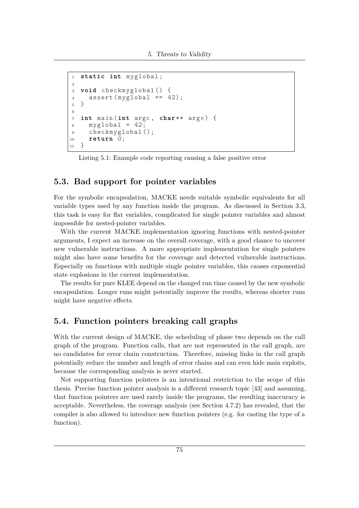```
1 static int myglobal ;
2
3 void checkmyglobal () {
4 assert (myglobal == 42);
5 }
6
7 int main (int argc , char ** argv ) {
\text{sw} myglobal = 42;
9 checkmyglobal ();
10 return 0;
11 }
```
Listing 5.1: Example code reporting causing a false positive error

#### <span id="page-86-1"></span>**5.3. Bad support for pointer variables**

For the symbolic encapsulation, MACKE needs suitable symbolic equivalents for all variable types used by any function inside the program. As discussed in Section [3.3,](#page-29-0) this task is easy for flat variables, complicated for single pointer variables and almost impossible for nested-pointer variables.

With the current MACKE implementation ignoring functions with nested-pointer arguments, I expect an increase on the overall coverage, with a good chance to uncover new vulnerable instructions. A more appropriate implementation for single pointers might also have some benefits for the coverage and detected vulnerable instructions. Especially on functions with multiple single pointer variables, this causes exponential state explosions in the current implementation.

The results for pure KLEE depend on the changed run time caused by the new symbolic encapsulation. Longer runs might potentially improve the results, whereas shorter runs might have negative effects.

### <span id="page-86-2"></span>**5.4. Function pointers breaking call graphs**

With the current design of MACKE, the scheduling of phase two depends on the call graph of the program. Function calls, that are not represented in the call graph, are no candidates for error chain construction. Therefore, missing links in the call graph potentially reduce the number and length of error chains and can even hide main exploits, because the corresponding analysis is never started.

Not supporting function pointers is an intentional restriction to the scope of this thesis. Precise function pointer analysis is a different research topic [\[43\]](#page-104-0) and assuming, that function pointers are used rarely inside the programs, the resulting inaccuracy is acceptable. Nevertheless, the coverage analysis (see Section [4.7.2\)](#page-70-0) has revealed, that the compiler is also allowed to introduce new function pointers (e.g. for casting the type of a function).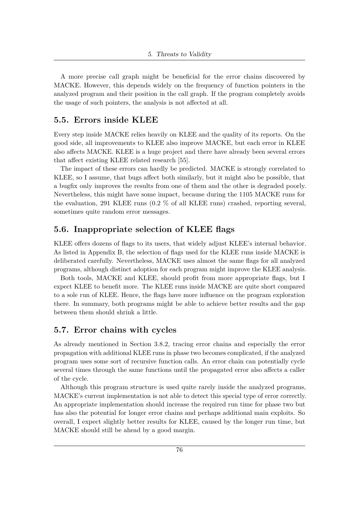A more precise call graph might be beneficial for the error chains discovered by MACKE. However, this depends widely on the frequency of function pointers in the analyzed program and their position in the call graph. If the program completely avoids the usage of such pointers, the analysis is not affected at all.

### **5.5. Errors inside KLEE**

Every step inside MACKE relies heavily on KLEE and the quality of its reports. On the good side, all improvements to KLEE also improve MACKE, but each error in KLEE also affects MACKE. KLEE is a huge project and there have already been several errors that affect existing KLEE related research [\[55\]](#page-105-1).

The impact of these errors can hardly be predicted. MACKE is strongly correlated to KLEE, so I assume, that bugs affect both similarly, but it might also be possible, that a bugfix only improves the results from one of them and the other is degraded poorly. Nevertheless, this might have some impact, because during the 1105 MACKE runs for the evaluation, 291 KLEE runs (0.2 % of all KLEE runs) crashed, reporting several, sometimes quite random error messages.

### **5.6. Inappropriate selection of KLEE flags**

KLEE offers dozens of flags to its users, that widely adjust KLEE's internal behavior. As listed in Appendix [B,](#page-108-0) the selection of flags used for the KLEE runs inside MACKE is deliberated carefully. Nevertheless, MACKE uses almost the same flags for all analyzed programs, although distinct adoption for each program might improve the KLEE analysis.

Both tools, MACKE and KLEE, should profit from more appropriate flags, but I expect KLEE to benefit more. The KLEE runs inside MACKE are quite short compared to a sole run of KLEE. Hence, the flags have more influence on the program exploration there. In summary, both programs might be able to achieve better results and the gap between them should shrink a little.

### **5.7. Error chains with cycles**

As already mentioned in Section [3.8.2,](#page-46-0) tracing error chains and especially the error propagation with additional KLEE runs in phase two becomes complicated, if the analyzed program uses some sort of recursive function calls. An error chain can potentially cycle several times through the same functions until the propagated error also affects a caller of the cycle.

Although this program structure is used quite rarely inside the analyzed programs, MACKE's current implementation is not able to detect this special type of error correctly. An appropriate implementation should increase the required run time for phase two but has also the potential for longer error chains and perhaps additional main exploits. So overall, I expect slightly better results for KLEE, caused by the longer run time, but MACKE should still be ahead by a good margin.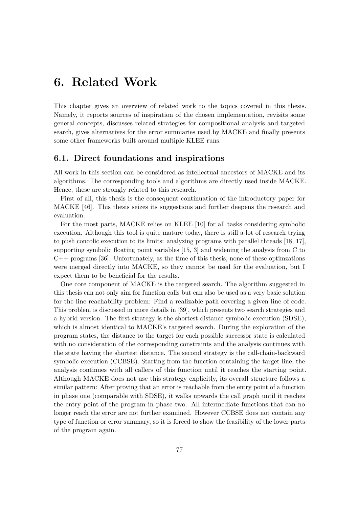### **6. Related Work**

This chapter gives an overview of related work to the topics covered in this thesis. Namely, it reports sources of inspiration of the chosen implementation, revisits some general concepts, discusses related strategies for compositional analysis and targeted search, gives alternatives for the error summaries used by MACKE and finally presents some other frameworks built around multiple KLEE runs.

### **6.1. Direct foundations and inspirations**

All work in this section can be considered as intellectual ancestors of MACKE and its algorithms. The corresponding tools and algorithms are directly used inside MACKE. Hence, these are strongly related to this research.

First of all, this thesis is the consequent continuation of the introductory paper for MACKE [\[46\]](#page-104-1). This thesis seizes its suggestions and further deepens the research and evaluation.

For the most parts, MACKE relies on KLEE [\[10\]](#page-101-0) for all tasks considering symbolic execution. Although this tool is quite mature today, there is still a lot of research trying to push concolic execution to its limits: analyzing programs with parallel threads [\[18,](#page-102-0) [17\]](#page-102-1), supporting symbolic floating point variables [\[15,](#page-102-2) [3\]](#page-101-1) and widening the analysis from C to C++ programs [\[36\]](#page-103-1). Unfortunately, as the time of this thesis, none of these optimzations were merged directly into MACKE, so they cannot be used for the evaluation, but I expect them to be beneficial for the results.

One core component of MACKE is the targeted search. The algorithm suggested in this thesis can not only aim for function calls but can also be used as a very basic solution for the line reachability problem: Find a realizable path covering a given line of code. This problem is discussed in more details in [\[39\]](#page-104-2), which presents two search strategies and a hybrid version. The first strategy is the shortest distance symbolic execution (SDSE), which is almost identical to MACKE's targeted search. During the exploration of the program states, the distance to the target for each possible successor state is calculated with no consideration of the corresponding constraints and the analysis continues with the state having the shortest distance. The second strategy is the call-chain-backward symbolic execution (CCBSE). Starting from the function containing the target line, the analysis continues with all callers of this function until it reaches the starting point. Although MACKE does not use this strategy explicitly, its overall structure follows a similar pattern: After proving that an error is reachable from the entry point of a function in phase one (comparable with SDSE), it walks upwards the call graph until it reaches the entry point of the program in phase two. All intermediate functions that can no longer reach the error are not further examined. However CCBSE does not contain any type of function or error summary, so it is forced to show the feasibility of the lower parts of the program again.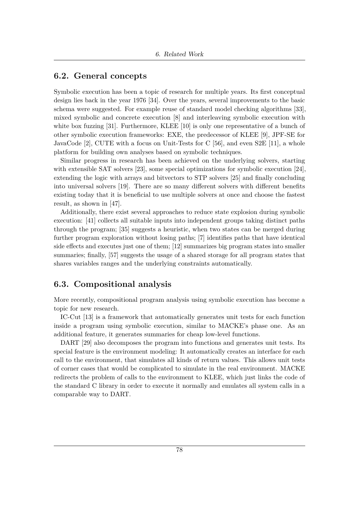### **6.2. General concepts**

Symbolic execution has been a topic of research for multiple years. Its first conceptual design lies back in the year 1976 [\[34\]](#page-103-2). Over the years, several improvements to the basic schema were suggested. For example reuse of standard model checking algorithms [\[33\]](#page-103-3), mixed symbolic and concrete execution [\[8\]](#page-101-2) and interleaving symbolic execution with white box fuzzing [\[31\]](#page-103-4). Furthermore, KLEE [\[10\]](#page-101-0) is only one representative of a bunch of other symbolic execution frameworks: EXE, the predecessor of KLEE [\[9\]](#page-101-3), JPF-SE for JavaCode [\[2\]](#page-101-4), CUTE with a focus on Unit-Tests for C [\[56\]](#page-105-2), and even S2E [\[11\]](#page-101-5), a whole platform for building own analyses based on symbolic techniques.

Similar progress in research has been achieved on the underlying solvers, starting with extensible SAT solvers [\[23\]](#page-102-3), some special optimizations for symbolic execution [\[24\]](#page-102-4), extending the logic with arrays and bitvectors to STP solvers [\[25\]](#page-103-5) and finally concluding into universal solvers [\[19\]](#page-102-5). There are so many different solvers with different benefits existing today that it is beneficial to use multiple solvers at once and choose the fastest result, as shown in [\[47\]](#page-104-3).

Additionally, there exist several approaches to reduce state explosion during symbolic execution: [\[41\]](#page-104-4) collects all suitable inputs into independent groups taking distinct paths through the program; [\[35\]](#page-103-6) suggests a heuristic, when two states can be merged during further program exploration without losing paths; [\[7\]](#page-101-6) identifies paths that have identical side effects and executes just one of them; [\[12\]](#page-102-6) summarizes big program states into smaller summaries; finally, [\[57\]](#page-105-3) suggests the usage of a shared storage for all program states that shares variables ranges and the underlying constraints automatically.

### **6.3. Compositional analysis**

More recently, compositional program analysis using symbolic execution has become a topic for new research.

IC-Cut [\[13\]](#page-102-7) is a framework that automatically generates unit tests for each function inside a program using symbolic execution, similar to MACKE's phase one. As an additional feature, it generates summaries for cheap low-level functions.

DART [\[29\]](#page-103-7) also decomposes the program into functions and generates unit tests. Its special feature is the environment modeling: It automatically creates an interface for each call to the environment, that simulates all kinds of return values. This allows unit tests of corner cases that would be complicated to simulate in the real environment. MACKE redirects the problem of calls to the environment to KLEE, which just links the code of the standard C library in order to execute it normally and emulates all system calls in a comparable way to DART.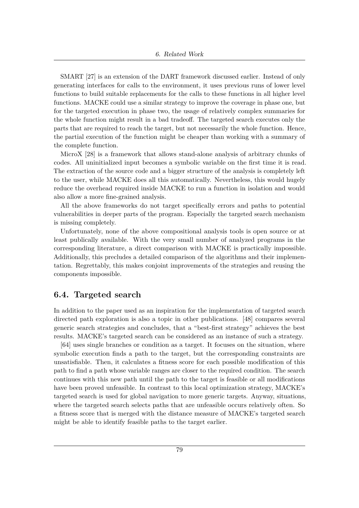SMART [\[27\]](#page-103-8) is an extension of the DART framework discussed earlier. Instead of only generating interfaces for calls to the environment, it uses previous runs of lower level functions to build suitable replacements for the calls to these functions in all higher level functions. MACKE could use a similar strategy to improve the coverage in phase one, but for the targeted execution in phase two, the usage of relatively complex summaries for the whole function might result in a bad tradeoff. The targeted search executes only the parts that are required to reach the target, but not necessarily the whole function. Hence, the partial execution of the function might be cheaper than working with a summary of the complete function.

MicroX [\[28\]](#page-103-9) is a framework that allows stand-alone analysis of arbitrary chunks of codes. All uninitialized input becomes a symbolic variable on the first time it is read. The extraction of the source code and a bigger structure of the analysis is completely left to the user, while MACKE does all this automatically. Nevertheless, this would hugely reduce the overhead required inside MACKE to run a function in isolation and would also allow a more fine-grained analysis.

All the above frameworks do not target specifically errors and paths to potential vulnerabilities in deeper parts of the program. Especially the targeted search mechanism is missing completely.

Unfortunately, none of the above compositional analysis tools is open source or at least publically available. With the very small number of analyzed programs in the corresponding literature, a direct comparison with MACKE is practically impossible. Additionally, this precludes a detailed comparison of the algorithms and their implementation. Regrettably, this makes conjoint improvements of the strategies and reusing the components impossible.

### **6.4. Targeted search**

In addition to the paper used as an inspiration for the implementation of targeted search directed path exploration is also a topic in other publications. [\[48\]](#page-104-5) compares several generic search strategies and concludes, that a "best-first strategy" achieves the best results. MACKE's targeted search can be considered as an instance of such a strategy.

[\[64\]](#page-105-4) uses single branches or condition as a target. It focuses on the situation, where symbolic execution finds a path to the target, but the corresponding constraints are unsatisfiable. Then, it calculates a fitness score for each possible modification of this path to find a path whose variable ranges are closer to the required condition. The search continues with this new path until the path to the target is feasible or all modifications have been proved unfeasible. In contrast to this local optimization strategy, MACKE's targeted search is used for global navigation to more generic targets. Anyway, situations, where the targeted search selects paths that are unfeasible occurs relatively often. So a fitness score that is merged with the distance measure of MACKE's targeted search might be able to identify feasible paths to the target earlier.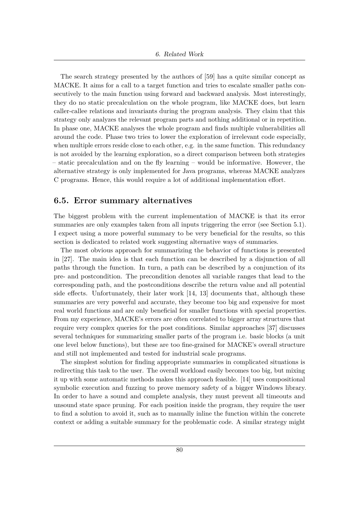The search strategy presented by the authors of [\[59\]](#page-105-5) has a quite similar concept as MACKE. It aims for a call to a target function and tries to escalate smaller paths consecutively to the main function using forward and backward analysis. Most interestingly, they do no static precalculation on the whole program, like MACKE does, but learn caller-callee relations and invariants during the program analysis. They claim that this strategy only analyzes the relevant program parts and nothing additional or in repetition. In phase one, MACKE analyses the whole program and finds multiple vulnerabilities all around the code. Phase two tries to lower the exploration of irrelevant code especially, when multiple errors reside close to each other, e.g. in the same function. This redundancy is not avoided by the learning exploration, so a direct comparison between both strategies – static precalculation and on the fly learning – would be informative. However, the alternative strategy is only implemented for Java programs, whereas MACKE analyzes C programs. Hence, this would require a lot of additional implementation effort.

#### <span id="page-91-0"></span>**6.5. Error summary alternatives**

The biggest problem with the current implementation of MACKE is that its error summaries are only examples taken from all inputs triggering the error (see Section [5.1\)](#page-84-0). I expect using a more powerful summary to be very beneficial for the results, so this section is dedicated to related work suggesting alternative ways of summaries.

The most obvious approach for summarizing the behavior of functions is presented in [\[27\]](#page-103-8). The main idea is that each function can be described by a disjunction of all paths through the function. In turn, a path can be described by a conjunction of its pre- and postcondition. The precondition denotes all variable ranges that lead to the corresponding path, and the postconditions describe the return value and all potential side effects. Unfortunately, their later work [\[14,](#page-102-8) [13\]](#page-102-7) documents that, although these summaries are very powerful and accurate, they become too big and expensive for most real world functions and are only beneficial for smaller functions with special properties. From my experience, MACKE's errors are often correlated to bigger array structures that require very complex queries for the post conditions. Similar approaches [\[37\]](#page-103-10) discusses several techniques for summarizing smaller parts of the program i.e. basic blocks (a unit one level below functions), but these are too fine-grained for MACKE's overall structure and still not implemented and tested for industrial scale programs.

The simplest solution for finding appropriate summaries in complicated situations is redirecting this task to the user. The overall workload easily becomes too big, but mixing it up with some automatic methods makes this approach feasible. [\[14\]](#page-102-8) uses compositional symbolic execution and fuzzing to prove memory safety of a bigger Windows library. In order to have a sound and complete analysis, they must prevent all timeouts and unsound state space pruning. For each position inside the program, they require the user to find a solution to avoid it, such as to manually inline the function within the concrete context or adding a suitable summary for the problematic code. A similar strategy might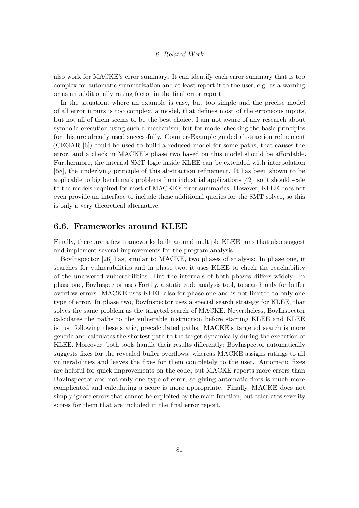also work for MACKE's error summary. It can identify each error summary that is too complex for automatic summarization and at least report it to the user, e.g. as a warning or as an additionally rating factor in the final error report.

In the situation, where an example is easy, but too simple and the precise model of all error inputs is too complex, a model, that defines most of the erroneous inputs, but not all of them seems to be the best choice. I am not aware of any research about symbolic execution using such a mechanism, but for model checking the basic principles for this are already used successfully. Counter-Example guided abstraction refinement (CEGAR [\[6\]](#page-101-7)) could be used to build a reduced model for some paths, that causes the error, and a check in MACKE's phase two based on this model should be affordable. Furthermore, the internal SMT logic inside KLEE can be extended with interpolation [\[58\]](#page-105-6), the underlying principle of this abstraction refinement. It has been shown to be applicable to big benchmark problems from industrial applications [\[42\]](#page-104-6), so it should scale to the models required for most of MACKE's error summaries. However, KLEE does not even provide an interface to include these additional queries for the SMT solver, so this is only a very theoretical alternative.

#### **6.6. Frameworks around KLEE**

Finally, there are a few frameworks built around multiple KLEE runs that also suggest and implement several improvements for the program analysis.

BovInspector [\[26\]](#page-103-11) has, similar to MACKE, two phases of analysis: In phase one, it searches for vulnerabilities and in phase two, it uses KLEE to check the reachability of the uncovered vulnerabilities. But the internals of both phases differs widely. In phase one, BovInspector uses Fortify, a static code analysis tool, to search only for buffer overflow errors. MACKE uses KLEE also for phase one and is not limited to only one type of error. In phase two, BovInspector uses a special search strategy for KLEE, that solves the same problem as the targeted search of MACKE. Nevertheless, BovInspector calculates the paths to the vulnerable instruction before starting KLEE and KLEE is just following these static, precalculated paths. MACKE's targeted search is more generic and calculates the shortest path to the target dynamically during the execution of KLEE. Moreover, both tools handle their results differently: BovInspector automatically suggests fixes for the revealed buffer overflows, whereas MACKE assigns ratings to all vulnerabilities and leaves the fixes for them completely to the user. Automatic fixes are helpful for quick improvements on the code, but MACKE reports more errors than BovInspector and not only one type of error, so giving automatic fixes is much more complicated and calculating a score is more appropriate. Finally, MACKE does not simply ignore errors that cannot be exploited by the main function, but calculates severity scores for them that are included in the final error report.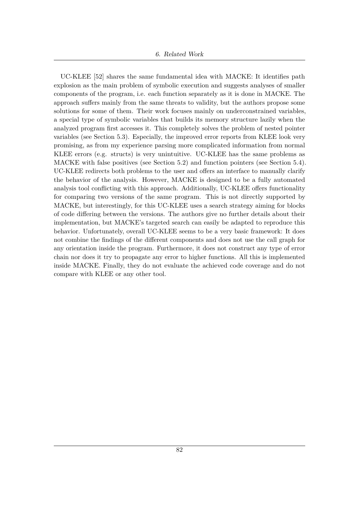UC-KLEE [\[52\]](#page-104-7) shares the same fundamental idea with MACKE: It identifies path explosion as the main problem of symbolic execution and suggests analyses of smaller components of the program, i.e. each function separately as it is done in MACKE. The approach suffers mainly from the same threats to validity, but the authors propose some solutions for some of them. Their work focuses mainly on underconstrained variables, a special type of symbolic variables that builds its memory structure lazily when the analyzed program first accesses it. This completely solves the problem of nested pointer variables (see Section [5.3\)](#page-86-1). Especially, the improved error reports from KLEE look very promising, as from my experience parsing more complicated information from normal KLEE errors (e.g. structs) is very unintuitive. UC-KLEE has the same problems as MACKE with false positives (see Section [5.2\)](#page-85-0) and function pointers (see Section [5.4\)](#page-86-2). UC-KLEE redirects both problems to the user and offers an interface to manually clarify the behavior of the analysis. However, MACKE is designed to be a fully automated analysis tool conflicting with this approach. Additionally, UC-KLEE offers functionality for comparing two versions of the same program. This is not directly supported by MACKE, but interestingly, for this UC-KLEE uses a search strategy aiming for blocks of code differing between the versions. The authors give no further details about their implementation, but MACKE's targeted search can easily be adapted to reproduce this behavior. Unfortunately, overall UC-KLEE seems to be a very basic framework: It does not combine the findings of the different components and does not use the call graph for any orientation inside the program. Furthermore, it does not construct any type of error chain nor does it try to propagate any error to higher functions. All this is implemented inside MACKE. Finally, they do not evaluate the achieved code coverage and do not compare with KLEE or any other tool.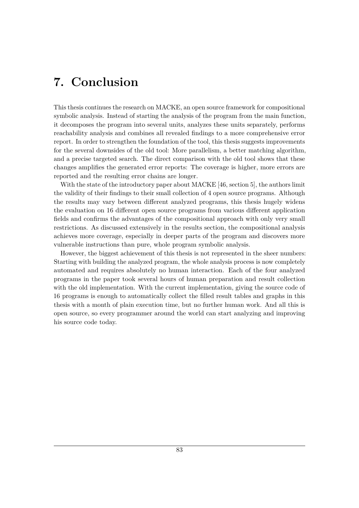## **7. Conclusion**

This thesis continues the research on MACKE, an open source framework for compositional symbolic analysis. Instead of starting the analysis of the program from the main function, it decomposes the program into several units, analyzes these units separately, performs reachability analysis and combines all revealed findings to a more comprehensive error report. In order to strengthen the foundation of the tool, this thesis suggests improvements for the several downsides of the old tool: More parallelism, a better matching algorithm, and a precise targeted search. The direct comparison with the old tool shows that these changes amplifies the generated error reports: The coverage is higher, more errors are reported and the resulting error chains are longer.

With the state of the introductory paper about MACKE [\[46,](#page-104-1) section 5], the authors limit the validity of their findings to their small collection of 4 open source programs. Although the results may vary between different analyzed programs, this thesis hugely widens the evaluation on 16 different open source programs from various different application fields and confirms the advantages of the compositional approach with only very small restrictions. As discussed extensively in the results section, the compositional analysis achieves more coverage, especially in deeper parts of the program and discovers more vulnerable instructions than pure, whole program symbolic analysis.

However, the biggest achievement of this thesis is not represented in the sheer numbers: Starting with building the analyzed program, the whole analysis process is now completely automated and requires absolutely no human interaction. Each of the four analyzed programs in the paper took several hours of human preparation and result collection with the old implementation. With the current implementation, giving the source code of 16 programs is enough to automatically collect the filled result tables and graphs in this thesis with a month of plain execution time, but no further human work. And all this is open source, so every programmer around the world can start analyzing and improving his source code today.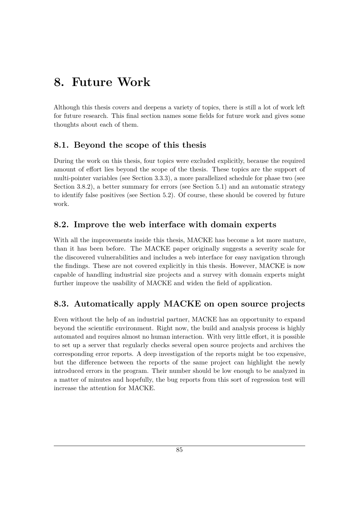## **8. Future Work**

Although this thesis covers and deepens a variety of topics, there is still a lot of work left for future research. This final section names some fields for future work and gives some thoughts about each of them.

### **8.1. Beyond the scope of this thesis**

During the work on this thesis, four topics were excluded explicitly, because the required amount of effort lies beyond the scope of the thesis. These topics are the support of multi-pointer variables (see Section [3.3.3\)](#page-31-0), a more parallelized schedule for phase two (see Section [3.8.2\)](#page-46-0), a better summary for errors (see Section [5.1\)](#page-84-0) and an automatic strategy to identify false positives (see Section [5.2\)](#page-85-0). Of course, these should be covered by future work.

### **8.2. Improve the web interface with domain experts**

With all the improvements inside this thesis, MACKE has become a lot more mature, than it has been before. The MACKE paper originally suggests a severity scale for the discovered vulnerabilities and includes a web interface for easy navigation through the findings. These are not covered explicitly in this thesis. However, MACKE is now capable of handling industrial size projects and a survey with domain experts might further improve the usability of MACKE and widen the field of application.

### **8.3. Automatically apply MACKE on open source projects**

Even without the help of an industrial partner, MACKE has an opportunity to expand beyond the scientific environment. Right now, the build and analysis process is highly automated and requires almost no human interaction. With very little effort, it is possible to set up a server that regularly checks several open source projects and archives the corresponding error reports. A deep investigation of the reports might be too expensive, but the difference between the reports of the same project can highlight the newly introduced errors in the program. Their number should be low enough to be analyzed in a matter of minutes and hopefully, the bug reports from this sort of regression test will increase the attention for MACKE.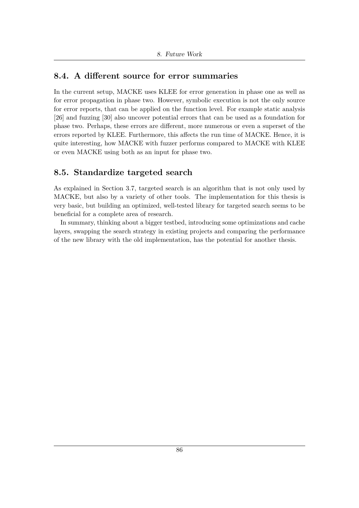### **8.4. A different source for error summaries**

In the current setup, MACKE uses KLEE for error generation in phase one as well as for error propagation in phase two. However, symbolic execution is not the only source for error reports, that can be applied on the function level. For example static analysis [\[26\]](#page-103-11) and fuzzing [\[30\]](#page-103-12) also uncover potential errors that can be used as a foundation for phase two. Perhaps, these errors are different, more numerous or even a superset of the errors reported by KLEE. Furthermore, this affects the run time of MACKE. Hence, it is quite interesting, how MACKE with fuzzer performs compared to MACKE with KLEE or even MACKE using both as an input for phase two.

### **8.5. Standardize targeted search**

As explained in Section [3.7,](#page-41-0) targeted search is an algorithm that is not only used by MACKE, but also by a variety of other tools. The implementation for this thesis is very basic, but building an optimized, well-tested library for targeted search seems to be beneficial for a complete area of research.

In summary, thinking about a bigger testbed, introducing some optimizations and cache layers, swapping the search strategy in existing projects and comparing the performance of the new library with the old implementation, has the potential for another thesis.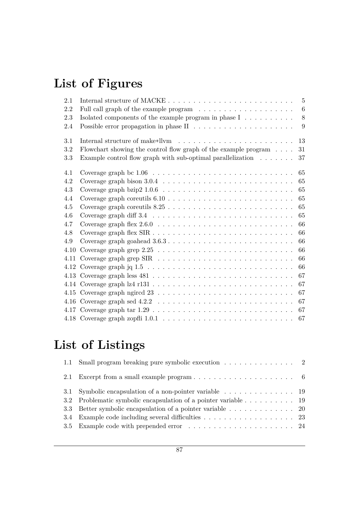# **List of Figures**

| 2.1  | $-5$                                                                                             |
|------|--------------------------------------------------------------------------------------------------|
| 2.2  | $6\phantom{.}6$                                                                                  |
| 2.3  | 8                                                                                                |
| 2.4  | Possible error propagation in phase $II \dots \dots \dots \dots \dots \dots \dots$<br>9          |
| 3.1  | 13                                                                                               |
| 3.2  | Flowchart showing the control flow graph of the example program $\dots$<br>31                    |
| 3.3  | Example control flow graph with sub-optimal parallelization $\ldots \ldots$<br>37                |
| 4.1  | Coverage graph bc $1.06 \ldots \ldots \ldots \ldots \ldots \ldots \ldots \ldots \ldots$<br>65    |
| 4.2  | 65                                                                                               |
| 4.3  | Coverage graph bzip $2\ 1.0.6\ \ldots \ldots \ldots \ldots \ldots \ldots \ldots \ldots$<br>65    |
| 4.4  | 65                                                                                               |
| 4.5  | 65<br>Coverage graph coreutils $8.25$                                                            |
| 4.6  | 65<br>Coverage graph diff $3.4 \ldots \ldots \ldots \ldots \ldots \ldots \ldots \ldots \ldots$   |
| 4.7  | Coverage graph flex $2.6.0 \ldots \ldots \ldots \ldots \ldots \ldots \ldots \ldots \ldots$<br>66 |
| 4.8  | 66                                                                                               |
| 4.9  | 66                                                                                               |
| 4.10 | 66                                                                                               |
|      | 66                                                                                               |
|      | 66                                                                                               |
|      | 67                                                                                               |
|      | 67                                                                                               |
|      | 67                                                                                               |
|      | 67                                                                                               |
|      | 67                                                                                               |
|      | 67                                                                                               |

# **List of Listings**

| 1.1 Small program breaking pure symbolic execution 2                                      |
|-------------------------------------------------------------------------------------------|
| 2.1 Excerpt from a small example program $\dots \dots \dots \dots \dots \dots \dots$      |
| 3.1 Symbolic encapsulation of a non-pointer variable $\dots \dots \dots \dots \dots$      |
| 3.2 Problematic symbolic encapsulation of a pointer variable $\dots \dots \dots \dots$ 19 |
|                                                                                           |
| 3.4 Example code including several difficulties 23                                        |
|                                                                                           |
|                                                                                           |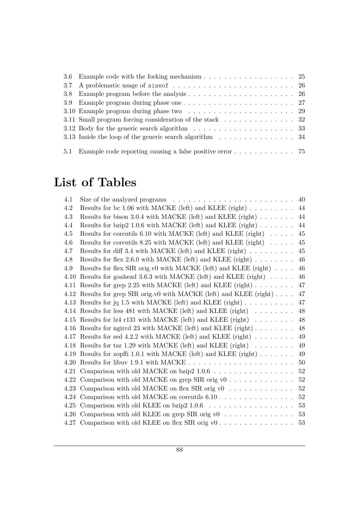| 3.6 Example code with the forking mechanism $\ldots \ldots \ldots \ldots \ldots \ldots$ 25       |  |
|--------------------------------------------------------------------------------------------------|--|
|                                                                                                  |  |
|                                                                                                  |  |
|                                                                                                  |  |
|                                                                                                  |  |
| 3.11 Small program forcing consideration of the stack $\ldots \ldots \ldots \ldots$ 32           |  |
| 3.12 Body for the generic search algorithm $\ldots \ldots \ldots \ldots \ldots \ldots \ldots$ 33 |  |
| 3.13 Inside the loop of the generic search algorithm $\ldots \ldots \ldots \ldots \ldots 34$     |  |
|                                                                                                  |  |
| 5.1 Example code reporting causing a false positive error 75                                     |  |

# **List of Tables**

| Size of the analyzed programs $\ldots \ldots \ldots \ldots \ldots \ldots \ldots \ldots \ldots$ | 40 |
|------------------------------------------------------------------------------------------------|----|
| Results for bc 1.06 with MACKE (left) and KLEE (right) $\dots \dots$                           | 44 |
| Results for bison 3.0.4 with MACKE (left) and KLEE (right) $\ldots \ldots$                     | 44 |
| Results for bzip2 1.0.6 with MACKE (left) and KLEE (right) $\ldots \ldots$                     | 44 |
| Results for coreutils 6.10 with MACKE (left) and KLEE (right) $\ldots \ldots$                  | 45 |
| Results for coreutils 8.25 with MACKE (left) and KLEE (right) $\ldots \ldots$                  | 45 |
| Results for diff 3.4 with MACKE (left) and KLEE (right)                                        | 45 |
| Results for flex 2.6.0 with MACKE (left) and KLEE (right) $\ldots \ldots$                      | 46 |
| Results for flex SIR orig.v0 with MACKE (left) and KLEE (right)                                | 46 |
| Results for goahead 3.6.3 with MACKE (left) and KLEE (right)                                   | 46 |
| Results for grep 2.25 with MACKE (left) and KLEE (right) $\ldots \ldots$                       | 47 |
| 4.12 Results for grep SIR orig.v0 with MACKE (left) and KLEE (right)                           | 47 |
| 4.13 Results for jq 1.5 with MACKE (left) and KLEE (right)                                     | 47 |
| 4.14 Results for less 481 with MACKE (left) and KLEE (right)                                   | 48 |
| 4.15 Results for lz4 r131 with MACKE (left) and KLEE (right)                                   | 48 |
| 4.16 Results for ngired 23 with MACKE (left) and KLEE (right)                                  | 48 |
| 4.17 Results for sed 4.2.2 with MACKE (left) and KLEE (right) $\ldots \ldots$                  | 49 |
| 4.18 Results for tar 1.29 with MACKE (left) and KLEE (right)                                   | 49 |
| 4.19 Results for zopfli 1.0.1 with MACKE (left) and KLEE (right)                               | 49 |
|                                                                                                | 50 |
| 4.21 Comparison with old MACKE on bzip2 1.0.6                                                  | 52 |
| 4.22 Comparison with old MACKE on grep SIR orig v0 $\dots \dots \dots \dots$                   | 52 |
| 4.23 Comparison with old MACKE on flex SIR orig v0                                             | 52 |
| 4.24 Comparison with old MACKE on coreutils $6.10$                                             | 52 |
|                                                                                                | 53 |
| 4.26 Comparison with old KLEE on grep SIR orig v0                                              | 53 |
| 4.27 Comparison with old KLEE on flex SIR orig v0                                              | 53 |
|                                                                                                |    |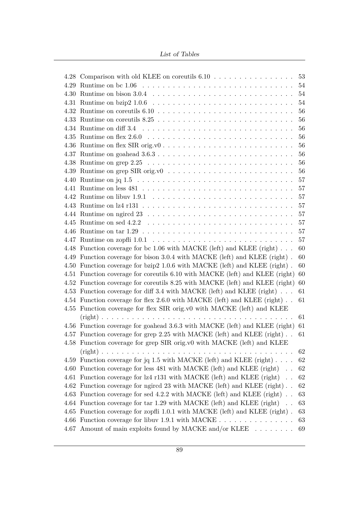List of Tables

| 4.28 Comparison with old KLEE on coreutils $6.10$                            | 53     |
|------------------------------------------------------------------------------|--------|
|                                                                              | 54     |
|                                                                              | 54     |
|                                                                              | 54     |
|                                                                              | 56     |
|                                                                              | 56     |
|                                                                              | 56     |
|                                                                              | 56     |
| 4.36 Runtime on flex SIR orig.v0                                             | 56     |
|                                                                              | 56     |
|                                                                              | 56     |
|                                                                              | 56     |
|                                                                              | 57     |
|                                                                              | 57     |
|                                                                              | $57\,$ |
|                                                                              | 57     |
|                                                                              | 57     |
|                                                                              | 57     |
|                                                                              | 57     |
|                                                                              | 57     |
| 4.48 Function coverage for bc 1.06 with MACKE (left) and KLEE (right)        | 60     |
| 4.49 Function coverage for bison 3.0.4 with MACKE (left) and KLEE (right).   | 60     |
| 4.50 Function coverage for bzip2 1.0.6 with MACKE (left) and KLEE (right).   | 60     |
| 4.51 Function coverage for coreutils 6.10 with MACKE (left) and KLEE (right) | 60     |
| 4.52 Function coverage for corrutils 8.25 with MACKE (left) and KLEE (right) | 60     |
| 4.53 Function coverage for diff 3.4 with MACKE (left) and KLEE (right)       | 61     |
| 4.54 Function coverage for flex 2.6.0 with MACKE (left) and KLEE (right)     | 61     |
| 4.55 Function coverage for flex SIR orig.v0 with MACKE (left) and KLEE       |        |
|                                                                              | 61     |
| 4.56 Function coverage for goahead 3.6.3 with MACKE (left) and KLEE (right)  | 61     |
| 4.57 Function coverage for grep 2.25 with MACKE (left) and KLEE (right)      | 61     |
| 4.58 Function coverage for grep SIR orig.v0 with MACKE (left) and KLEE       |        |
|                                                                              | 62     |
| 4.59 Function coverage for jq 1.5 with MACKE (left) and KLEE (right)         | 62     |
| 4.60 Function coverage for less 481 with MACKE (left) and KLEE (right)       | 62     |
| 4.61 Function coverage for lz4 r131 with MACKE (left) and KLEE (right)       | 62     |
| 4.62 Function coverage for ngircd 23 with MACKE (left) and KLEE (right)      | 62     |
| 4.63 Function coverage for sed 4.2.2 with MACKE (left) and KLEE (right)      | 63     |
| 4.64 Function coverage for tar 1.29 with MACKE (left) and KLEE (right)       | 63     |
| 4.65 Function coverage for zopfli 1.0.1 with MACKE (left) and KLEE (right).  | 63     |
| 4.66 Function coverage for libuv 1.9.1 with MACKE                            | 63     |
| 4.67 Amount of main exploits found by MACKE and/or KLEE                      | 69     |
|                                                                              |        |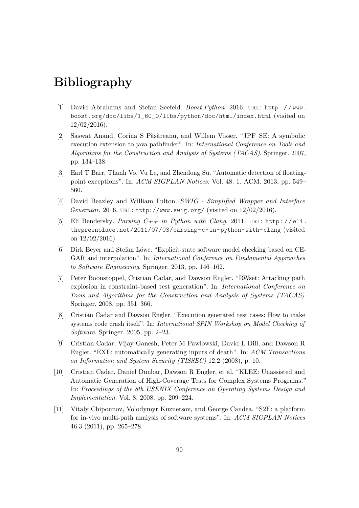## **Bibliography**

- [1] David Abrahams and Stefan Seefeld. *Boost.Python*. 2016. url: [http : / / www .](http://www.boost.org/doc/libs/1_60_0/libs/python/doc/html/index.html) [boost.org/doc/libs/1\\_60\\_0/libs/python/doc/html/index.html](http://www.boost.org/doc/libs/1_60_0/libs/python/doc/html/index.html) (visited on  $12/02/2016$ ).
- <span id="page-101-4"></span>[2] Saswat Anand, Corina S Păsăreanu, and Willem Visser. "JPF–SE: A symbolic execution extension to java pathfinder". In: *International Conference on Tools and Algorithms for the Construction and Analysis of Systems (TACAS)*. Springer. 2007, pp. 134–138.
- <span id="page-101-1"></span>[3] Earl T Barr, Thanh Vo, Vu Le, and Zhendong Su. "Automatic detection of floatingpoint exceptions". In: *ACM SIGPLAN Notices*. Vol. 48. 1. ACM. 2013, pp. 549– 560.
- [4] David Beazley and William Fulton. *SWIG Simplified Wrapper and Interface Generator.* 2016. URL: <http://www.swig.org/> (visited on  $12/02/2016$ ).
- [5] Eli Bendersky. *Parsing C++ in Python with Clang*. 2011. url: [http : / / eli .](http://eli.thegreenplace.net/2011/07/03/parsing-c-in-python-with-clang) [thegreenplace.net/2011/07/03/parsing-c-in-python-with-clang](http://eli.thegreenplace.net/2011/07/03/parsing-c-in-python-with-clang) (visited on  $12/02/2016$ ).
- <span id="page-101-7"></span>[6] Dirk Beyer and Stefan Löwe. "Explicit-state software model checking based on CE-GAR and interpolation". In: *International Conference on Fundamental Approaches to Software Engineering*. Springer. 2013, pp. 146–162.
- <span id="page-101-6"></span>[7] Peter Boonstoppel, Cristian Cadar, and Dawson Engler. "RWset: Attacking path explosion in constraint-based test generation". In: *International Conference on Tools and Algorithms for the Construction and Analysis of Systems (TACAS)*. Springer. 2008, pp. 351–366.
- <span id="page-101-2"></span>[8] Cristian Cadar and Dawson Engler. "Execution generated test cases: How to make systems code crash itself". In: *International SPIN Workshop on Model Checking of Software*. Springer. 2005, pp. 2–23.
- <span id="page-101-3"></span>[9] Cristian Cadar, Vijay Ganesh, Peter M Pawlowski, David L Dill, and Dawson R Engler. "EXE: automatically generating inputs of death". In: *ACM Transactions on Information and System Security (TISSEC)* 12.2 (2008), p. 10.
- <span id="page-101-0"></span>[10] Cristian Cadar, Daniel Dunbar, Dawson R Engler, et al. "KLEE: Unassisted and Automatic Generation of High-Coverage Tests for Complex Systems Programs." In: *Proceedings of the 8th USENIX Conference on Operating Systems Design and Implementation*. Vol. 8. 2008, pp. 209–224.
- <span id="page-101-5"></span>[11] Vitaly Chipounov, Volodymyr Kuznetsov, and George Candea. "S2E: a platform for in-vivo multi-path analysis of software systems". In: *ACM SIGPLAN Notices* 46.3 (2011), pp. 265–278.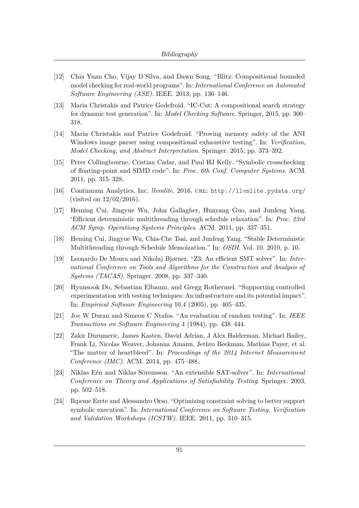- <span id="page-102-6"></span>[12] Chia Yuan Cho, Vijay D'Silva, and Dawn Song. "Blitz: Compositional bounded model checking for real-world programs". In: *International Conference on Automated Software Engineering (ASE)*. IEEE. 2013, pp. 136–146.
- <span id="page-102-7"></span>[13] Maria Christakis and Patrice Godefroid. "IC-Cut: A compositional search strategy for dynamic test generation". In: *Model Checking Software*. Springer, 2015, pp. 300– 318.
- <span id="page-102-8"></span>[14] Maria Christakis and Patrice Godefroid. "Proving memory safety of the ANI Windows image parser using compositional exhaustive testing". In: *Verification, Model Checking, and Abstract Interpretation*. Springer. 2015, pp. 373–392.
- <span id="page-102-2"></span>[15] Peter Collingbourne, Cristian Cadar, and Paul HJ Kelly. "Symbolic crosschecking of floating-point and SIMD code". In: *Proc. 6th Conf. Computer Systems*. ACM. 2011, pp. 315–328.
- [16] Continuum Analytics, Inc. *llvmlite*. 2016. url: <http://llvmlite.pydata.org/> (visited on 12/02/2016).
- <span id="page-102-1"></span>[17] Heming Cui, Jingyue Wu, John Gallagher, Huayang Guo, and Junfeng Yang. "Efficient deterministic multithreading through schedule relaxation". In: *Proc. 23rd ACM Symp. Operationg Systems Principles*. ACM. 2011, pp. 337–351.
- <span id="page-102-0"></span>[18] Heming Cui, Jingyue Wu, Chia-Che Tsai, and Junfeng Yang. "Stable Deterministic Multithreading through Schedule Memoization." In: *OSDI*. Vol. 10. 2010, p. 10.
- <span id="page-102-5"></span>[19] Leonardo De Moura and Nikolaj Bjørner. "Z3: An efficient SMT solver". In: *International Conference on Tools and Algorithms for the Construction and Analysis of Systems (TACAS)*. Springer. 2008, pp. 337–340.
- <span id="page-102-9"></span>[20] Hyunsook Do, Sebastian Elbaum, and Gregg Rothermel. "Supporting controlled experimentation with testing techniques: An infrastructure and its potential impact". In: *Empirical Software Engineering* 10.4 (2005), pp. 405–435.
- [21] Joe W Duran and Simeon C Ntafos. "An evaluation of random testing". In: *IEEE Transactions on Software Engineering* 4 (1984), pp. 438–444.
- [22] Zakir Durumeric, James Kasten, David Adrian, J Alex Halderman, Michael Bailey, Frank Li, Nicolas Weaver, Johanna Amann, Jethro Beekman, Mathias Payer, et al. "The matter of heartbleed". In: *Proceedings of the 2014 Internet Measurement Conference (IMC)*. ACM. 2014, pp. 475–488.
- <span id="page-102-3"></span>[23] Niklas Eén and Niklas Sörensson. "An extensible SAT-solver". In: *International Conference on Theory and Applications of Satisfiability Testing*. Springer. 2003, pp. 502–518.
- <span id="page-102-4"></span>[24] Ikpeme Erete and Alessandro Orso. "Optimizing constraint solving to better support symbolic execution". In: *International Conference on Software Testing, Verification and Validation Workshops (ICSTW)*. IEEE. 2011, pp. 310–315.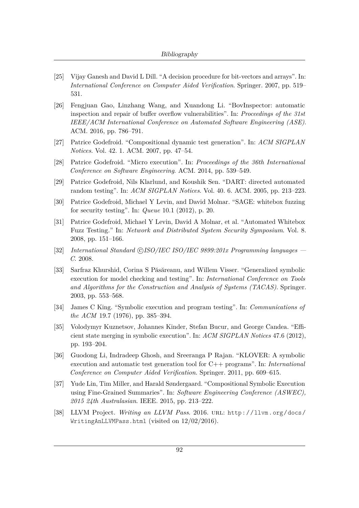- <span id="page-103-5"></span>[25] Vijay Ganesh and David L Dill. "A decision procedure for bit-vectors and arrays". In: *International Conference on Computer Aided Verification*. Springer. 2007, pp. 519– 531.
- <span id="page-103-11"></span>[26] Fengjuan Gao, Linzhang Wang, and Xuandong Li. "BovInspector: automatic inspection and repair of buffer overflow vulnerabilities". In: *Proceedings of the 31st IEEE/ACM International Conference on Automated Software Engineering (ASE)*. ACM. 2016, pp. 786–791.
- <span id="page-103-8"></span>[27] Patrice Godefroid. "Compositional dynamic test generation". In: *ACM SIGPLAN Notices*. Vol. 42. 1. ACM. 2007, pp. 47–54.
- <span id="page-103-9"></span>[28] Patrice Godefroid. "Micro execution". In: *Proceedings of the 36th International Conference on Software Engineering*. ACM. 2014, pp. 539–549.
- <span id="page-103-7"></span>[29] Patrice Godefroid, Nils Klarlund, and Koushik Sen. "DART: directed automated random testing". In: *ACM SIGPLAN Notices*. Vol. 40. 6. ACM. 2005, pp. 213–223.
- <span id="page-103-12"></span>[30] Patrice Godefroid, Michael Y Levin, and David Molnar. "SAGE: whitebox fuzzing for security testing". In: *Queue* 10.1 (2012), p. 20.
- <span id="page-103-4"></span>[31] Patrice Godefroid, Michael Y Levin, David A Molnar, et al. "Automated Whitebox Fuzz Testing." In: *Network and Distributed System Security Symposium*. Vol. 8. 2008, pp. 151–166.
- <span id="page-103-0"></span>[32] *International Standard* CC*ISO/IEC ISO/IEC 9899:201x Programming languages* – *C*. 2008.
- <span id="page-103-3"></span>[33] Sarfraz Khurshid, Corina S Păsăreanu, and Willem Visser. "Generalized symbolic execution for model checking and testing". In: *International Conference on Tools and Algorithms for the Construction and Analysis of Systems (TACAS)*. Springer. 2003, pp. 553–568.
- <span id="page-103-2"></span>[34] James C King. "Symbolic execution and program testing". In: *Communications of the ACM* 19.7 (1976), pp. 385–394.
- <span id="page-103-6"></span>[35] Volodymyr Kuznetsov, Johannes Kinder, Stefan Bucur, and George Candea. "Efficient state merging in symbolic execution". In: *ACM SIGPLAN Notices* 47.6 (2012), pp. 193–204.
- <span id="page-103-1"></span>[36] Guodong Li, Indradeep Ghosh, and Sreeranga P Rajan. "KLOVER: A symbolic execution and automatic test generation tool for C++ programs". In: *International Conference on Computer Aided Verification*. Springer. 2011, pp. 609–615.
- <span id="page-103-10"></span>[37] Yude Lin, Tim Miller, and Harald Søndergaard. "Compositional Symbolic Execution using Fine-Grained Summaries". In: *Software Engineering Conference (ASWEC), 2015 24th Australasian*. IEEE. 2015, pp. 213–222.
- [38] LLVM Project. *Writing an LLVM Pass*. 2016. url: [http://llvm.org/docs/](http://llvm.org/docs/WritingAnLLVMPass.html) [WritingAnLLVMPass.html](http://llvm.org/docs/WritingAnLLVMPass.html) (visited on 12/02/2016).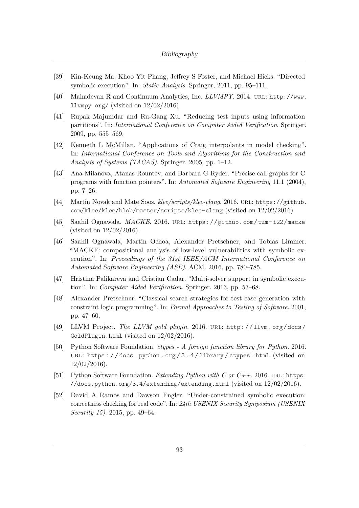- <span id="page-104-2"></span>[39] Kin-Keung Ma, Khoo Yit Phang, Jeffrey S Foster, and Michael Hicks. "Directed symbolic execution". In: *Static Analysis*. Springer, 2011, pp. 95–111.
- [40] Mahadevan R and Continuum Analytics, Inc. *LLVMPY*. 2014. URL: [http://www.](http://www.llvmpy.org/) [llvmpy.org/](http://www.llvmpy.org/) (visited on  $12/02/2016$ ).
- <span id="page-104-4"></span>[41] Rupak Majumdar and Ru-Gang Xu. "Reducing test inputs using information partitions". In: *International Conference on Computer Aided Verification*. Springer. 2009, pp. 555–569.
- <span id="page-104-6"></span>[42] Kenneth L McMillan. "Applications of Craig interpolants in model checking". In: *International Conference on Tools and Algorithms for the Construction and Analysis of Systems (TACAS)*. Springer. 2005, pp. 1–12.
- <span id="page-104-0"></span>[43] Ana Milanova, Atanas Rountev, and Barbara G Ryder. "Precise call graphs for C programs with function pointers". In: *Automated Software Engineering* 11.1 (2004), pp. 7–26.
- [44] Martin Novak and Mate Soos. *klee/scripts/klee-clang*. 2016. url: [https://github.](https://github.com/klee/klee/blob/master/scripts/klee-clang) [com/klee/klee/blob/master/scripts/klee-clang](https://github.com/klee/klee/blob/master/scripts/klee-clang) (visited on 12/02/2016).
- [45] Saahil Ognawala. *MACKE*. 2016. url: [https://github.com/tum- i22/macke](https://github.com/tum-i22/macke) (visited on 12/02/2016).
- <span id="page-104-1"></span>[46] Saahil Ognawala, Martin Ochoa, Alexander Pretschner, and Tobias Limmer. "MACKE: compositional analysis of low-level vulnerabilities with symbolic execution". In: *Proceedings of the 31st IEEE/ACM International Conference on Automated Software Engineering (ASE)*. ACM. 2016, pp. 780–785.
- <span id="page-104-3"></span>[47] Hristina Palikareva and Cristian Cadar. "Multi-solver support in symbolic execution". In: *Computer Aided Verification*. Springer. 2013, pp. 53–68.
- <span id="page-104-5"></span>[48] Alexander Pretschner. "Classical search strategies for test case generation with constraint logic programming". In: *Formal Approaches to Testing of Software*. 2001, pp. 47–60.
- [49] LLVM Project. *The LLVM gold plugin*. 2016. url: [http : / / llvm . org / docs /](http://llvm.org/docs/GoldPlugin.html) [GoldPlugin.html](http://llvm.org/docs/GoldPlugin.html) (visited on 12/02/2016).
- [50] Python Software Foundation. *ctypes A foreign function library for Python*. 2016. url: [https : / / docs . python . org / 3 . 4 / library / ctypes . html](https://docs.python.org/3.4/library/ctypes.html) (visited on  $12/02/2016$ ).
- [51] Python Software Foundation. *Extending Python with C or C++*. 2016. url: [https:](https://docs.python.org/3.4/extending/extending.html) [//docs.python.org/3.4/extending/extending.html](https://docs.python.org/3.4/extending/extending.html) (visited on 12/02/2016).
- <span id="page-104-7"></span>[52] David A Ramos and Dawson Engler. "Under-constrained symbolic execution: correctness checking for real code". In: *24th USENIX Security Symposium (USENIX Security 15)*. 2015, pp. 49–64.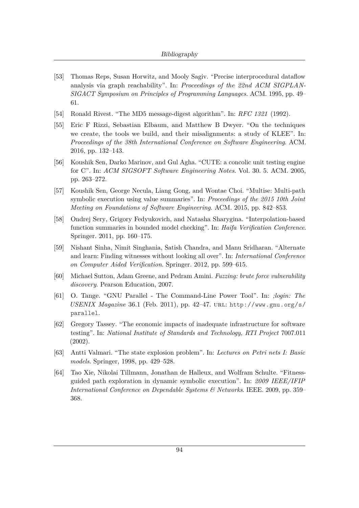- <span id="page-105-0"></span>[53] Thomas Reps, Susan Horwitz, and Mooly Sagiv. "Precise interprocedural dataflow analysis via graph reachability". In: *Proceedings of the 22nd ACM SIGPLAN-SIGACT Symposium on Principles of Programming Languages*. ACM. 1995, pp. 49– 61.
- [54] Ronald Rivest. "The MD5 message-digest algorithm". In: *RFC 1321* (1992).
- <span id="page-105-1"></span>[55] Eric F Rizzi, Sebastian Elbaum, and Matthew B Dwyer. "On the techniques we create, the tools we build, and their misalignments: a study of KLEE". In: *Proceedings of the 38th International Conference on Software Engineering*. ACM. 2016, pp. 132–143.
- <span id="page-105-2"></span>[56] Koushik Sen, Darko Marinov, and Gul Agha. "CUTE: a concolic unit testing engine for C". In: *ACM SIGSOFT Software Engineering Notes*. Vol. 30. 5. ACM. 2005, pp. 263–272.
- <span id="page-105-3"></span>[57] Koushik Sen, George Necula, Liang Gong, and Wontae Choi. "Multise: Multi-path symbolic execution using value summaries". In: *Proceedings of the 2015 10th Joint Meeting on Foundations of Software Engineering*. ACM. 2015, pp. 842–853.
- <span id="page-105-6"></span>[58] Ondrej Sery, Grigory Fedyukovich, and Natasha Sharygina. "Interpolation-based function summaries in bounded model checking". In: *Haifa Verification Conference*. Springer. 2011, pp. 160–175.
- <span id="page-105-5"></span>[59] Nishant Sinha, Nimit Singhania, Satish Chandra, and Manu Sridharan. "Alternate and learn: Finding witnesses without looking all over". In: *International Conference on Computer Aided Verification*. Springer. 2012, pp. 599–615.
- [60] Michael Sutton, Adam Greene, and Pedram Amini. *Fuzzing: brute force vulnerability discovery*. Pearson Education, 2007.
- <span id="page-105-7"></span>[61] O. Tange. "GNU Parallel - The Command-Line Power Tool". In: *;login: The USENIX Magazine* 36.1 (Feb. 2011), pp. 42–47. url: [http://www.gnu.org/s/](http://www.gnu.org/s/parallel) [parallel](http://www.gnu.org/s/parallel).
- [62] Gregory Tassey. "The economic impacts of inadequate infrastructure for software testing". In: *National Institute of Standards and Technology, RTI Project* 7007.011 (2002).
- [63] Antti Valmari. "The state explosion problem". In: *Lectures on Petri nets I: Basic models*. Springer, 1998, pp. 429–528.
- <span id="page-105-4"></span>[64] Tao Xie, Nikolai Tillmann, Jonathan de Halleux, and Wolfram Schulte. "Fitnessguided path exploration in dynamic symbolic execution". In: *2009 IEEE/IFIP International Conference on Dependable Systems & Networks*. IEEE. 2009, pp. 359– 368.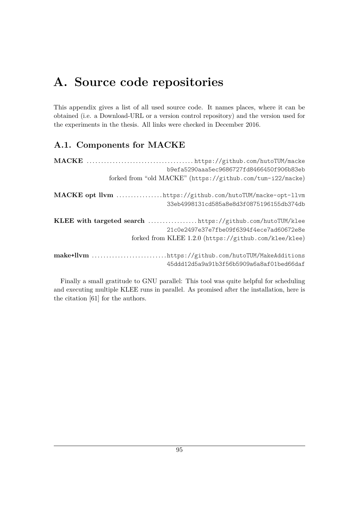## **A. Source code repositories**

This appendix gives a list of all used source code. It names places, where it can be obtained (i.e. a Download-URL or a version control repository) and the version used for the experiments in the thesis. All links were checked in December 2016.

### **A.1. Components for MACKE**

|                                                           | b9efa5290aaa5ec9686727fd8466450f906b83eb                   |
|-----------------------------------------------------------|------------------------------------------------------------|
|                                                           | forked from "old MACKE" (https://github.com/tum-i22/macke) |
|                                                           | MACKE opt llvm tttps://github.com/hutoTUM/macke-opt-llvm   |
|                                                           | 33eb4998131cd585a8e8d3f0875196155db374db                   |
| KLEE with targeted search https://github.com/hutoTUM/klee |                                                            |
|                                                           | 21c0e2497e37e7fbe09f6394f4ece7ad60672e8e                   |
|                                                           | forked from KLEE 1.2.0 (https://github.com/klee/klee)      |
|                                                           | make+llvm https://github.com/hutoTUM/MakeAdditions         |
|                                                           | 45ddd12d5a9a91b3f56b5909a6a8af01bed66daf                   |

Finally a small gratitude to GNU parallel: This tool was quite helpful for scheduling and executing multiple KLEE runs in parallel. As promised after the installation, here is the citation [\[61\]](#page-105-7) for the authors.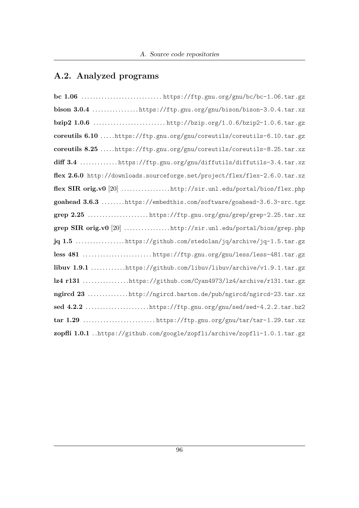### **A.2. Analyzed programs**

| bison 3.0.4 https://ftp.gnu.org/gnu/bison/bison-3.0.4.tar.xz               |
|----------------------------------------------------------------------------|
|                                                                            |
| coreutils 6.10 https://ftp.gnu.org/gnu/coreutils/coreutils-6.10.tar.gz     |
| coreutils 8.25 https://ftp.gnu.org/gnu/coreutils/coreutils-8.25.tar.xz     |
| diff 3.4 https://ftp.gnu.org/gnu/diffutils/diffutils-3.4.tar.xz            |
| flex 2.6.0 http://downloads.sourceforge.net/project/flex/flex-2.6.0.tar.xz |
| flex SIR orig.v0 [20] http://sir.unl.edu/portal/bios/flex.php              |
| goahead 3.6.3 https://embedthis.com/software/goahead-3.6.3-src.tgz         |
|                                                                            |
| grep SIR orig.v0 [20] http://sir.unl.edu/portal/bios/grep.php              |
| $jq 1.5$ https://github.com/stedolan/jq/archive/jq-1.5.tar.gz              |
|                                                                            |
| libuv 1.9.1 https://github.com/libuv/libuv/archive/v1.9.1.tar.gz           |
| lz4 r131 https://github.com/Cyan4973/1z4/archive/r131.tar.gz               |
| ngircd 23 http://ngircd.barton.de/pub/ngircd/ngircd-23.tar.xz              |
| sed 4.2.2 https://ftp.gnu.org/gnu/sed/sed-4.2.2.tar.bz2                    |
|                                                                            |
| zopfli 1.0.1 https://github.com/google/zopfli/archive/zopfli-1.0.1.tar.gz  |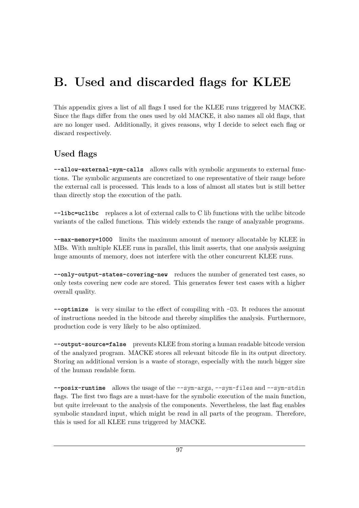## **B. Used and discarded flags for KLEE**

This appendix gives a list of all flags I used for the KLEE runs triggered by MACKE. Since the flags differ from the ones used by old MACKE, it also names all old flags, that are no longer used. Additionally, it gives reasons, why I decide to select each flag or discard respectively.

## **Used flags**

**--allow-external-sym-calls** allows calls with symbolic arguments to external functions. The symbolic arguments are concretized to one representative of their range before the external call is processed. This leads to a loss of almost all states but is still better than directly stop the execution of the path.

**--libc=uclibc** replaces a lot of external calls to C lib functions with the uclibc bitcode variants of the called functions. This widely extends the range of analyzable programs.

**--max-memory=1000** limits the maximum amount of memory allocatable by KLEE in MBs. With multiple KLEE runs in parallel, this limit asserts, that one analysis assigning huge amounts of memory, does not interfere with the other concurrent KLEE runs.

**--only-output-states-covering-new** reduces the number of generated test cases, so only tests covering new code are stored. This generates fewer test cases with a higher overall quality.

**--optimize** is very similar to the effect of compiling with -O3. It reduces the amount of instructions needed in the bitcode and thereby simplifies the analysis. Furthermore, production code is very likely to be also optimized.

**--output-source=false** prevents KLEE from storing a human readable bitcode version of the analyzed program. MACKE stores all relevant bitcode file in its output directory. Storing an additional version is a waste of storage, especially with the much bigger size of the human readable form.

**--posix-runtime** allows the usage of the --sym-args, --sym-files and --sym-stdin flags. The first two flags are a must-have for the symbolic execution of the main function, but quite irrelevant to the analysis of the components. Nevertheless, the last flag enables symbolic standard input, which might be read in all parts of the program. Therefore, this is used for all KLEE runs triggered by MACKE.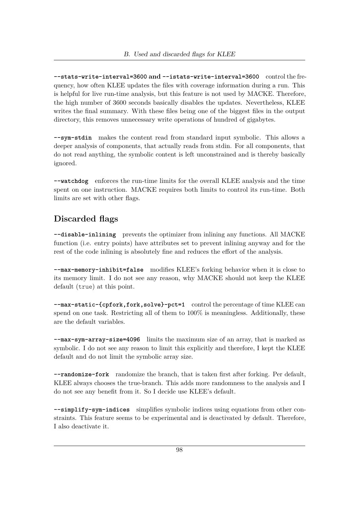**--stats-write-interval=3600 and --istats-write-interval=3600** control the frequency, how often KLEE updates the files with coverage information during a run. This is helpful for live run-time analysis, but this feature is not used by MACKE. Therefore, the high number of 3600 seconds basically disables the updates. Nevertheless, KLEE writes the final summary. With these files being one of the biggest files in the output directory, this removes unnecessary write operations of hundred of gigabytes.

**--sym-stdin** makes the content read from standard input symbolic. This allows a deeper analysis of components, that actually reads from stdin. For all components, that do not read anything, the symbolic content is left unconstrained and is thereby basically ignored.

**--watchdog** enforces the run-time limits for the overall KLEE analysis and the time spent on one instruction. MACKE requires both limits to control its run-time. Both limits are set with other flags.

## **Discarded flags**

**--disable-inlining** prevents the optimizer from inlining any functions. All MACKE function (i.e. entry points) have attributes set to prevent inlining anyway and for the rest of the code inlining is absolutely fine and reduces the effort of the analysis.

**--max-memory-inhibit=false** modifies KLEE's forking behavior when it is close to its memory limit. I do not see any reason, why MACKE should not keep the KLEE default (true) at this point.

**--max-static-{cpfork,fork,solve}-pct=1** control the percentage of time KLEE can spend on one task. Restricting all of them to  $100\%$  is meaningless. Additionally, these are the default variables.

**--max-sym-array-size=4096** limits the maximum size of an array, that is marked as symbolic. I do not see any reason to limit this explicitly and therefore, I kept the KLEE default and do not limit the symbolic array size.

**--randomize-fork** randomize the branch, that is taken first after forking. Per default, KLEE always chooses the true-branch. This adds more randomness to the analysis and I do not see any benefit from it. So I decide use KLEE's default.

**--simplify-sym-indices** simplifies symbolic indices using equations from other constraints. This feature seems to be experimental and is deactivated by default. Therefore, I also deactivate it.